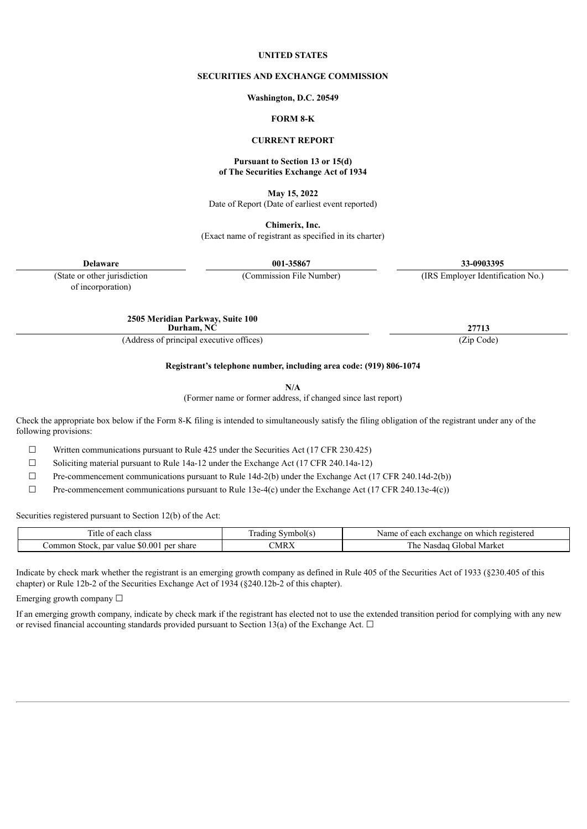#### **UNITED STATES**

#### **SECURITIES AND EXCHANGE COMMISSION**

**Washington, D.C. 20549**

#### **FORM 8-K**

#### **CURRENT REPORT**

#### **Pursuant to Section 13 or 15(d) of The Securities Exchange Act of 1934**

**May 15, 2022** Date of Report (Date of earliest event reported)

**Chimerix, Inc.** (Exact name of registrant as specified in its charter)

**Delaware 001-35867 33-0903395**

(State or other jurisdiction (Commission File Number) (IRS Employer Identification No.)

of incorporation)

**2505 Meridian Parkway, Suite 100 Durham, NC 27713**

(Address of principal executive offices) (Zip Code)

**Registrant's telephone number, including area code: (919) 806-1074**

**N/A**

(Former name or former address, if changed since last report)

Check the appropriate box below if the Form 8-K filing is intended to simultaneously satisfy the filing obligation of the registrant under any of the following provisions:

 $\Box$  Written communications pursuant to Rule 425 under the Securities Act (17 CFR 230.425)

 $\Box$  Soliciting material pursuant to Rule 14a-12 under the Exchange Act (17 CFR 240.14a-12)

 $\Box$  Pre-commencement communications pursuant to Rule 14d-2(b) under the Exchange Act (17 CFR 240.14d-2(b))

 $\Box$  Pre-commencement communications pursuant to Rule 13e-4(c) under the Exchange Act (17 CFR 240.13e-4(c))

Securities registered pursuant to Section 12(b) of the Act:

| --<br>each<br>class<br>-itle<br>v                                               | vmbol(s<br>radıng | Name<br>i which registered<br>-on<br>- xchange. .<br>$\alpha$<br>caci. |
|---------------------------------------------------------------------------------|-------------------|------------------------------------------------------------------------|
| 00 <sup>1</sup><br>m n<br>nar<br>share<br>ner<br>Commo.<br>Stock<br>value<br>æО | CMR)              | Market<br>. he<br>ailobal a<br>AA<br>Nđ<br>sua                         |

Indicate by check mark whether the registrant is an emerging growth company as defined in Rule 405 of the Securities Act of 1933 (§230.405 of this chapter) or Rule 12b-2 of the Securities Exchange Act of 1934 (§240.12b-2 of this chapter).

Emerging growth company  $\Box$ 

If an emerging growth company, indicate by check mark if the registrant has elected not to use the extended transition period for complying with any new or revised financial accounting standards provided pursuant to Section 13(a) of the Exchange Act.  $\Box$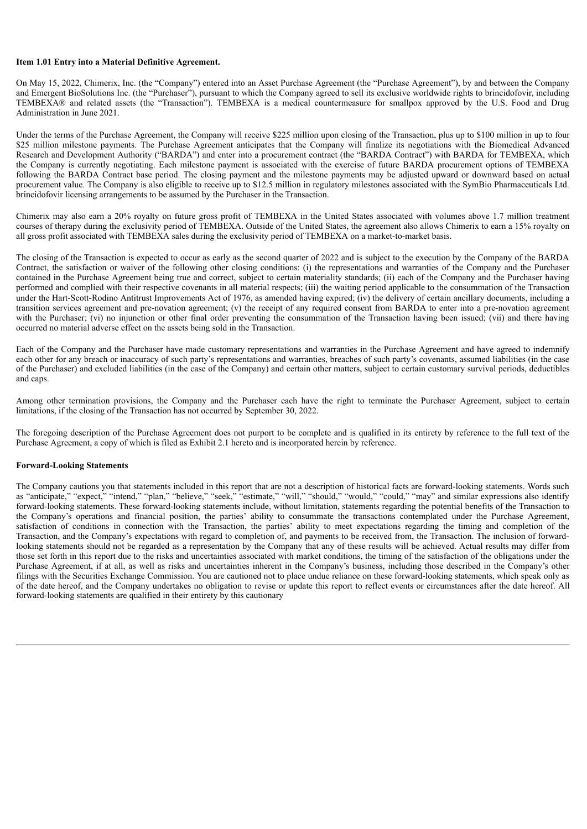### **Item 1.01 Entry into a Material Definitive Agreement.**

On May 15, 2022, Chimerix, Inc. (the "Company") entered into an Asset Purchase Agreement (the "Purchase Agreement"), by and between the Company and Emergent BioSolutions Inc. (the "Purchaser"), pursuant to which the Company agreed to sell its exclusive worldwide rights to brincidofovir, including TEMBEXA® and related assets (the "Transaction"). TEMBEXA is a medical countermeasure for smallpox approved by the U.S. Food and Drug Administration in June 2021.

Under the terms of the Purchase Agreement, the Company will receive \$225 million upon closing of the Transaction, plus up to \$100 million in up to four \$25 million milestone payments. The Purchase Agreement anticipates that the Company will finalize its negotiations with the Biomedical Advanced Research and Development Authority ("BARDA") and enter into a procurement contract (the "BARDA Contract") with BARDA for TEMBEXA, which the Company is currently negotiating. Each milestone payment is associated with the exercise of future BARDA procurement options of TEMBEXA following the BARDA Contract base period. The closing payment and the milestone payments may be adjusted upward or downward based on actual procurement value. The Company is also eligible to receive up to \$12.5 million in regulatory milestones associated with the SymBio Pharmaceuticals Ltd. brincidofovir licensing arrangements to be assumed by the Purchaser in the Transaction.

Chimerix may also earn a 20% royalty on future gross profit of TEMBEXA in the United States associated with volumes above 1.7 million treatment courses of therapy during the exclusivity period of TEMBEXA. Outside of the United States, the agreement also allows Chimerix to earn a 15% royalty on all gross profit associated with TEMBEXA sales during the exclusivity period of TEMBEXA on a market-to-market basis.

The closing of the Transaction is expected to occur as early as the second quarter of 2022 and is subject to the execution by the Company of the BARDA Contract, the satisfaction or waiver of the following other closing conditions: (i) the representations and warranties of the Company and the Purchaser contained in the Purchase Agreement being true and correct, subject to certain materiality standards; (ii) each of the Company and the Purchaser having performed and complied with their respective covenants in all material respects; (iii) the waiting period applicable to the consummation of the Transaction under the Hart-Scott-Rodino Antitrust Improvements Act of 1976, as amended having expired; (iv) the delivery of certain ancillary documents, including a transition services agreement and pre-novation agreement; (v) the receipt of any required consent from BARDA to enter into a pre-novation agreement with the Purchaser; (vi) no injunction or other final order preventing the consummation of the Transaction having been issued; (vii) and there having occurred no material adverse effect on the assets being sold in the Transaction.

Each of the Company and the Purchaser have made customary representations and warranties in the Purchase Agreement and have agreed to indemnify each other for any breach or inaccuracy of such party's representations and warranties, breaches of such party's covenants, assumed liabilities (in the case of the Purchaser) and excluded liabilities (in the case of the Company) and certain other matters, subject to certain customary survival periods, deductibles and caps.

Among other termination provisions, the Company and the Purchaser each have the right to terminate the Purchaser Agreement, subject to certain limitations, if the closing of the Transaction has not occurred by September 30, 2022.

The foregoing description of the Purchase Agreement does not purport to be complete and is qualified in its entirety by reference to the full text of the Purchase Agreement, a copy of which is filed as Exhibit 2.1 hereto and is incorporated herein by reference.

#### **Forward-Looking Statements**

The Company cautions you that statements included in this report that are not a description of historical facts are forward-looking statements. Words such as "anticipate," "expect," "intend," "plan," "believe," "seek," "estimate," "will," "should," "would," "could," "may" and similar expressions also identify forward-looking statements. These forward-looking statements include, without limitation, statements regarding the potential benefits of the Transaction to the Company's operations and financial position, the parties' ability to consummate the transactions contemplated under the Purchase Agreement, satisfaction of conditions in connection with the Transaction, the parties' ability to meet expectations regarding the timing and completion of the Transaction, and the Company's expectations with regard to completion of, and payments to be received from, the Transaction. The inclusion of forwardlooking statements should not be regarded as a representation by the Company that any of these results will be achieved. Actual results may differ from those set forth in this report due to the risks and uncertainties associated with market conditions, the timing of the satisfaction of the obligations under the Purchase Agreement, if at all, as well as risks and uncertainties inherent in the Company's business, including those described in the Company's other filings with the Securities Exchange Commission. You are cautioned not to place undue reliance on these forward-looking statements, which speak only as of the date hereof, and the Company undertakes no obligation to revise or update this report to reflect events or circumstances after the date hereof. All forward-looking statements are qualified in their entirety by this cautionary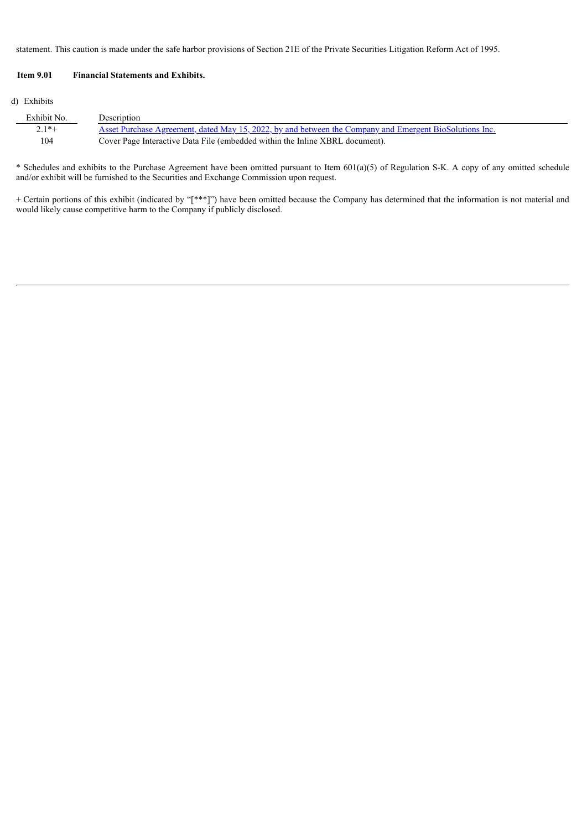statement. This caution is made under the safe harbor provisions of Section 21E of the Private Securities Litigation Reform Act of 1995.

### **Item 9.01 Financial Statements and Exhibits.**

### (d) Exhibits

| Exhibit No. | Description                                                                                             |
|-------------|---------------------------------------------------------------------------------------------------------|
| $2.1*+$     | Asset Purchase Agreement, dated May 15, 2022, by and between the Company and Emergent BioSolutions Inc. |
| 104         | Cover Page Interactive Data File (embedded within the Inline XBRL document).                            |

\* Schedules and exhibits to the Purchase Agreement have been omitted pursuant to Item 601(a)(5) of Regulation S-K. A copy of any omitted schedule and/or exhibit will be furnished to the Securities and Exchange Commission upon request.

+ Certain portions of this exhibit (indicated by "[\*\*\*]") have been omitted because the Company has determined that the information is not material and would likely cause competitive harm to the Company if publicly disclosed.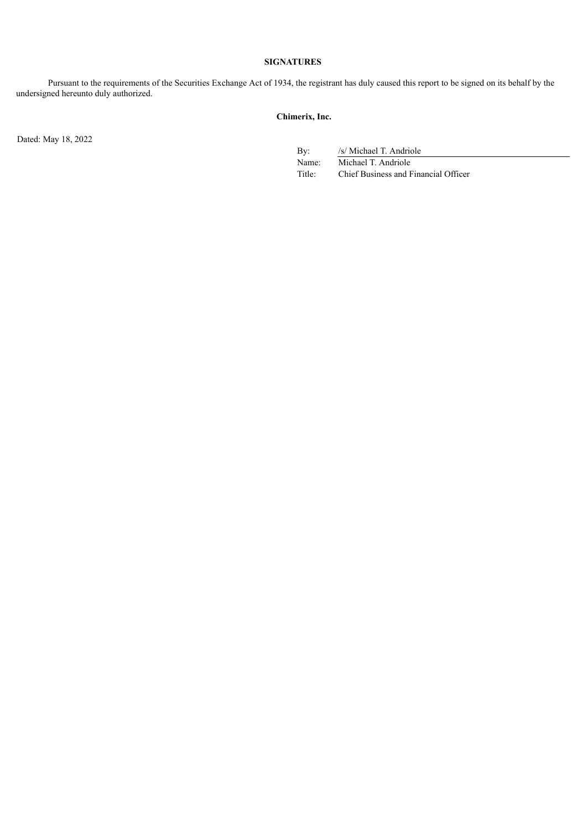### **SIGNATURES**

Pursuant to the requirements of the Securities Exchange Act of 1934, the registrant has duly caused this report to be signed on its behalf by the undersigned hereunto duly authorized.

### **Chimerix, Inc.**

Dated: May 18, 2022

By: /s/ Michael T. Andriole

Name: Michael T. Andriole Title: Chief Business and Financial Officer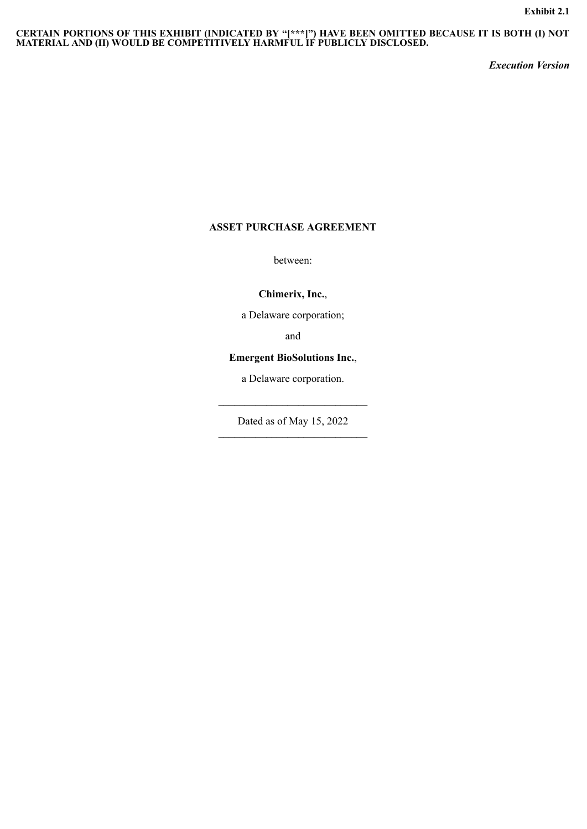#### <span id="page-4-0"></span>**CERTAIN PORTIONS OF THIS EXHIBIT (INDICATED BY "[\*\*\*]") HAVE BEEN OMITTED BECAUSE IT IS BOTH (I) NOT MATERIAL AND (II) WOULD BE COMPETITIVELY HARMFUL IF PUBLICLY DISCLOSED.**

*Execution Version*

# **ASSET PURCHASE AGREEMENT**

between:

**Chimerix, Inc.**,

a Delaware corporation;

and

### **Emergent BioSolutions Inc.**,

a Delaware corporation.

 $\mathcal{L}_\text{max}$  and  $\mathcal{L}_\text{max}$  and  $\mathcal{L}_\text{max}$ 

Dated as of May 15, 2022  $\mathcal{L}_\text{max} = \frac{1}{2} \sum_{i=1}^{n} \frac{1}{2} \sum_{i=1}^{n} \frac{1}{2} \sum_{i=1}^{n} \frac{1}{2} \sum_{i=1}^{n} \frac{1}{2} \sum_{i=1}^{n} \frac{1}{2} \sum_{i=1}^{n} \frac{1}{2} \sum_{i=1}^{n} \frac{1}{2} \sum_{i=1}^{n} \frac{1}{2} \sum_{i=1}^{n} \frac{1}{2} \sum_{i=1}^{n} \frac{1}{2} \sum_{i=1}^{n} \frac{1}{2} \sum_{i=1}^{n} \frac{1$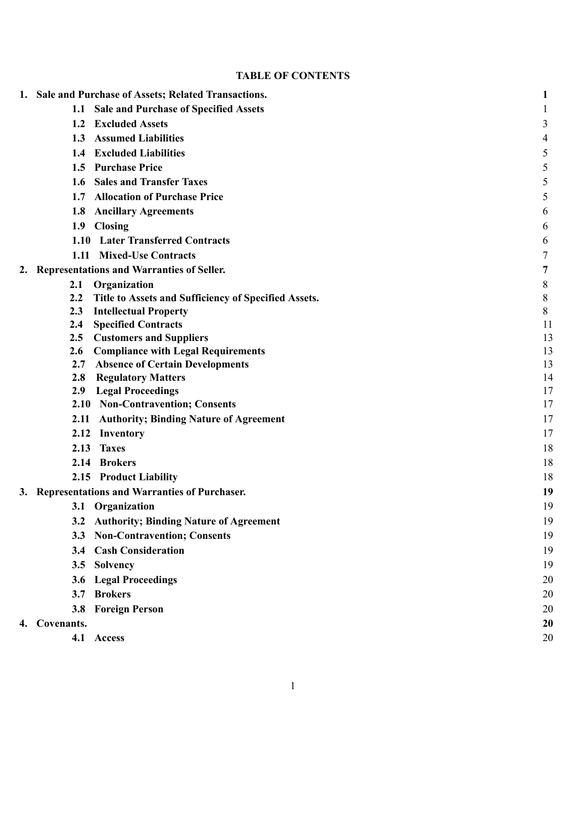# **TABLE OF CONTENTS**

|    | 1. Sale and Purchase of Assets; Related Transactions.       | 1              |
|----|-------------------------------------------------------------|----------------|
|    | Sale and Purchase of Specified Assets<br>1.1                | 1              |
|    | 1.2 Excluded Assets                                         | 3              |
|    | 1.3 Assumed Liabilities                                     | $\overline{4}$ |
|    | 1.4 Excluded Liabilities                                    | 5              |
|    | 1.5 Purchase Price                                          | 5              |
|    | 1.6 Sales and Transfer Taxes                                | 5              |
|    | 1.7 Allocation of Purchase Price                            | 5              |
|    | 1.8 Ancillary Agreements                                    | 6              |
|    | 1.9 Closing                                                 | 6              |
|    | 1.10 Later Transferred Contracts                            | 6              |
|    | 1.11 Mixed-Use Contracts                                    | 7              |
| 2. | <b>Representations and Warranties of Seller.</b>            | 7              |
|    | Organization<br>2.1                                         | 8              |
|    | Title to Assets and Sufficiency of Specified Assets.<br>2.2 | $8\,$          |
|    | 2.3<br><b>Intellectual Property</b>                         | 8              |
|    | <b>Specified Contracts</b><br>2.4                           | 11             |
|    | <b>Customers and Suppliers</b><br>$2.5\,$                   | 13             |
|    | <b>Compliance with Legal Requirements</b><br>2.6            | 13             |
|    | <b>Absence of Certain Developments</b><br>2.7               | 13             |
|    | <b>Regulatory Matters</b><br>2.8                            | 14             |
|    | <b>Legal Proceedings</b><br>2.9                             | 17<br>17       |
|    | 2.10 Non-Contravention; Consents                            | 17             |
|    | 2.11 Authority; Binding Nature of Agreement                 |                |
|    | 2.12<br>Inventory<br>2.13<br><b>Taxes</b>                   | 17             |
|    |                                                             | 18             |
|    | 2.14 Brokers                                                | 18             |
|    | 2.15 Product Liability                                      | 18             |
|    | 3. Representations and Warranties of Purchaser.             | 19             |
|    | Organization<br>3.1                                         | 19             |
|    | 3.2 Authority; Binding Nature of Agreement                  | 19             |
|    | 3.3 Non-Contravention; Consents                             | 19             |
|    | <b>Cash Consideration</b><br>3.4                            | 19             |
|    | Solvency<br>3.5                                             | 19             |
|    | <b>Legal Proceedings</b><br>3.6                             | 20             |
|    | 3.7 Brokers                                                 | 20             |
|    | <b>Foreign Person</b><br>3.8                                | 20             |
|    | 4. Covenants.                                               | 20             |
|    | 4.1 Access                                                  | 20             |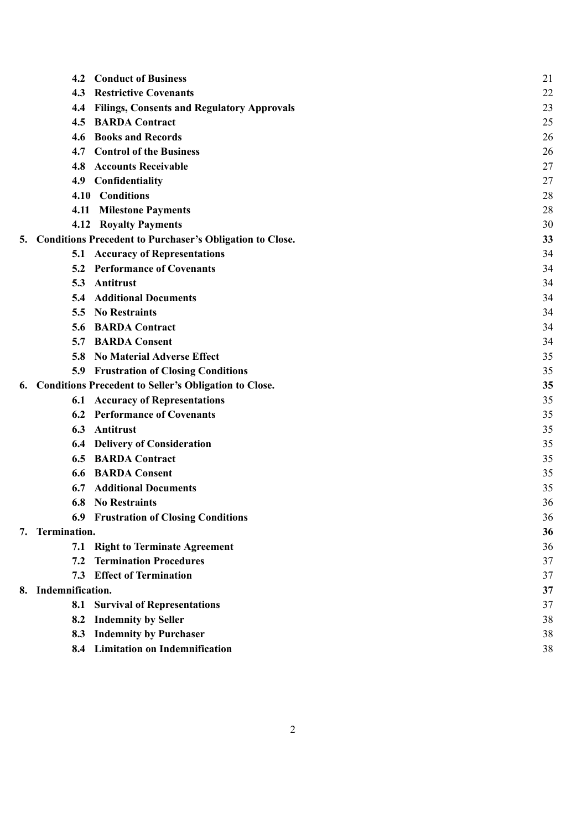|    | 4.2                 | <b>Conduct of Business</b>                                      | 21 |
|----|---------------------|-----------------------------------------------------------------|----|
|    | 4.3                 | <b>Restrictive Covenants</b>                                    | 22 |
|    | 4.4                 | <b>Filings, Consents and Regulatory Approvals</b>               | 23 |
|    | 4.5                 | <b>BARDA Contract</b>                                           | 25 |
|    |                     | 4.6 Books and Records                                           | 26 |
|    |                     | 4.7 Control of the Business                                     | 26 |
|    | 4.8                 | <b>Accounts Receivable</b>                                      | 27 |
|    | 4.9                 | Confidentiality                                                 | 27 |
|    |                     | 4.10 Conditions                                                 | 28 |
|    | 4.11                | <b>Milestone Payments</b>                                       | 28 |
|    |                     | <b>4.12 Royalty Payments</b>                                    | 30 |
| 5. |                     | <b>Conditions Precedent to Purchaser's Obligation to Close.</b> | 33 |
|    |                     | <b>5.1 Accuracy of Representations</b>                          | 34 |
|    |                     | 5.2 Performance of Covenants                                    | 34 |
|    | 5.3                 | Antitrust                                                       | 34 |
|    | 5.4                 | <b>Additional Documents</b>                                     | 34 |
|    |                     | 5.5 No Restraints                                               | 34 |
|    |                     | 5.6 BARDA Contract                                              | 34 |
|    |                     | <b>5.7 BARDA Consent</b>                                        | 34 |
|    | 5.8                 | <b>No Material Adverse Effect</b>                               | 35 |
|    |                     | <b>5.9 Frustration of Closing Conditions</b>                    | 35 |
| 6. |                     | <b>Conditions Precedent to Seller's Obligation to Close.</b>    | 35 |
|    |                     | <b>6.1 Accuracy of Representations</b>                          | 35 |
|    |                     | <b>6.2 Performance of Covenants</b>                             | 35 |
|    | 6.3                 | Antitrust                                                       | 35 |
|    |                     | <b>6.4 Delivery of Consideration</b>                            | 35 |
|    |                     | <b>6.5 BARDA Contract</b>                                       | 35 |
|    | 6.6                 | <b>BARDA Consent</b>                                            | 35 |
|    | 6.7                 | <b>Additional Documents</b>                                     | 35 |
|    |                     | <b>6.8 No Restraints</b>                                        | 36 |
|    |                     | <b>6.9 Frustration of Closing Conditions</b>                    | 36 |
|    | 7. Termination.     |                                                                 | 36 |
|    |                     | 7.1 Right to Terminate Agreement                                | 36 |
|    | 7.2                 | <b>Termination Procedures</b>                                   | 37 |
|    | 7.3                 | <b>Effect of Termination</b>                                    | 37 |
|    | 8. Indemnification. |                                                                 | 37 |
|    | 8.1                 | <b>Survival of Representations</b>                              | 37 |
|    | 8.2                 | <b>Indemnity by Seller</b>                                      | 38 |
|    | 8.3                 | <b>Indemnity by Purchaser</b>                                   | 38 |
|    |                     | 8.4 Limitation on Indemnification                               | 38 |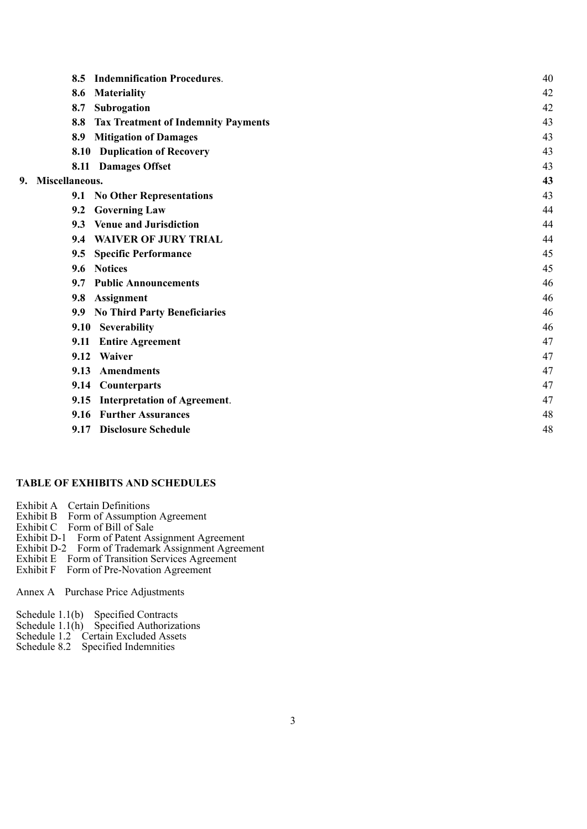|    | <b>Indemnification Procedures.</b><br>8.5         | 40 |
|----|---------------------------------------------------|----|
|    | <b>Materiality</b><br>8.6                         | 42 |
|    | 8.7<br>Subrogation                                | 42 |
|    | <b>Tax Treatment of Indemnity Payments</b><br>8.8 | 43 |
|    | <b>Mitigation of Damages</b><br>8.9               | 43 |
|    | <b>8.10 Duplication of Recovery</b>               | 43 |
|    | 8.11 Damages Offset                               | 43 |
| 9. | Miscellaneous.                                    | 43 |
|    | 9.1 No Other Representations                      | 43 |
|    | 9.2 Governing Law                                 | 44 |
|    | 9.3 Venue and Jurisdiction                        | 44 |
|    | <b>WAIVER OF JURY TRIAL</b><br>9.4                | 44 |
|    | <b>Specific Performance</b><br>9.5                | 45 |
|    | 9.6 Notices                                       | 45 |
|    | <b>Public Announcements</b><br>9.7                | 46 |
|    | Assignment<br>9.8                                 | 46 |
|    | <b>No Third Party Beneficiaries</b><br>9.9        | 46 |
|    | Severability<br>9.10                              | 46 |
|    | <b>Entire Agreement</b><br>9.11                   | 47 |
|    | 9.12<br><b>Waiver</b>                             | 47 |
|    | 9.13<br><b>Amendments</b>                         | 47 |
|    | <b>Counterparts</b><br>9.14                       | 47 |
|    | <b>Interpretation of Agreement.</b><br>9.15       | 47 |
|    | <b>Further Assurances</b><br>9.16                 | 48 |
|    | <b>Disclosure Schedule</b><br>9.17                | 48 |

# **TABLE OF EXHIBITS AND SCHEDULES**

Exhibit A Certain Definitions

- Exhibit B Form of Assumption Agreement
- Exhibit C Form of Bill of Sale
- Exhibit D-1 Form of Patent Assignment Agreement
- Exhibit D-2 Form of Trademark Assignment Agreement
- Exhibit E Form of Transition Services Agreement
- Exhibit F Form of Pre-Novation Agreement

Annex A Purchase Price Adjustments

- Schedule 1.1(b) Specified Contracts
- Schedule 1.1(h) Specified Authorizations
- Schedule 1.2 Certain Excluded Assets
- Schedule 8.2 Specified Indemnities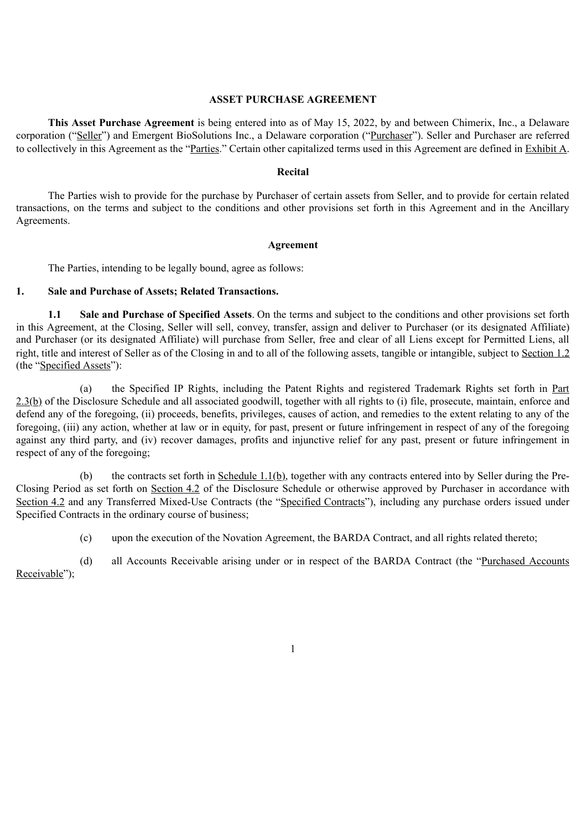### **ASSET PURCHASE AGREEMENT**

**This Asset Purchase Agreement** is being entered into as of May 15, 2022, by and between Chimerix, Inc., a Delaware corporation ("Seller") and Emergent BioSolutions Inc., a Delaware corporation ("Purchaser"). Seller and Purchaser are referred to collectively in this Agreement as the "Parties." Certain other capitalized terms used in this Agreement are defined in Exhibit A.

### **Recital**

The Parties wish to provide for the purchase by Purchaser of certain assets from Seller, and to provide for certain related transactions, on the terms and subject to the conditions and other provisions set forth in this Agreement and in the Ancillary Agreements.

### **Agreement**

The Parties, intending to be legally bound, agree as follows:

## **1. Sale and Purchase of Assets; Related Transactions.**

**1.1 Sale and Purchase of Specified Assets**. On the terms and subject to the conditions and other provisions set forth in this Agreement, at the Closing, Seller will sell, convey, transfer, assign and deliver to Purchaser (or its designated Affiliate) and Purchaser (or its designated Affiliate) will purchase from Seller, free and clear of all Liens except for Permitted Liens, all right, title and interest of Seller as of the Closing in and to all of the following assets, tangible or intangible, subject to Section 1.2 (the "Specified Assets"):

(a) the Specified IP Rights, including the Patent Rights and registered Trademark Rights set forth in Part 2.3(b) of the Disclosure Schedule and all associated goodwill, together with all rights to (i) file, prosecute, maintain, enforce and defend any of the foregoing, (ii) proceeds, benefits, privileges, causes of action, and remedies to the extent relating to any of the foregoing, (iii) any action, whether at law or in equity, for past, present or future infringement in respect of any of the foregoing against any third party, and (iv) recover damages, profits and injunctive relief for any past, present or future infringement in respect of any of the foregoing;

(b) the contracts set forth in Schedule  $1.1(b)$ , together with any contracts entered into by Seller during the Pre-Closing Period as set forth on Section 4.2 of the Disclosure Schedule or otherwise approved by Purchaser in accordance with Section 4.2 and any Transferred Mixed-Use Contracts (the "Specified Contracts"), including any purchase orders issued under Specified Contracts in the ordinary course of business;

(c) upon the execution of the Novation Agreement, the BARDA Contract, and all rights related thereto;

(d) all Accounts Receivable arising under or in respect of the BARDA Contract (the "Purchased Accounts Receivable");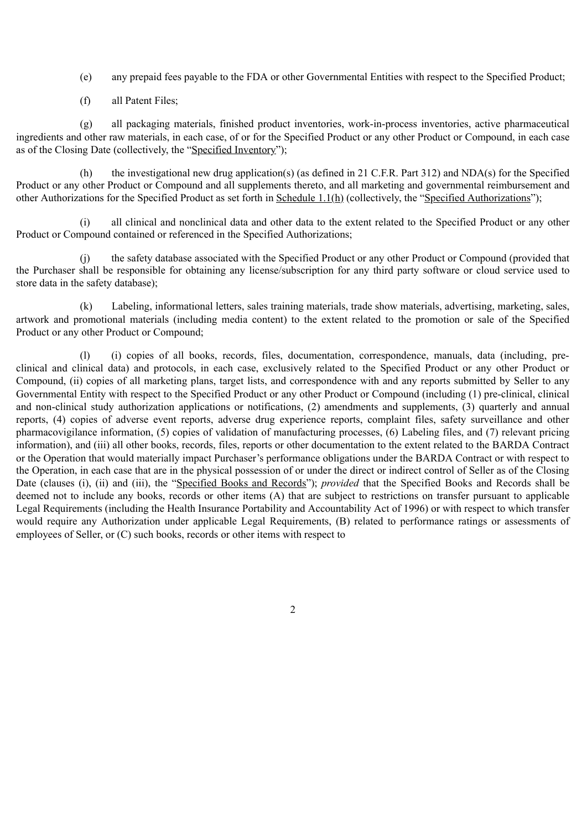- (e) any prepaid fees payable to the FDA or other Governmental Entities with respect to the Specified Product;
- (f) all Patent Files;

(g) all packaging materials, finished product inventories, work-in-process inventories, active pharmaceutical ingredients and other raw materials, in each case, of or for the Specified Product or any other Product or Compound, in each case as of the Closing Date (collectively, the "Specified Inventory");

(h) the investigational new drug application(s) (as defined in 21 C.F.R. Part 312) and NDA(s) for the Specified Product or any other Product or Compound and all supplements thereto, and all marketing and governmental reimbursement and other Authorizations for the Specified Product as set forth in Schedule 1.1(h) (collectively, the "Specified Authorizations");

(i) all clinical and nonclinical data and other data to the extent related to the Specified Product or any other Product or Compound contained or referenced in the Specified Authorizations;

(j) the safety database associated with the Specified Product or any other Product or Compound (provided that the Purchaser shall be responsible for obtaining any license/subscription for any third party software or cloud service used to store data in the safety database);

(k) Labeling, informational letters, sales training materials, trade show materials, advertising, marketing, sales, artwork and promotional materials (including media content) to the extent related to the promotion or sale of the Specified Product or any other Product or Compound;

(l) (i) copies of all books, records, files, documentation, correspondence, manuals, data (including, preclinical and clinical data) and protocols, in each case, exclusively related to the Specified Product or any other Product or Compound, (ii) copies of all marketing plans, target lists, and correspondence with and any reports submitted by Seller to any Governmental Entity with respect to the Specified Product or any other Product or Compound (including (1) pre-clinical, clinical and non-clinical study authorization applications or notifications, (2) amendments and supplements, (3) quarterly and annual reports, (4) copies of adverse event reports, adverse drug experience reports, complaint files, safety surveillance and other pharmacovigilance information, (5) copies of validation of manufacturing processes, (6) Labeling files, and (7) relevant pricing information), and (iii) all other books, records, files, reports or other documentation to the extent related to the BARDA Contract or the Operation that would materially impact Purchaser's performance obligations under the BARDA Contract or with respect to the Operation, in each case that are in the physical possession of or under the direct or indirect control of Seller as of the Closing Date (clauses (i), (ii) and (iii), the "Specified Books and Records"); *provided* that the Specified Books and Records shall be deemed not to include any books, records or other items (A) that are subject to restrictions on transfer pursuant to applicable Legal Requirements (including the Health Insurance Portability and Accountability Act of 1996) or with respect to which transfer would require any Authorization under applicable Legal Requirements, (B) related to performance ratings or assessments of employees of Seller, or (C) such books, records or other items with respect to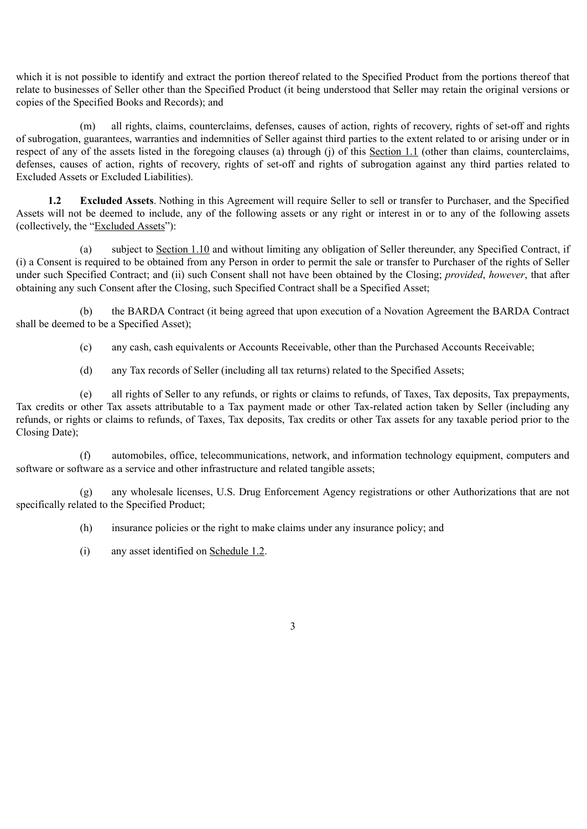which it is not possible to identify and extract the portion thereof related to the Specified Product from the portions thereof that relate to businesses of Seller other than the Specified Product (it being understood that Seller may retain the original versions or copies of the Specified Books and Records); and

(m) all rights, claims, counterclaims, defenses, causes of action, rights of recovery, rights of set-off and rights of subrogation, guarantees, warranties and indemnities of Seller against third parties to the extent related to or arising under or in respect of any of the assets listed in the foregoing clauses (a) through (j) of this Section 1.1 (other than claims, counterclaims, defenses, causes of action, rights of recovery, rights of set-off and rights of subrogation against any third parties related to Excluded Assets or Excluded Liabilities).

**1.2 Excluded Assets**. Nothing in this Agreement will require Seller to sell or transfer to Purchaser, and the Specified Assets will not be deemed to include, any of the following assets or any right or interest in or to any of the following assets (collectively, the "Excluded Assets"):

(a) subject to Section 1.10 and without limiting any obligation of Seller thereunder, any Specified Contract, if (i) a Consent is required to be obtained from any Person in order to permit the sale or transfer to Purchaser of the rights of Seller under such Specified Contract; and (ii) such Consent shall not have been obtained by the Closing; *provided*, *however*, that after obtaining any such Consent after the Closing, such Specified Contract shall be a Specified Asset;

(b) the BARDA Contract (it being agreed that upon execution of a Novation Agreement the BARDA Contract shall be deemed to be a Specified Asset);

(c) any cash, cash equivalents or Accounts Receivable, other than the Purchased Accounts Receivable;

(d) any Tax records of Seller (including all tax returns) related to the Specified Assets;

(e) all rights of Seller to any refunds, or rights or claims to refunds, of Taxes, Tax deposits, Tax prepayments, Tax credits or other Tax assets attributable to a Tax payment made or other Tax-related action taken by Seller (including any refunds, or rights or claims to refunds, of Taxes, Tax deposits, Tax credits or other Tax assets for any taxable period prior to the Closing Date);

(f) automobiles, office, telecommunications, network, and information technology equipment, computers and software or software as a service and other infrastructure and related tangible assets;

(g) any wholesale licenses, U.S. Drug Enforcement Agency registrations or other Authorizations that are not specifically related to the Specified Product;

(h) insurance policies or the right to make claims under any insurance policy; and

(i) any asset identified on Schedule 1.2.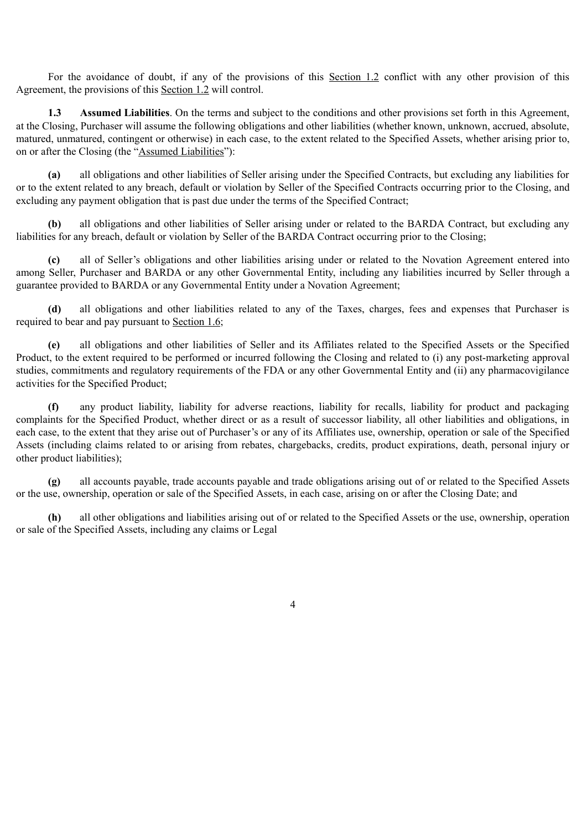For the avoidance of doubt, if any of the provisions of this Section 1.2 conflict with any other provision of this Agreement, the provisions of this Section 1.2 will control.

**1.3 Assumed Liabilities**. On the terms and subject to the conditions and other provisions set forth in this Agreement, at the Closing, Purchaser will assume the following obligations and other liabilities (whether known, unknown, accrued, absolute, matured, unmatured, contingent or otherwise) in each case, to the extent related to the Specified Assets, whether arising prior to, on or after the Closing (the "Assumed Liabilities"):

**(a)** all obligations and other liabilities of Seller arising under the Specified Contracts, but excluding any liabilities for or to the extent related to any breach, default or violation by Seller of the Specified Contracts occurring prior to the Closing, and excluding any payment obligation that is past due under the terms of the Specified Contract;

**(b)** all obligations and other liabilities of Seller arising under or related to the BARDA Contract, but excluding any liabilities for any breach, default or violation by Seller of the BARDA Contract occurring prior to the Closing;

**(c)** all of Seller's obligations and other liabilities arising under or related to the Novation Agreement entered into among Seller, Purchaser and BARDA or any other Governmental Entity, including any liabilities incurred by Seller through a guarantee provided to BARDA or any Governmental Entity under a Novation Agreement;

**(d)** all obligations and other liabilities related to any of the Taxes, charges, fees and expenses that Purchaser is required to bear and pay pursuant to Section 1.6;

**(e)** all obligations and other liabilities of Seller and its Affiliates related to the Specified Assets or the Specified Product, to the extent required to be performed or incurred following the Closing and related to (i) any post-marketing approval studies, commitments and regulatory requirements of the FDA or any other Governmental Entity and (ii) any pharmacovigilance activities for the Specified Product;

**(f)** any product liability, liability for adverse reactions, liability for recalls, liability for product and packaging complaints for the Specified Product, whether direct or as a result of successor liability, all other liabilities and obligations, in each case, to the extent that they arise out of Purchaser's or any of its Affiliates use, ownership, operation or sale of the Specified Assets (including claims related to or arising from rebates, chargebacks, credits, product expirations, death, personal injury or other product liabilities);

**(g)** all accounts payable, trade accounts payable and trade obligations arising out of or related to the Specified Assets or the use, ownership, operation or sale of the Specified Assets, in each case, arising on or after the Closing Date; and

**(h)** all other obligations and liabilities arising out of or related to the Specified Assets or the use, ownership, operation or sale of the Specified Assets, including any claims or Legal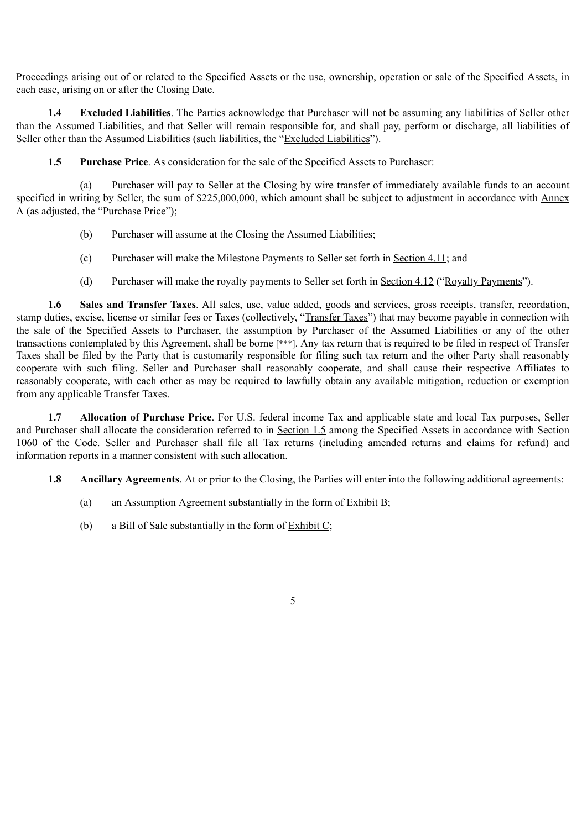Proceedings arising out of or related to the Specified Assets or the use, ownership, operation or sale of the Specified Assets, in each case, arising on or after the Closing Date.

**1.4 Excluded Liabilities**. The Parties acknowledge that Purchaser will not be assuming any liabilities of Seller other than the Assumed Liabilities, and that Seller will remain responsible for, and shall pay, perform or discharge, all liabilities of Seller other than the Assumed Liabilities (such liabilities, the "Excluded Liabilities").

**1.5 Purchase Price**. As consideration for the sale of the Specified Assets to Purchaser:

(a) Purchaser will pay to Seller at the Closing by wire transfer of immediately available funds to an account specified in writing by Seller, the sum of \$225,000,000, which amount shall be subject to adjustment in accordance with Annex A (as adjusted, the "Purchase Price");

- (b) Purchaser will assume at the Closing the Assumed Liabilities;
- (c) Purchaser will make the Milestone Payments to Seller set forth in Section 4.11; and
- (d) Purchaser will make the royalty payments to Seller set forth in Section 4.12 ("Royalty Payments").

**1.6 Sales and Transfer Taxes**. All sales, use, value added, goods and services, gross receipts, transfer, recordation, stamp duties, excise, license or similar fees or Taxes (collectively, "Transfer Taxes") that may become payable in connection with the sale of the Specified Assets to Purchaser, the assumption by Purchaser of the Assumed Liabilities or any of the other transactions contemplated by this Agreement, shall be borne [\*\*\*]. Any tax return that is required to be filed in respect of Transfer Taxes shall be filed by the Party that is customarily responsible for filing such tax return and the other Party shall reasonably cooperate with such filing. Seller and Purchaser shall reasonably cooperate, and shall cause their respective Affiliates to reasonably cooperate, with each other as may be required to lawfully obtain any available mitigation, reduction or exemption from any applicable Transfer Taxes.

**1.7 Allocation of Purchase Price**. For U.S. federal income Tax and applicable state and local Tax purposes, Seller and Purchaser shall allocate the consideration referred to in Section 1.5 among the Specified Assets in accordance with Section 1060 of the Code. Seller and Purchaser shall file all Tax returns (including amended returns and claims for refund) and information reports in a manner consistent with such allocation.

- **1.8 Ancillary Agreements**. At or prior to the Closing, the Parties will enter into the following additional agreements:
	- (a) an Assumption Agreement substantially in the form of Exhibit B;
	- (b) a Bill of Sale substantially in the form of Exhibit C;
		- 5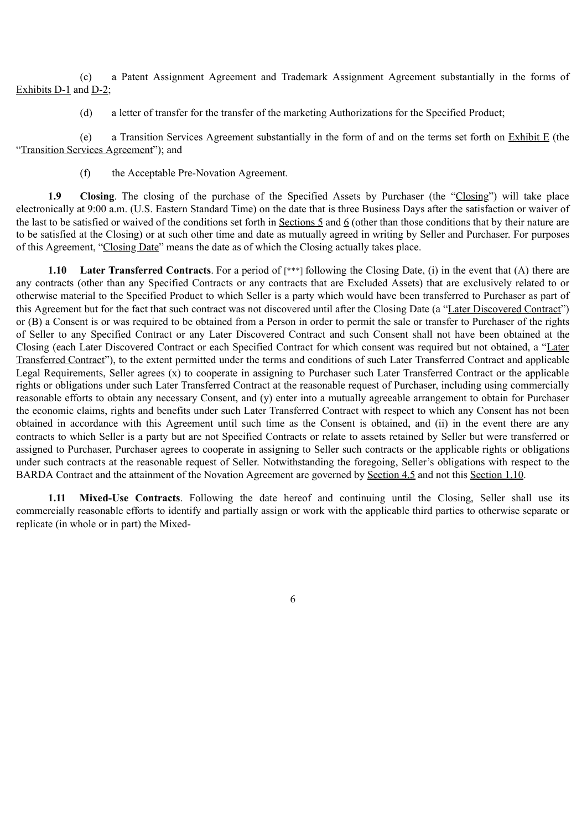(c) a Patent Assignment Agreement and Trademark Assignment Agreement substantially in the forms of Exhibits D-1 and D-2;

(d) a letter of transfer for the transfer of the marketing Authorizations for the Specified Product;

(e) a Transition Services Agreement substantially in the form of and on the terms set forth on Exhibit E (the "Transition Services Agreement"); and

(f) the Acceptable Pre-Novation Agreement.

**1.9 Closing**. The closing of the purchase of the Specified Assets by Purchaser (the "Closing") will take place electronically at 9:00 a.m. (U.S. Eastern Standard Time) on the date that is three Business Days after the satisfaction or waiver of the last to be satisfied or waived of the conditions set forth in Sections 5 and 6 (other than those conditions that by their nature are to be satisfied at the Closing) or at such other time and date as mutually agreed in writing by Seller and Purchaser. For purposes of this Agreement, "Closing Date" means the date as of which the Closing actually takes place.

**1.10 Later Transferred Contracts**. For a period of [\*\*\*] following the Closing Date, (i) in the event that (A) there are any contracts (other than any Specified Contracts or any contracts that are Excluded Assets) that are exclusively related to or otherwise material to the Specified Product to which Seller is a party which would have been transferred to Purchaser as part of this Agreement but for the fact that such contract was not discovered until after the Closing Date (a "Later Discovered Contract") or (B) a Consent is or was required to be obtained from a Person in order to permit the sale or transfer to Purchaser of the rights of Seller to any Specified Contract or any Later Discovered Contract and such Consent shall not have been obtained at the Closing (each Later Discovered Contract or each Specified Contract for which consent was required but not obtained, a "Later Transferred Contract"), to the extent permitted under the terms and conditions of such Later Transferred Contract and applicable Legal Requirements, Seller agrees (x) to cooperate in assigning to Purchaser such Later Transferred Contract or the applicable rights or obligations under such Later Transferred Contract at the reasonable request of Purchaser, including using commercially reasonable efforts to obtain any necessary Consent, and (y) enter into a mutually agreeable arrangement to obtain for Purchaser the economic claims, rights and benefits under such Later Transferred Contract with respect to which any Consent has not been obtained in accordance with this Agreement until such time as the Consent is obtained, and (ii) in the event there are any contracts to which Seller is a party but are not Specified Contracts or relate to assets retained by Seller but were transferred or assigned to Purchaser, Purchaser agrees to cooperate in assigning to Seller such contracts or the applicable rights or obligations under such contracts at the reasonable request of Seller. Notwithstanding the foregoing, Seller's obligations with respect to the BARDA Contract and the attainment of the Novation Agreement are governed by Section 4.5 and not this Section 1.10.

**1.11 Mixed-Use Contracts**. Following the date hereof and continuing until the Closing, Seller shall use its commercially reasonable efforts to identify and partially assign or work with the applicable third parties to otherwise separate or replicate (in whole or in part) the Mixed-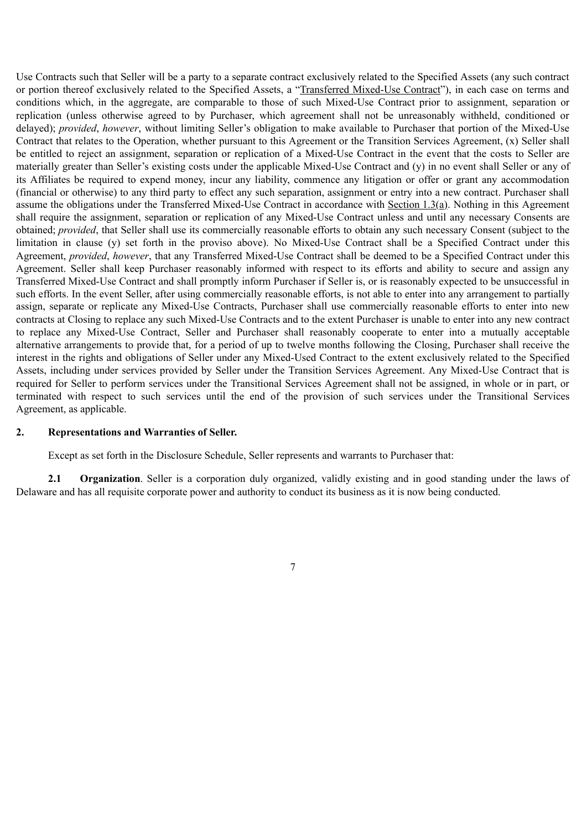Use Contracts such that Seller will be a party to a separate contract exclusively related to the Specified Assets (any such contract or portion thereof exclusively related to the Specified Assets, a "Transferred Mixed-Use Contract"), in each case on terms and conditions which, in the aggregate, are comparable to those of such Mixed-Use Contract prior to assignment, separation or replication (unless otherwise agreed to by Purchaser, which agreement shall not be unreasonably withheld, conditioned or delayed); *provided*, *however*, without limiting Seller's obligation to make available to Purchaser that portion of the Mixed-Use Contract that relates to the Operation, whether pursuant to this Agreement or the Transition Services Agreement, (x) Seller shall be entitled to reject an assignment, separation or replication of a Mixed-Use Contract in the event that the costs to Seller are materially greater than Seller's existing costs under the applicable Mixed-Use Contract and (y) in no event shall Seller or any of its Affiliates be required to expend money, incur any liability, commence any litigation or offer or grant any accommodation (financial or otherwise) to any third party to effect any such separation, assignment or entry into a new contract. Purchaser shall assume the obligations under the Transferred Mixed-Use Contract in accordance with Section 1.3(a). Nothing in this Agreement shall require the assignment, separation or replication of any Mixed-Use Contract unless and until any necessary Consents are obtained; *provided*, that Seller shall use its commercially reasonable efforts to obtain any such necessary Consent (subject to the limitation in clause (y) set forth in the proviso above). No Mixed-Use Contract shall be a Specified Contract under this Agreement, *provided*, *however*, that any Transferred Mixed-Use Contract shall be deemed to be a Specified Contract under this Agreement. Seller shall keep Purchaser reasonably informed with respect to its efforts and ability to secure and assign any Transferred Mixed-Use Contract and shall promptly inform Purchaser if Seller is, or is reasonably expected to be unsuccessful in such efforts. In the event Seller, after using commercially reasonable efforts, is not able to enter into any arrangement to partially assign, separate or replicate any Mixed-Use Contracts, Purchaser shall use commercially reasonable efforts to enter into new contracts at Closing to replace any such Mixed-Use Contracts and to the extent Purchaser is unable to enter into any new contract to replace any Mixed-Use Contract, Seller and Purchaser shall reasonably cooperate to enter into a mutually acceptable alternative arrangements to provide that, for a period of up to twelve months following the Closing, Purchaser shall receive the interest in the rights and obligations of Seller under any Mixed-Used Contract to the extent exclusively related to the Specified Assets, including under services provided by Seller under the Transition Services Agreement. Any Mixed-Use Contract that is required for Seller to perform services under the Transitional Services Agreement shall not be assigned, in whole or in part, or terminated with respect to such services until the end of the provision of such services under the Transitional Services Agreement, as applicable.

### **2. Representations and Warranties of Seller.**

Except as set forth in the Disclosure Schedule, Seller represents and warrants to Purchaser that:

**2.1 Organization**. Seller is a corporation duly organized, validly existing and in good standing under the laws of Delaware and has all requisite corporate power and authority to conduct its business as it is now being conducted.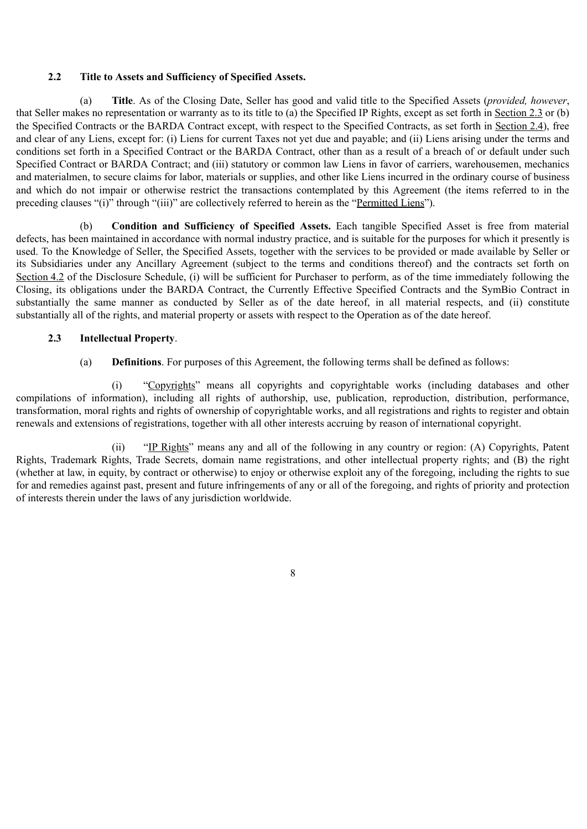## **2.2 Title to Assets and Sufficiency of Specified Assets.**

(a) **Title**. As of the Closing Date, Seller has good and valid title to the Specified Assets (*provided, however*, that Seller makes no representation or warranty as to its title to (a) the Specified IP Rights, except as set forth in Section 2.3 or (b) the Specified Contracts or the BARDA Contract except, with respect to the Specified Contracts, as set forth in Section 2.4), free and clear of any Liens, except for: (i) Liens for current Taxes not yet due and payable; and (ii) Liens arising under the terms and conditions set forth in a Specified Contract or the BARDA Contract, other than as a result of a breach of or default under such Specified Contract or BARDA Contract; and (iii) statutory or common law Liens in favor of carriers, warehousemen, mechanics and materialmen, to secure claims for labor, materials or supplies, and other like Liens incurred in the ordinary course of business and which do not impair or otherwise restrict the transactions contemplated by this Agreement (the items referred to in the preceding clauses "(i)" through "(iii)" are collectively referred to herein as the "Permitted Liens").

(b) **Condition and Sufficiency of Specified Assets.** Each tangible Specified Asset is free from material defects, has been maintained in accordance with normal industry practice, and is suitable for the purposes for which it presently is used. To the Knowledge of Seller, the Specified Assets, together with the services to be provided or made available by Seller or its Subsidiaries under any Ancillary Agreement (subject to the terms and conditions thereof) and the contracts set forth on Section 4.2 of the Disclosure Schedule, (i) will be sufficient for Purchaser to perform, as of the time immediately following the Closing, its obligations under the BARDA Contract, the Currently Effective Specified Contracts and the SymBio Contract in substantially the same manner as conducted by Seller as of the date hereof, in all material respects, and (ii) constitute substantially all of the rights, and material property or assets with respect to the Operation as of the date hereof.

# **2.3 Intellectual Property**.

(a) **Definitions**. For purposes of this Agreement, the following terms shall be defined as follows:

(i) "Copyrights" means all copyrights and copyrightable works (including databases and other compilations of information), including all rights of authorship, use, publication, reproduction, distribution, performance, transformation, moral rights and rights of ownership of copyrightable works, and all registrations and rights to register and obtain renewals and extensions of registrations, together with all other interests accruing by reason of international copyright.

(ii) "IP Rights" means any and all of the following in any country or region: (A) Copyrights, Patent Rights, Trademark Rights, Trade Secrets, domain name registrations, and other intellectual property rights; and (B) the right (whether at law, in equity, by contract or otherwise) to enjoy or otherwise exploit any of the foregoing, including the rights to sue for and remedies against past, present and future infringements of any or all of the foregoing, and rights of priority and protection of interests therein under the laws of any jurisdiction worldwide.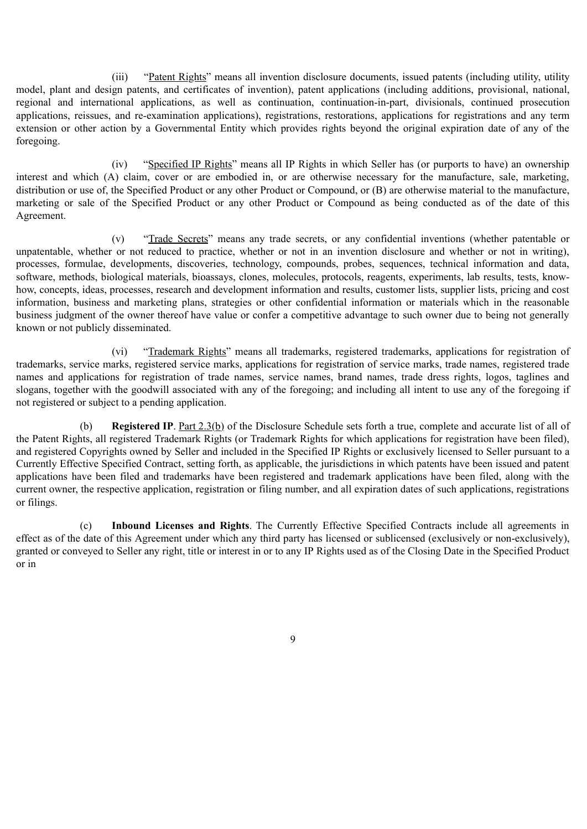(iii) "Patent Rights" means all invention disclosure documents, issued patents (including utility, utility model, plant and design patents, and certificates of invention), patent applications (including additions, provisional, national, regional and international applications, as well as continuation, continuation-in-part, divisionals, continued prosecution applications, reissues, and re-examination applications), registrations, restorations, applications for registrations and any term extension or other action by a Governmental Entity which provides rights beyond the original expiration date of any of the foregoing.

(iv) "Specified IP Rights" means all IP Rights in which Seller has (or purports to have) an ownership interest and which (A) claim, cover or are embodied in, or are otherwise necessary for the manufacture, sale, marketing, distribution or use of, the Specified Product or any other Product or Compound, or (B) are otherwise material to the manufacture, marketing or sale of the Specified Product or any other Product or Compound as being conducted as of the date of this Agreement.

(v) "Trade Secrets" means any trade secrets, or any confidential inventions (whether patentable or unpatentable, whether or not reduced to practice, whether or not in an invention disclosure and whether or not in writing), processes, formulae, developments, discoveries, technology, compounds, probes, sequences, technical information and data, software, methods, biological materials, bioassays, clones, molecules, protocols, reagents, experiments, lab results, tests, knowhow, concepts, ideas, processes, research and development information and results, customer lists, supplier lists, pricing and cost information, business and marketing plans, strategies or other confidential information or materials which in the reasonable business judgment of the owner thereof have value or confer a competitive advantage to such owner due to being not generally known or not publicly disseminated.

(vi) "Trademark Rights" means all trademarks, registered trademarks, applications for registration of trademarks, service marks, registered service marks, applications for registration of service marks, trade names, registered trade names and applications for registration of trade names, service names, brand names, trade dress rights, logos, taglines and slogans, together with the goodwill associated with any of the foregoing; and including all intent to use any of the foregoing if not registered or subject to a pending application.

(b) **Registered IP**. Part 2.3(b) of the Disclosure Schedule sets forth a true, complete and accurate list of all of the Patent Rights, all registered Trademark Rights (or Trademark Rights for which applications for registration have been filed), and registered Copyrights owned by Seller and included in the Specified IP Rights or exclusively licensed to Seller pursuant to a Currently Effective Specified Contract, setting forth, as applicable, the jurisdictions in which patents have been issued and patent applications have been filed and trademarks have been registered and trademark applications have been filed, along with the current owner, the respective application, registration or filing number, and all expiration dates of such applications, registrations or filings.

(c) **Inbound Licenses and Rights**. The Currently Effective Specified Contracts include all agreements in effect as of the date of this Agreement under which any third party has licensed or sublicensed (exclusively or non-exclusively), granted or conveyed to Seller any right, title or interest in or to any IP Rights used as of the Closing Date in the Specified Product or in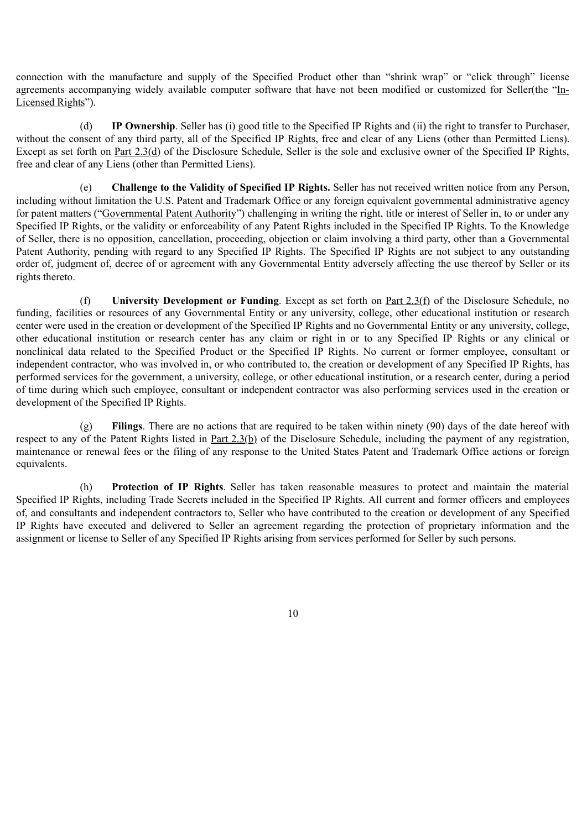connection with the manufacture and supply of the Specified Product other than "shrink wrap" or "click through" license agreements accompanying widely available computer software that have not been modified or customized for Seller(the "In-Licensed Rights").

(d) **IP Ownership**. Seller has (i) good title to the Specified IP Rights and (ii) the right to transfer to Purchaser, without the consent of any third party, all of the Specified IP Rights, free and clear of any Liens (other than Permitted Liens). Except as set forth on Part 2.3(d) of the Disclosure Schedule, Seller is the sole and exclusive owner of the Specified IP Rights, free and clear of any Liens (other than Permitted Liens).

(e) **Challenge to the Validity of Specified IP Rights.** Seller has not received written notice from any Person, including without limitation the U.S. Patent and Trademark Office or any foreign equivalent governmental administrative agency for patent matters ("Governmental Patent Authority") challenging in writing the right, title or interest of Seller in, to or under any Specified IP Rights, or the validity or enforceability of any Patent Rights included in the Specified IP Rights. To the Knowledge of Seller, there is no opposition, cancellation, proceeding, objection or claim involving a third party, other than a Governmental Patent Authority, pending with regard to any Specified IP Rights. The Specified IP Rights are not subject to any outstanding order of, judgment of, decree of or agreement with any Governmental Entity adversely affecting the use thereof by Seller or its rights thereto.

(f) **University Development or Funding**. Except as set forth on Part 2.3(f) of the Disclosure Schedule, no funding, facilities or resources of any Governmental Entity or any university, college, other educational institution or research center were used in the creation or development of the Specified IP Rights and no Governmental Entity or any university, college, other educational institution or research center has any claim or right in or to any Specified IP Rights or any clinical or nonclinical data related to the Specified Product or the Specified IP Rights. No current or former employee, consultant or independent contractor, who was involved in, or who contributed to, the creation or development of any Specified IP Rights, has performed services for the government, a university, college, or other educational institution, or a research center, during a period of time during which such employee, consultant or independent contractor was also performing services used in the creation or development of the Specified IP Rights.

(g) **Filings**. There are no actions that are required to be taken within ninety (90) days of the date hereof with respect to any of the Patent Rights listed in Part 2.3(b) of the Disclosure Schedule, including the payment of any registration, maintenance or renewal fees or the filing of any response to the United States Patent and Trademark Office actions or foreign equivalents.

(h) **Protection of IP Rights**. Seller has taken reasonable measures to protect and maintain the material Specified IP Rights, including Trade Secrets included in the Specified IP Rights. All current and former officers and employees of, and consultants and independent contractors to, Seller who have contributed to the creation or development of any Specified IP Rights have executed and delivered to Seller an agreement regarding the protection of proprietary information and the assignment or license to Seller of any Specified IP Rights arising from services performed for Seller by such persons.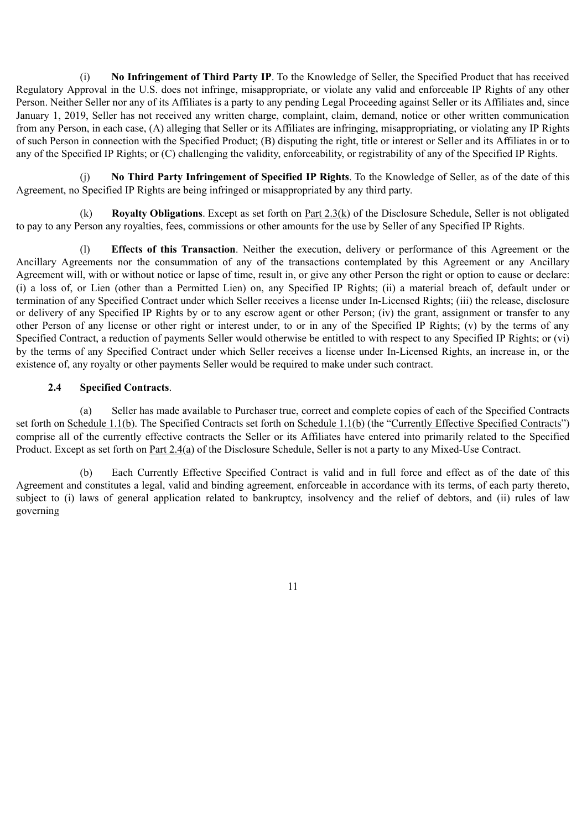(i) **No Infringement of Third Party IP**. To the Knowledge of Seller, the Specified Product that has received Regulatory Approval in the U.S. does not infringe, misappropriate, or violate any valid and enforceable IP Rights of any other Person. Neither Seller nor any of its Affiliates is a party to any pending Legal Proceeding against Seller or its Affiliates and, since January 1, 2019, Seller has not received any written charge, complaint, claim, demand, notice or other written communication from any Person, in each case, (A) alleging that Seller or its Affiliates are infringing, misappropriating, or violating any IP Rights of such Person in connection with the Specified Product; (B) disputing the right, title or interest or Seller and its Affiliates in or to any of the Specified IP Rights; or (C) challenging the validity, enforceability, or registrability of any of the Specified IP Rights.

(j) **No Third Party Infringement of Specified IP Rights**. To the Knowledge of Seller, as of the date of this Agreement, no Specified IP Rights are being infringed or misappropriated by any third party.

(k) **Royalty Obligations**. Except as set forth on Part 2.3(k) of the Disclosure Schedule, Seller is not obligated to pay to any Person any royalties, fees, commissions or other amounts for the use by Seller of any Specified IP Rights.

(l) **Effects of this Transaction**. Neither the execution, delivery or performance of this Agreement or the Ancillary Agreements nor the consummation of any of the transactions contemplated by this Agreement or any Ancillary Agreement will, with or without notice or lapse of time, result in, or give any other Person the right or option to cause or declare: (i) a loss of, or Lien (other than a Permitted Lien) on, any Specified IP Rights; (ii) a material breach of, default under or termination of any Specified Contract under which Seller receives a license under In-Licensed Rights; (iii) the release, disclosure or delivery of any Specified IP Rights by or to any escrow agent or other Person; (iv) the grant, assignment or transfer to any other Person of any license or other right or interest under, to or in any of the Specified IP Rights; (v) by the terms of any Specified Contract, a reduction of payments Seller would otherwise be entitled to with respect to any Specified IP Rights; or (vi) by the terms of any Specified Contract under which Seller receives a license under In-Licensed Rights, an increase in, or the existence of, any royalty or other payments Seller would be required to make under such contract.

# **2.4 Specified Contracts**.

(a) Seller has made available to Purchaser true, correct and complete copies of each of the Specified Contracts set forth on Schedule 1.1(b). The Specified Contracts set forth on Schedule 1.1(b) (the "Currently Effective Specified Contracts") comprise all of the currently effective contracts the Seller or its Affiliates have entered into primarily related to the Specified Product. Except as set forth on <u>Part 2.4(a)</u> of the Disclosure Schedule, Seller is not a party to any Mixed-Use Contract.

(b) Each Currently Effective Specified Contract is valid and in full force and effect as of the date of this Agreement and constitutes a legal, valid and binding agreement, enforceable in accordance with its terms, of each party thereto, subject to (i) laws of general application related to bankruptcy, insolvency and the relief of debtors, and (ii) rules of law governing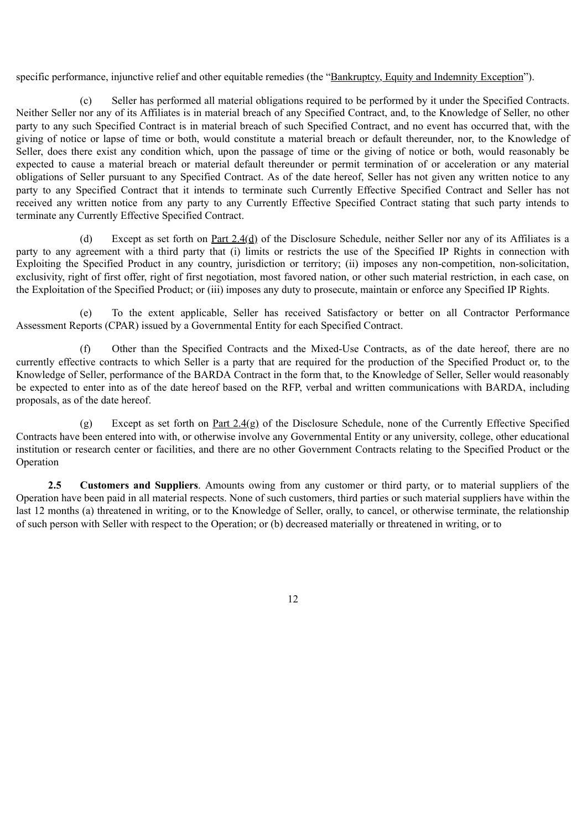specific performance, injunctive relief and other equitable remedies (the "Bankruptcy, Equity and Indemnity Exception").

(c) Seller has performed all material obligations required to be performed by it under the Specified Contracts. Neither Seller nor any of its Affiliates is in material breach of any Specified Contract, and, to the Knowledge of Seller, no other party to any such Specified Contract is in material breach of such Specified Contract, and no event has occurred that, with the giving of notice or lapse of time or both, would constitute a material breach or default thereunder, nor, to the Knowledge of Seller, does there exist any condition which, upon the passage of time or the giving of notice or both, would reasonably be expected to cause a material breach or material default thereunder or permit termination of or acceleration or any material obligations of Seller pursuant to any Specified Contract. As of the date hereof, Seller has not given any written notice to any party to any Specified Contract that it intends to terminate such Currently Effective Specified Contract and Seller has not received any written notice from any party to any Currently Effective Specified Contract stating that such party intends to terminate any Currently Effective Specified Contract.

(d) Except as set forth on <u>Part 2.4(d)</u> of the Disclosure Schedule, neither Seller nor any of its Affiliates is a party to any agreement with a third party that (i) limits or restricts the use of the Specified IP Rights in connection with Exploiting the Specified Product in any country, jurisdiction or territory; (ii) imposes any non-competition, non-solicitation, exclusivity, right of first offer, right of first negotiation, most favored nation, or other such material restriction, in each case, on the Exploitation of the Specified Product; or (iii) imposes any duty to prosecute, maintain or enforce any Specified IP Rights.

(e) To the extent applicable, Seller has received Satisfactory or better on all Contractor Performance Assessment Reports (CPAR) issued by a Governmental Entity for each Specified Contract.

(f) Other than the Specified Contracts and the Mixed-Use Contracts, as of the date hereof, there are no currently effective contracts to which Seller is a party that are required for the production of the Specified Product or, to the Knowledge of Seller, performance of the BARDA Contract in the form that, to the Knowledge of Seller, Seller would reasonably be expected to enter into as of the date hereof based on the RFP, verbal and written communications with BARDA, including proposals, as of the date hereof.

(g) Except as set forth on Part 2.4(g) of the Disclosure Schedule, none of the Currently Effective Specified Contracts have been entered into with, or otherwise involve any Governmental Entity or any university, college, other educational institution or research center or facilities, and there are no other Government Contracts relating to the Specified Product or the Operation

**2.5 Customers and Suppliers**. Amounts owing from any customer or third party, or to material suppliers of the Operation have been paid in all material respects. None of such customers, third parties or such material suppliers have within the last 12 months (a) threatened in writing, or to the Knowledge of Seller, orally, to cancel, or otherwise terminate, the relationship of such person with Seller with respect to the Operation; or (b) decreased materially or threatened in writing, or to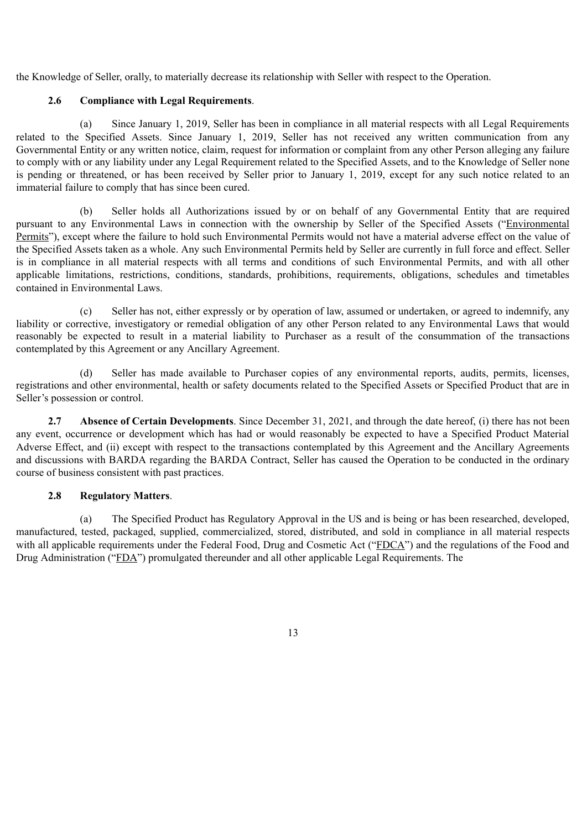the Knowledge of Seller, orally, to materially decrease its relationship with Seller with respect to the Operation.

# **2.6 Compliance with Legal Requirements**.

(a) Since January 1, 2019, Seller has been in compliance in all material respects with all Legal Requirements related to the Specified Assets. Since January 1, 2019, Seller has not received any written communication from any Governmental Entity or any written notice, claim, request for information or complaint from any other Person alleging any failure to comply with or any liability under any Legal Requirement related to the Specified Assets, and to the Knowledge of Seller none is pending or threatened, or has been received by Seller prior to January 1, 2019, except for any such notice related to an immaterial failure to comply that has since been cured.

(b) Seller holds all Authorizations issued by or on behalf of any Governmental Entity that are required pursuant to any Environmental Laws in connection with the ownership by Seller of the Specified Assets ("Environmental Permits"), except where the failure to hold such Environmental Permits would not have a material adverse effect on the value of the Specified Assets taken as a whole. Any such Environmental Permits held by Seller are currently in full force and effect. Seller is in compliance in all material respects with all terms and conditions of such Environmental Permits, and with all other applicable limitations, restrictions, conditions, standards, prohibitions, requirements, obligations, schedules and timetables contained in Environmental Laws.

(c) Seller has not, either expressly or by operation of law, assumed or undertaken, or agreed to indemnify, any liability or corrective, investigatory or remedial obligation of any other Person related to any Environmental Laws that would reasonably be expected to result in a material liability to Purchaser as a result of the consummation of the transactions contemplated by this Agreement or any Ancillary Agreement.

Seller has made available to Purchaser copies of any environmental reports, audits, permits, licenses, registrations and other environmental, health or safety documents related to the Specified Assets or Specified Product that are in Seller's possession or control.

**2.7 Absence of Certain Developments**. Since December 31, 2021, and through the date hereof, (i) there has not been any event, occurrence or development which has had or would reasonably be expected to have a Specified Product Material Adverse Effect, and (ii) except with respect to the transactions contemplated by this Agreement and the Ancillary Agreements and discussions with BARDA regarding the BARDA Contract, Seller has caused the Operation to be conducted in the ordinary course of business consistent with past practices.

## **2.8 Regulatory Matters**.

(a) The Specified Product has Regulatory Approval in the US and is being or has been researched, developed, manufactured, tested, packaged, supplied, commercialized, stored, distributed, and sold in compliance in all material respects with all applicable requirements under the Federal Food. Drug and Cosmetic Act ("FDCA") and the regulations of the Food and Drug Administration ("FDA") promulgated thereunder and all other applicable Legal Requirements. The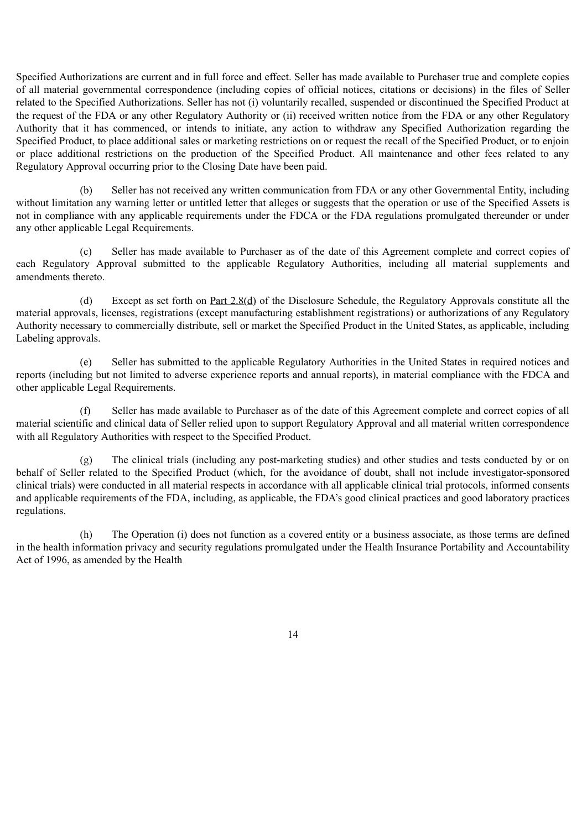Specified Authorizations are current and in full force and effect. Seller has made available to Purchaser true and complete copies of all material governmental correspondence (including copies of official notices, citations or decisions) in the files of Seller related to the Specified Authorizations. Seller has not (i) voluntarily recalled, suspended or discontinued the Specified Product at the request of the FDA or any other Regulatory Authority or (ii) received written notice from the FDA or any other Regulatory Authority that it has commenced, or intends to initiate, any action to withdraw any Specified Authorization regarding the Specified Product, to place additional sales or marketing restrictions on or request the recall of the Specified Product, or to enjoin or place additional restrictions on the production of the Specified Product. All maintenance and other fees related to any Regulatory Approval occurring prior to the Closing Date have been paid.

(b) Seller has not received any written communication from FDA or any other Governmental Entity, including without limitation any warning letter or untitled letter that alleges or suggests that the operation or use of the Specified Assets is not in compliance with any applicable requirements under the FDCA or the FDA regulations promulgated thereunder or under any other applicable Legal Requirements.

(c) Seller has made available to Purchaser as of the date of this Agreement complete and correct copies of each Regulatory Approval submitted to the applicable Regulatory Authorities, including all material supplements and amendments thereto.

(d) Except as set forth on Part  $2.8(d)$  of the Disclosure Schedule, the Regulatory Approvals constitute all the material approvals, licenses, registrations (except manufacturing establishment registrations) or authorizations of any Regulatory Authority necessary to commercially distribute, sell or market the Specified Product in the United States, as applicable, including Labeling approvals.

(e) Seller has submitted to the applicable Regulatory Authorities in the United States in required notices and reports (including but not limited to adverse experience reports and annual reports), in material compliance with the FDCA and other applicable Legal Requirements.

(f) Seller has made available to Purchaser as of the date of this Agreement complete and correct copies of all material scientific and clinical data of Seller relied upon to support Regulatory Approval and all material written correspondence with all Regulatory Authorities with respect to the Specified Product.

(g) The clinical trials (including any post-marketing studies) and other studies and tests conducted by or on behalf of Seller related to the Specified Product (which, for the avoidance of doubt, shall not include investigator-sponsored clinical trials) were conducted in all material respects in accordance with all applicable clinical trial protocols, informed consents and applicable requirements of the FDA, including, as applicable, the FDA's good clinical practices and good laboratory practices regulations.

(h) The Operation (i) does not function as a covered entity or a business associate, as those terms are defined in the health information privacy and security regulations promulgated under the Health Insurance Portability and Accountability Act of 1996, as amended by the Health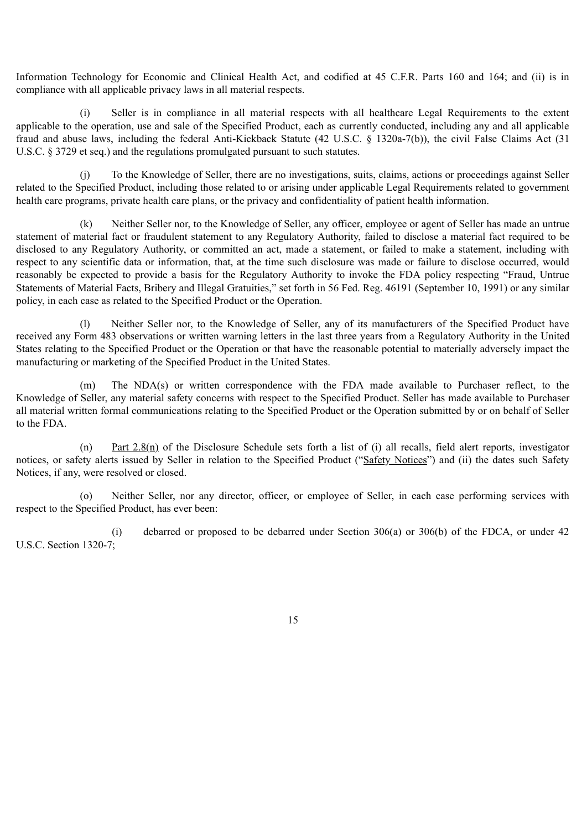Information Technology for Economic and Clinical Health Act, and codified at 45 C.F.R. Parts 160 and 164; and (ii) is in compliance with all applicable privacy laws in all material respects.

(i) Seller is in compliance in all material respects with all healthcare Legal Requirements to the extent applicable to the operation, use and sale of the Specified Product, each as currently conducted, including any and all applicable fraud and abuse laws, including the federal Anti-Kickback Statute (42 U.S.C. § 1320a-7(b)), the civil False Claims Act (31 U.S.C. § 3729 et seq.) and the regulations promulgated pursuant to such statutes.

(j) To the Knowledge of Seller, there are no investigations, suits, claims, actions or proceedings against Seller related to the Specified Product, including those related to or arising under applicable Legal Requirements related to government health care programs, private health care plans, or the privacy and confidentiality of patient health information.

(k) Neither Seller nor, to the Knowledge of Seller, any officer, employee or agent of Seller has made an untrue statement of material fact or fraudulent statement to any Regulatory Authority, failed to disclose a material fact required to be disclosed to any Regulatory Authority, or committed an act, made a statement, or failed to make a statement, including with respect to any scientific data or information, that, at the time such disclosure was made or failure to disclose occurred, would reasonably be expected to provide a basis for the Regulatory Authority to invoke the FDA policy respecting "Fraud, Untrue Statements of Material Facts, Bribery and Illegal Gratuities," set forth in 56 Fed. Reg. 46191 (September 10, 1991) or any similar policy, in each case as related to the Specified Product or the Operation.

(l) Neither Seller nor, to the Knowledge of Seller, any of its manufacturers of the Specified Product have received any Form 483 observations or written warning letters in the last three years from a Regulatory Authority in the United States relating to the Specified Product or the Operation or that have the reasonable potential to materially adversely impact the manufacturing or marketing of the Specified Product in the United States.

(m) The NDA(s) or written correspondence with the FDA made available to Purchaser reflect, to the Knowledge of Seller, any material safety concerns with respect to the Specified Product. Seller has made available to Purchaser all material written formal communications relating to the Specified Product or the Operation submitted by or on behalf of Seller to the FDA.

(n) Part 2.8(n) of the Disclosure Schedule sets forth a list of (i) all recalls, field alert reports, investigator notices, or safety alerts issued by Seller in relation to the Specified Product ("Safety Notices") and (ii) the dates such Safety Notices, if any, were resolved or closed.

(o) Neither Seller, nor any director, officer, or employee of Seller, in each case performing services with respect to the Specified Product, has ever been:

(i) debarred or proposed to be debarred under Section 306(a) or 306(b) of the FDCA, or under 42 U.S.C. Section 1320-7;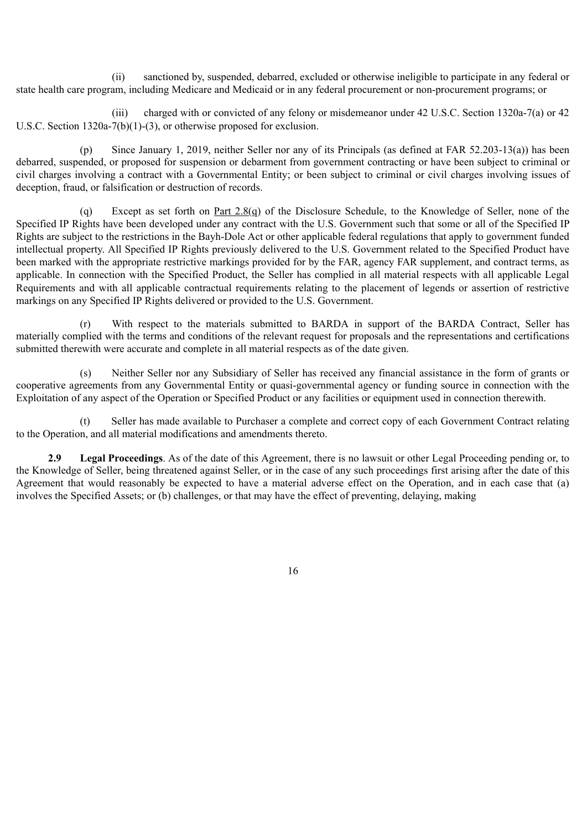(ii) sanctioned by, suspended, debarred, excluded or otherwise ineligible to participate in any federal or state health care program, including Medicare and Medicaid or in any federal procurement or non-procurement programs; or

(iii) charged with or convicted of any felony or misdemeanor under 42 U.S.C. Section 1320a-7(a) or 42 U.S.C. Section 1320a-7(b)(1)-(3), or otherwise proposed for exclusion.

(p) Since January 1, 2019, neither Seller nor any of its Principals (as defined at FAR 52.203-13(a)) has been debarred, suspended, or proposed for suspension or debarment from government contracting or have been subject to criminal or civil charges involving a contract with a Governmental Entity; or been subject to criminal or civil charges involving issues of deception, fraud, or falsification or destruction of records.

(q) Except as set forth on Part 2.8(q) of the Disclosure Schedule, to the Knowledge of Seller, none of the Specified IP Rights have been developed under any contract with the U.S. Government such that some or all of the Specified IP Rights are subject to the restrictions in the Bayh-Dole Act or other applicable federal regulations that apply to government funded intellectual property. All Specified IP Rights previously delivered to the U.S. Government related to the Specified Product have been marked with the appropriate restrictive markings provided for by the FAR, agency FAR supplement, and contract terms, as applicable. In connection with the Specified Product, the Seller has complied in all material respects with all applicable Legal Requirements and with all applicable contractual requirements relating to the placement of legends or assertion of restrictive markings on any Specified IP Rights delivered or provided to the U.S. Government.

(r) With respect to the materials submitted to BARDA in support of the BARDA Contract, Seller has materially complied with the terms and conditions of the relevant request for proposals and the representations and certifications submitted therewith were accurate and complete in all material respects as of the date given.

Neither Seller nor any Subsidiary of Seller has received any financial assistance in the form of grants or cooperative agreements from any Governmental Entity or quasi-governmental agency or funding source in connection with the Exploitation of any aspect of the Operation or Specified Product or any facilities or equipment used in connection therewith.

(t) Seller has made available to Purchaser a complete and correct copy of each Government Contract relating to the Operation, and all material modifications and amendments thereto.

**2.9 Legal Proceedings**. As of the date of this Agreement, there is no lawsuit or other Legal Proceeding pending or, to the Knowledge of Seller, being threatened against Seller, or in the case of any such proceedings first arising after the date of this Agreement that would reasonably be expected to have a material adverse effect on the Operation, and in each case that (a) involves the Specified Assets; or (b) challenges, or that may have the effect of preventing, delaying, making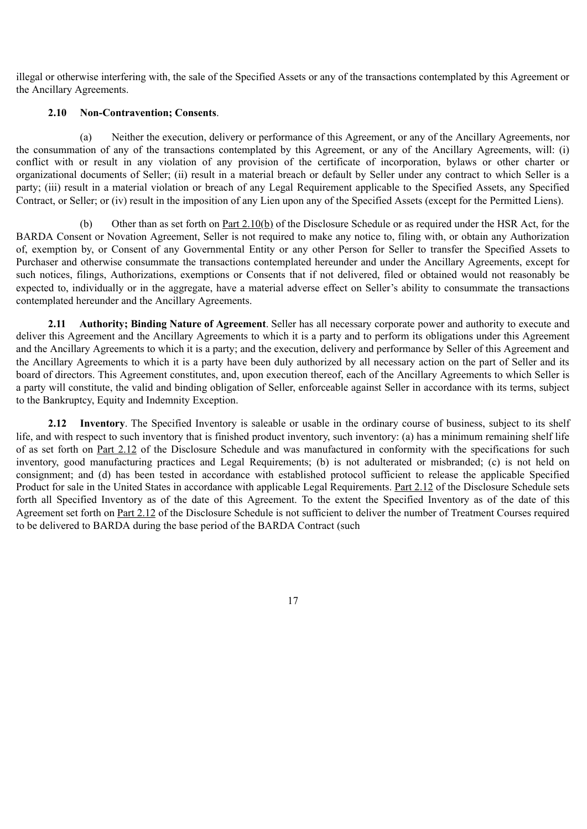illegal or otherwise interfering with, the sale of the Specified Assets or any of the transactions contemplated by this Agreement or the Ancillary Agreements.

### **2.10 Non-Contravention; Consents**.

(a) Neither the execution, delivery or performance of this Agreement, or any of the Ancillary Agreements, nor the consummation of any of the transactions contemplated by this Agreement, or any of the Ancillary Agreements, will: (i) conflict with or result in any violation of any provision of the certificate of incorporation, bylaws or other charter or organizational documents of Seller; (ii) result in a material breach or default by Seller under any contract to which Seller is a party; (iii) result in a material violation or breach of any Legal Requirement applicable to the Specified Assets, any Specified Contract, or Seller; or (iv) result in the imposition of any Lien upon any of the Specified Assets (except for the Permitted Liens).

(b) Other than as set forth on Part 2.10(b) of the Disclosure Schedule or as required under the HSR Act, for the BARDA Consent or Novation Agreement, Seller is not required to make any notice to, filing with, or obtain any Authorization of, exemption by, or Consent of any Governmental Entity or any other Person for Seller to transfer the Specified Assets to Purchaser and otherwise consummate the transactions contemplated hereunder and under the Ancillary Agreements, except for such notices, filings, Authorizations, exemptions or Consents that if not delivered, filed or obtained would not reasonably be expected to, individually or in the aggregate, have a material adverse effect on Seller's ability to consummate the transactions contemplated hereunder and the Ancillary Agreements.

**2.11 Authority; Binding Nature of Agreement**. Seller has all necessary corporate power and authority to execute and deliver this Agreement and the Ancillary Agreements to which it is a party and to perform its obligations under this Agreement and the Ancillary Agreements to which it is a party; and the execution, delivery and performance by Seller of this Agreement and the Ancillary Agreements to which it is a party have been duly authorized by all necessary action on the part of Seller and its board of directors. This Agreement constitutes, and, upon execution thereof, each of the Ancillary Agreements to which Seller is a party will constitute, the valid and binding obligation of Seller, enforceable against Seller in accordance with its terms, subject to the Bankruptcy, Equity and Indemnity Exception.

**2.12 Inventory**. The Specified Inventory is saleable or usable in the ordinary course of business, subject to its shelf life, and with respect to such inventory that is finished product inventory, such inventory: (a) has a minimum remaining shelf life of as set forth on Part 2.12 of the Disclosure Schedule and was manufactured in conformity with the specifications for such inventory, good manufacturing practices and Legal Requirements; (b) is not adulterated or misbranded; (c) is not held on consignment; and (d) has been tested in accordance with established protocol sufficient to release the applicable Specified Product for sale in the United States in accordance with applicable Legal Requirements. Part 2.12 of the Disclosure Schedule sets forth all Specified Inventory as of the date of this Agreement. To the extent the Specified Inventory as of the date of this Agreement set forth on Part 2.12 of the Disclosure Schedule is not sufficient to deliver the number of Treatment Courses required to be delivered to BARDA during the base period of the BARDA Contract (such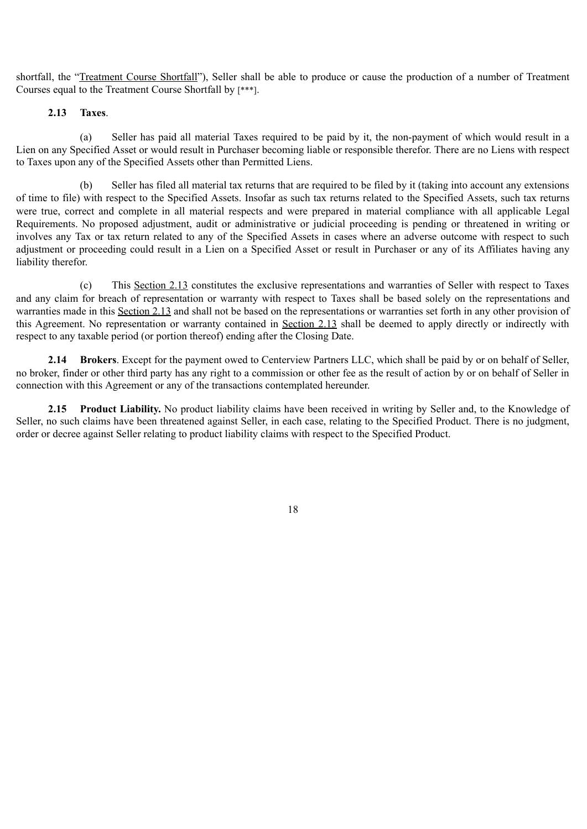shortfall, the "Treatment Course Shortfall"), Seller shall be able to produce or cause the production of a number of Treatment Courses equal to the Treatment Course Shortfall by [\*\*\*].

## **2.13 Taxes**.

(a) Seller has paid all material Taxes required to be paid by it, the non-payment of which would result in a Lien on any Specified Asset or would result in Purchaser becoming liable or responsible therefor. There are no Liens with respect to Taxes upon any of the Specified Assets other than Permitted Liens.

(b) Seller has filed all material tax returns that are required to be filed by it (taking into account any extensions of time to file) with respect to the Specified Assets. Insofar as such tax returns related to the Specified Assets, such tax returns were true, correct and complete in all material respects and were prepared in material compliance with all applicable Legal Requirements. No proposed adjustment, audit or administrative or judicial proceeding is pending or threatened in writing or involves any Tax or tax return related to any of the Specified Assets in cases where an adverse outcome with respect to such adjustment or proceeding could result in a Lien on a Specified Asset or result in Purchaser or any of its Affiliates having any liability therefor.

(c) This Section 2.13 constitutes the exclusive representations and warranties of Seller with respect to Taxes and any claim for breach of representation or warranty with respect to Taxes shall be based solely on the representations and warranties made in this Section 2.13 and shall not be based on the representations or warranties set forth in any other provision of this Agreement. No representation or warranty contained in Section 2.13 shall be deemed to apply directly or indirectly with respect to any taxable period (or portion thereof) ending after the Closing Date.

**2.14 Brokers**. Except for the payment owed to Centerview Partners LLC, which shall be paid by or on behalf of Seller, no broker, finder or other third party has any right to a commission or other fee as the result of action by or on behalf of Seller in connection with this Agreement or any of the transactions contemplated hereunder.

**2.15 Product Liability.** No product liability claims have been received in writing by Seller and, to the Knowledge of Seller, no such claims have been threatened against Seller, in each case, relating to the Specified Product. There is no judgment, order or decree against Seller relating to product liability claims with respect to the Specified Product.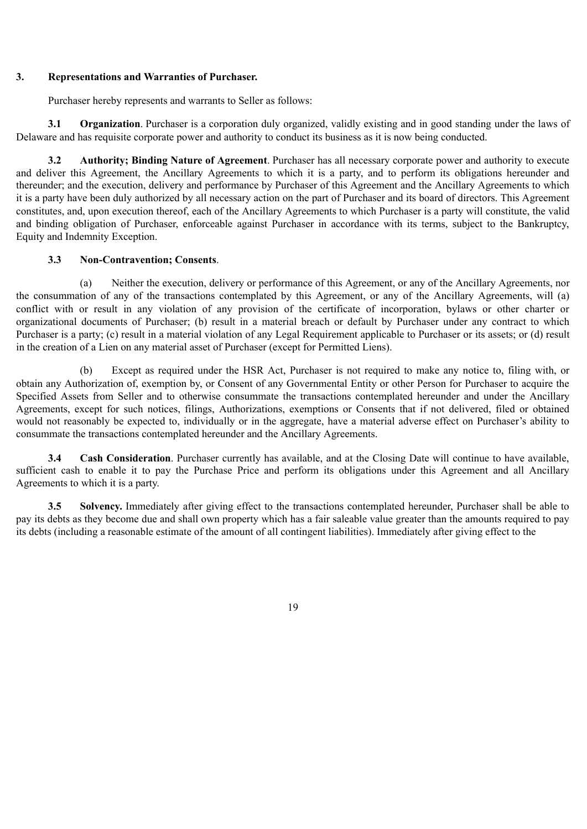### **3. Representations and Warranties of Purchaser.**

Purchaser hereby represents and warrants to Seller as follows:

**3.1 Organization**. Purchaser is a corporation duly organized, validly existing and in good standing under the laws of Delaware and has requisite corporate power and authority to conduct its business as it is now being conducted.

**3.2 Authority; Binding Nature of Agreement**. Purchaser has all necessary corporate power and authority to execute and deliver this Agreement, the Ancillary Agreements to which it is a party, and to perform its obligations hereunder and thereunder; and the execution, delivery and performance by Purchaser of this Agreement and the Ancillary Agreements to which it is a party have been duly authorized by all necessary action on the part of Purchaser and its board of directors. This Agreement constitutes, and, upon execution thereof, each of the Ancillary Agreements to which Purchaser is a party will constitute, the valid and binding obligation of Purchaser, enforceable against Purchaser in accordance with its terms, subject to the Bankruptcy, Equity and Indemnity Exception.

## **3.3 Non-Contravention; Consents**.

(a) Neither the execution, delivery or performance of this Agreement, or any of the Ancillary Agreements, nor the consummation of any of the transactions contemplated by this Agreement, or any of the Ancillary Agreements, will (a) conflict with or result in any violation of any provision of the certificate of incorporation, bylaws or other charter or organizational documents of Purchaser; (b) result in a material breach or default by Purchaser under any contract to which Purchaser is a party; (c) result in a material violation of any Legal Requirement applicable to Purchaser or its assets; or (d) result in the creation of a Lien on any material asset of Purchaser (except for Permitted Liens).

(b) Except as required under the HSR Act, Purchaser is not required to make any notice to, filing with, or obtain any Authorization of, exemption by, or Consent of any Governmental Entity or other Person for Purchaser to acquire the Specified Assets from Seller and to otherwise consummate the transactions contemplated hereunder and under the Ancillary Agreements, except for such notices, filings, Authorizations, exemptions or Consents that if not delivered, filed or obtained would not reasonably be expected to, individually or in the aggregate, have a material adverse effect on Purchaser's ability to consummate the transactions contemplated hereunder and the Ancillary Agreements.

**3.4 Cash Consideration**. Purchaser currently has available, and at the Closing Date will continue to have available, sufficient cash to enable it to pay the Purchase Price and perform its obligations under this Agreement and all Ancillary Agreements to which it is a party.

**3.5 Solvency.** Immediately after giving effect to the transactions contemplated hereunder, Purchaser shall be able to pay its debts as they become due and shall own property which has a fair saleable value greater than the amounts required to pay its debts (including a reasonable estimate of the amount of all contingent liabilities). Immediately after giving effect to the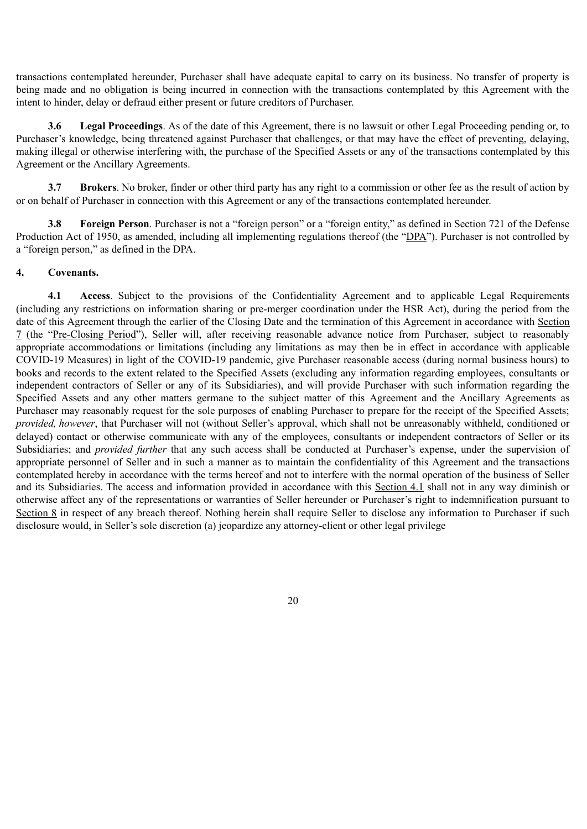transactions contemplated hereunder, Purchaser shall have adequate capital to carry on its business. No transfer of property is being made and no obligation is being incurred in connection with the transactions contemplated by this Agreement with the intent to hinder, delay or defraud either present or future creditors of Purchaser.

**3.6 Legal Proceedings**. As of the date of this Agreement, there is no lawsuit or other Legal Proceeding pending or, to Purchaser's knowledge, being threatened against Purchaser that challenges, or that may have the effect of preventing, delaying, making illegal or otherwise interfering with, the purchase of the Specified Assets or any of the transactions contemplated by this Agreement or the Ancillary Agreements.

**3.7 Brokers**. No broker, finder or other third party has any right to a commission or other fee as the result of action by or on behalf of Purchaser in connection with this Agreement or any of the transactions contemplated hereunder.

**3.8 Foreign Person**. Purchaser is not a "foreign person" or a "foreign entity," as defined in Section 721 of the Defense Production Act of 1950, as amended, including all implementing regulations thereof (the "DPA"). Purchaser is not controlled by a "foreign person," as defined in the DPA.

# **4. Covenants.**

**4.1 Access**. Subject to the provisions of the Confidentiality Agreement and to applicable Legal Requirements (including any restrictions on information sharing or pre-merger coordination under the HSR Act), during the period from the date of this Agreement through the earlier of the Closing Date and the termination of this Agreement in accordance with Section 7 (the "Pre-Closing Period"), Seller will, after receiving reasonable advance notice from Purchaser, subject to reasonably appropriate accommodations or limitations (including any limitations as may then be in effect in accordance with applicable COVID-19 Measures) in light of the COVID-19 pandemic, give Purchaser reasonable access (during normal business hours) to books and records to the extent related to the Specified Assets (excluding any information regarding employees, consultants or independent contractors of Seller or any of its Subsidiaries), and will provide Purchaser with such information regarding the Specified Assets and any other matters germane to the subject matter of this Agreement and the Ancillary Agreements as Purchaser may reasonably request for the sole purposes of enabling Purchaser to prepare for the receipt of the Specified Assets; *provided, however*, that Purchaser will not (without Seller's approval, which shall not be unreasonably withheld, conditioned or delayed) contact or otherwise communicate with any of the employees, consultants or independent contractors of Seller or its Subsidiaries; and *provided further* that any such access shall be conducted at Purchaser's expense, under the supervision of appropriate personnel of Seller and in such a manner as to maintain the confidentiality of this Agreement and the transactions contemplated hereby in accordance with the terms hereof and not to interfere with the normal operation of the business of Seller and its Subsidiaries. The access and information provided in accordance with this Section 4.1 shall not in any way diminish or otherwise affect any of the representations or warranties of Seller hereunder or Purchaser's right to indemnification pursuant to Section 8 in respect of any breach thereof. Nothing herein shall require Seller to disclose any information to Purchaser if such disclosure would, in Seller's sole discretion (a) jeopardize any attorney-client or other legal privilege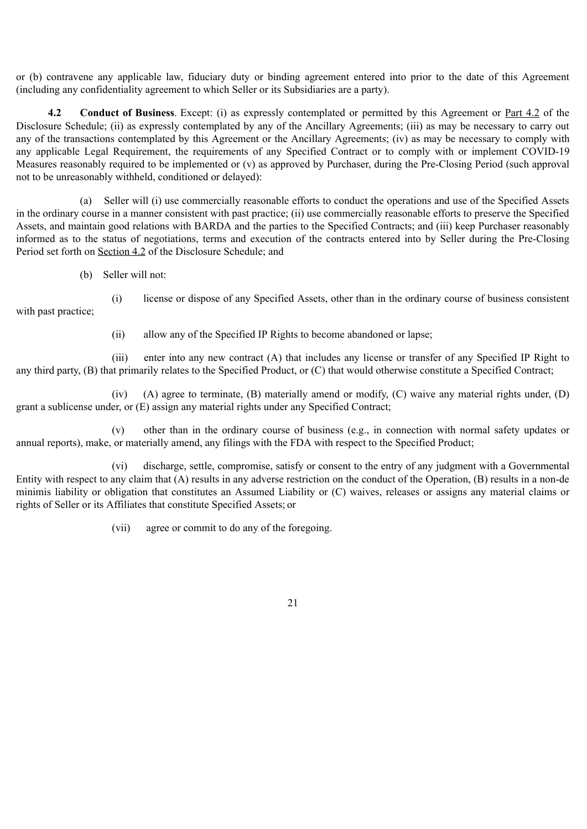or (b) contravene any applicable law, fiduciary duty or binding agreement entered into prior to the date of this Agreement (including any confidentiality agreement to which Seller or its Subsidiaries are a party).

**4.2 Conduct of Business**. Except: (i) as expressly contemplated or permitted by this Agreement or Part 4.2 of the Disclosure Schedule; (ii) as expressly contemplated by any of the Ancillary Agreements; (iii) as may be necessary to carry out any of the transactions contemplated by this Agreement or the Ancillary Agreements; (iv) as may be necessary to comply with any applicable Legal Requirement, the requirements of any Specified Contract or to comply with or implement COVID-19 Measures reasonably required to be implemented or (v) as approved by Purchaser, during the Pre-Closing Period (such approval not to be unreasonably withheld, conditioned or delayed):

(a) Seller will (i) use commercially reasonable efforts to conduct the operations and use of the Specified Assets in the ordinary course in a manner consistent with past practice; (ii) use commercially reasonable efforts to preserve the Specified Assets, and maintain good relations with BARDA and the parties to the Specified Contracts; and (iii) keep Purchaser reasonably informed as to the status of negotiations, terms and execution of the contracts entered into by Seller during the Pre-Closing Period set forth on Section 4.2 of the Disclosure Schedule; and

(b) Seller will not:

with past practice;

(i) license or dispose of any Specified Assets, other than in the ordinary course of business consistent

(ii) allow any of the Specified IP Rights to become abandoned or lapse;

(iii) enter into any new contract (A) that includes any license or transfer of any Specified IP Right to any third party, (B) that primarily relates to the Specified Product, or (C) that would otherwise constitute a Specified Contract;

(iv) (A) agree to terminate, (B) materially amend or modify, (C) waive any material rights under, (D) grant a sublicense under, or (E) assign any material rights under any Specified Contract;

(v) other than in the ordinary course of business (e.g., in connection with normal safety updates or annual reports), make, or materially amend, any filings with the FDA with respect to the Specified Product;

(vi) discharge, settle, compromise, satisfy or consent to the entry of any judgment with a Governmental Entity with respect to any claim that (A) results in any adverse restriction on the conduct of the Operation, (B) results in a non-de minimis liability or obligation that constitutes an Assumed Liability or (C) waives, releases or assigns any material claims or rights of Seller or its Affiliates that constitute Specified Assets; or

(vii) agree or commit to do any of the foregoing.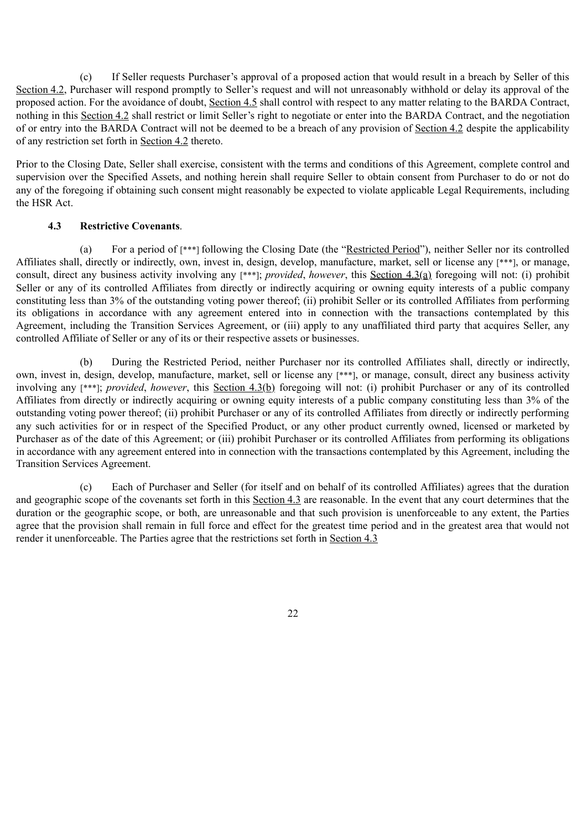(c) If Seller requests Purchaser's approval of a proposed action that would result in a breach by Seller of this Section 4.2, Purchaser will respond promptly to Seller's request and will not unreasonably withhold or delay its approval of the proposed action. For the avoidance of doubt, Section 4.5 shall control with respect to any matter relating to the BARDA Contract, nothing in this Section 4.2 shall restrict or limit Seller's right to negotiate or enter into the BARDA Contract, and the negotiation of or entry into the BARDA Contract will not be deemed to be a breach of any provision of Section 4.2 despite the applicability of any restriction set forth in Section 4.2 thereto.

Prior to the Closing Date, Seller shall exercise, consistent with the terms and conditions of this Agreement, complete control and supervision over the Specified Assets, and nothing herein shall require Seller to obtain consent from Purchaser to do or not do any of the foregoing if obtaining such consent might reasonably be expected to violate applicable Legal Requirements, including the HSR Act.

## **4.3 Restrictive Covenants**.

(a) For a period of [\*\*\*] following the Closing Date (the "Restricted Period"), neither Seller nor its controlled Affiliates shall, directly or indirectly, own, invest in, design, develop, manufacture, market, sell or license any [\*\*\*], or manage, consult, direct any business activity involving any [\*\*\*]; *provided*, *however*, this Section 4.3(a) foregoing will not: (i) prohibit Seller or any of its controlled Affiliates from directly or indirectly acquiring or owning equity interests of a public company constituting less than 3% of the outstanding voting power thereof; (ii) prohibit Seller or its controlled Affiliates from performing its obligations in accordance with any agreement entered into in connection with the transactions contemplated by this Agreement, including the Transition Services Agreement, or (iii) apply to any unaffiliated third party that acquires Seller, any controlled Affiliate of Seller or any of its or their respective assets or businesses.

(b) During the Restricted Period, neither Purchaser nor its controlled Affiliates shall, directly or indirectly, own, invest in, design, develop, manufacture, market, sell or license any [\*\*\*], or manage, consult, direct any business activity involving any [\*\*\*]; *provided*, *however*, this Section 4.3(b) foregoing will not: (i) prohibit Purchaser or any of its controlled Affiliates from directly or indirectly acquiring or owning equity interests of a public company constituting less than 3% of the outstanding voting power thereof; (ii) prohibit Purchaser or any of its controlled Affiliates from directly or indirectly performing any such activities for or in respect of the Specified Product, or any other product currently owned, licensed or marketed by Purchaser as of the date of this Agreement; or (iii) prohibit Purchaser or its controlled Affiliates from performing its obligations in accordance with any agreement entered into in connection with the transactions contemplated by this Agreement, including the Transition Services Agreement.

(c) Each of Purchaser and Seller (for itself and on behalf of its controlled Affiliates) agrees that the duration and geographic scope of the covenants set forth in this Section 4.3 are reasonable. In the event that any court determines that the duration or the geographic scope, or both, are unreasonable and that such provision is unenforceable to any extent, the Parties agree that the provision shall remain in full force and effect for the greatest time period and in the greatest area that would not render it unenforceable. The Parties agree that the restrictions set forth in Section 4.3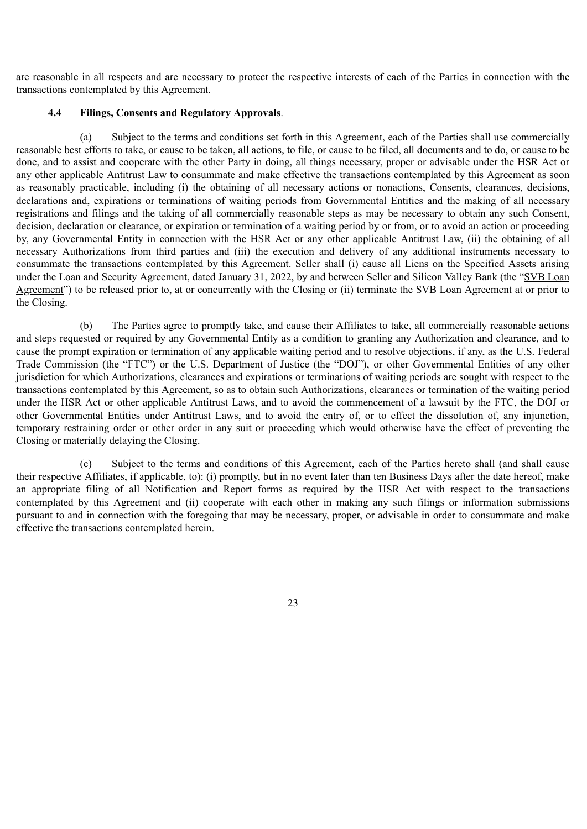are reasonable in all respects and are necessary to protect the respective interests of each of the Parties in connection with the transactions contemplated by this Agreement.

## **4.4 Filings, Consents and Regulatory Approvals**.

(a) Subject to the terms and conditions set forth in this Agreement, each of the Parties shall use commercially reasonable best efforts to take, or cause to be taken, all actions, to file, or cause to be filed, all documents and to do, or cause to be done, and to assist and cooperate with the other Party in doing, all things necessary, proper or advisable under the HSR Act or any other applicable Antitrust Law to consummate and make effective the transactions contemplated by this Agreement as soon as reasonably practicable, including (i) the obtaining of all necessary actions or nonactions, Consents, clearances, decisions, declarations and, expirations or terminations of waiting periods from Governmental Entities and the making of all necessary registrations and filings and the taking of all commercially reasonable steps as may be necessary to obtain any such Consent, decision, declaration or clearance, or expiration or termination of a waiting period by or from, or to avoid an action or proceeding by, any Governmental Entity in connection with the HSR Act or any other applicable Antitrust Law, (ii) the obtaining of all necessary Authorizations from third parties and (iii) the execution and delivery of any additional instruments necessary to consummate the transactions contemplated by this Agreement. Seller shall (i) cause all Liens on the Specified Assets arising under the Loan and Security Agreement, dated January 31, 2022, by and between Seller and Silicon Valley Bank (the "SVB Loan Agreement") to be released prior to, at or concurrently with the Closing or (ii) terminate the SVB Loan Agreement at or prior to the Closing.

(b) The Parties agree to promptly take, and cause their Affiliates to take, all commercially reasonable actions and steps requested or required by any Governmental Entity as a condition to granting any Authorization and clearance, and to cause the prompt expiration or termination of any applicable waiting period and to resolve objections, if any, as the U.S. Federal Trade Commission (the "FTC") or the U.S. Department of Justice (the "DOJ"), or other Governmental Entities of any other jurisdiction for which Authorizations, clearances and expirations or terminations of waiting periods are sought with respect to the transactions contemplated by this Agreement, so as to obtain such Authorizations, clearances or termination of the waiting period under the HSR Act or other applicable Antitrust Laws, and to avoid the commencement of a lawsuit by the FTC, the DOJ or other Governmental Entities under Antitrust Laws, and to avoid the entry of, or to effect the dissolution of, any injunction, temporary restraining order or other order in any suit or proceeding which would otherwise have the effect of preventing the Closing or materially delaying the Closing.

(c) Subject to the terms and conditions of this Agreement, each of the Parties hereto shall (and shall cause their respective Affiliates, if applicable, to): (i) promptly, but in no event later than ten Business Days after the date hereof, make an appropriate filing of all Notification and Report forms as required by the HSR Act with respect to the transactions contemplated by this Agreement and (ii) cooperate with each other in making any such filings or information submissions pursuant to and in connection with the foregoing that may be necessary, proper, or advisable in order to consummate and make effective the transactions contemplated herein.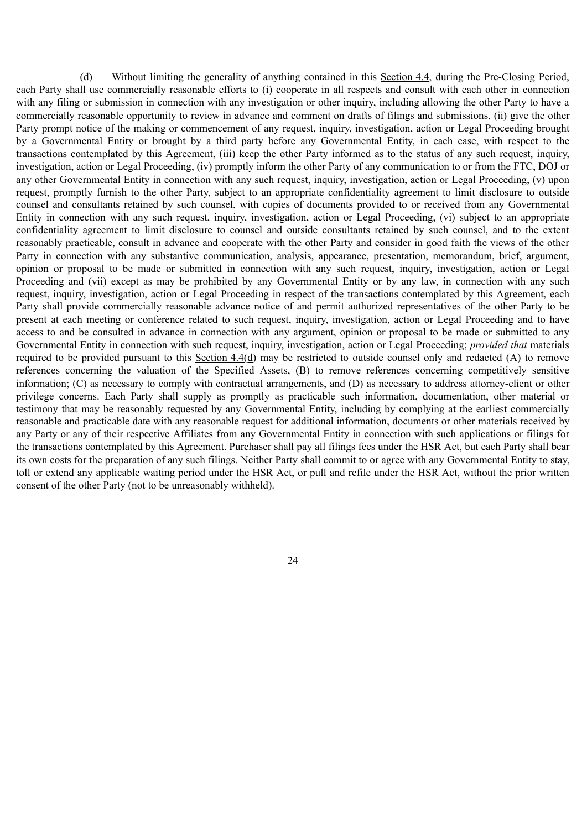(d) Without limiting the generality of anything contained in this Section 4.4, during the Pre-Closing Period, each Party shall use commercially reasonable efforts to (i) cooperate in all respects and consult with each other in connection with any filing or submission in connection with any investigation or other inquiry, including allowing the other Party to have a commercially reasonable opportunity to review in advance and comment on drafts of filings and submissions, (ii) give the other Party prompt notice of the making or commencement of any request, inquiry, investigation, action or Legal Proceeding brought by a Governmental Entity or brought by a third party before any Governmental Entity, in each case, with respect to the transactions contemplated by this Agreement, (iii) keep the other Party informed as to the status of any such request, inquiry, investigation, action or Legal Proceeding, (iv) promptly inform the other Party of any communication to or from the FTC, DOJ or any other Governmental Entity in connection with any such request, inquiry, investigation, action or Legal Proceeding, (v) upon request, promptly furnish to the other Party, subject to an appropriate confidentiality agreement to limit disclosure to outside counsel and consultants retained by such counsel, with copies of documents provided to or received from any Governmental Entity in connection with any such request, inquiry, investigation, action or Legal Proceeding, (vi) subject to an appropriate confidentiality agreement to limit disclosure to counsel and outside consultants retained by such counsel, and to the extent reasonably practicable, consult in advance and cooperate with the other Party and consider in good faith the views of the other Party in connection with any substantive communication, analysis, appearance, presentation, memorandum, brief, argument, opinion or proposal to be made or submitted in connection with any such request, inquiry, investigation, action or Legal Proceeding and (vii) except as may be prohibited by any Governmental Entity or by any law, in connection with any such request, inquiry, investigation, action or Legal Proceeding in respect of the transactions contemplated by this Agreement, each Party shall provide commercially reasonable advance notice of and permit authorized representatives of the other Party to be present at each meeting or conference related to such request, inquiry, investigation, action or Legal Proceeding and to have access to and be consulted in advance in connection with any argument, opinion or proposal to be made or submitted to any Governmental Entity in connection with such request, inquiry, investigation, action or Legal Proceeding; *provided that* materials required to be provided pursuant to this Section  $4.4(d)$  may be restricted to outside counsel only and redacted (A) to remove references concerning the valuation of the Specified Assets, (B) to remove references concerning competitively sensitive information; (C) as necessary to comply with contractual arrangements, and (D) as necessary to address attorney-client or other privilege concerns. Each Party shall supply as promptly as practicable such information, documentation, other material or testimony that may be reasonably requested by any Governmental Entity, including by complying at the earliest commercially reasonable and practicable date with any reasonable request for additional information, documents or other materials received by any Party or any of their respective Affiliates from any Governmental Entity in connection with such applications or filings for the transactions contemplated by this Agreement. Purchaser shall pay all filings fees under the HSR Act, but each Party shall bear its own costs for the preparation of any such filings. Neither Party shall commit to or agree with any Governmental Entity to stay, toll or extend any applicable waiting period under the HSR Act, or pull and refile under the HSR Act, without the prior written consent of the other Party (not to be unreasonably withheld).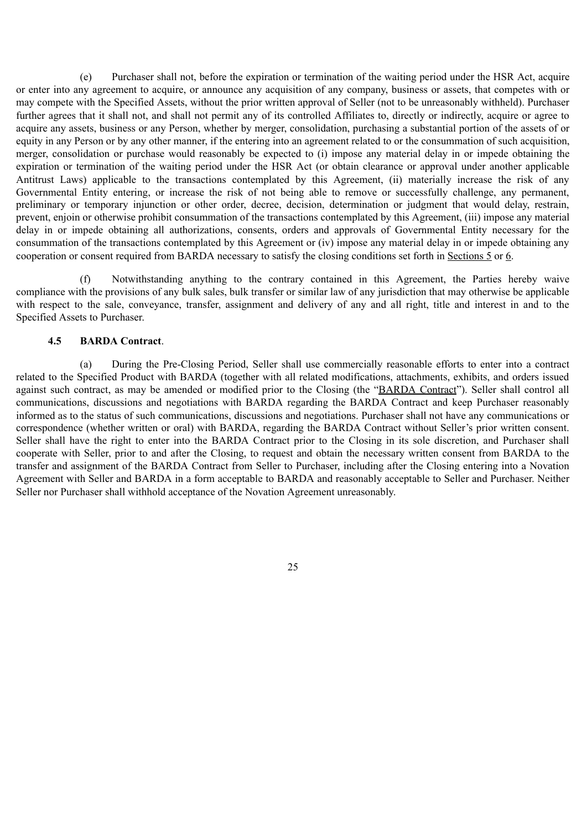(e) Purchaser shall not, before the expiration or termination of the waiting period under the HSR Act, acquire or enter into any agreement to acquire, or announce any acquisition of any company, business or assets, that competes with or may compete with the Specified Assets, without the prior written approval of Seller (not to be unreasonably withheld). Purchaser further agrees that it shall not, and shall not permit any of its controlled Affiliates to, directly or indirectly, acquire or agree to acquire any assets, business or any Person, whether by merger, consolidation, purchasing a substantial portion of the assets of or equity in any Person or by any other manner, if the entering into an agreement related to or the consummation of such acquisition, merger, consolidation or purchase would reasonably be expected to (i) impose any material delay in or impede obtaining the expiration or termination of the waiting period under the HSR Act (or obtain clearance or approval under another applicable Antitrust Laws) applicable to the transactions contemplated by this Agreement. (ii) materially increase the risk of any Governmental Entity entering, or increase the risk of not being able to remove or successfully challenge, any permanent, preliminary or temporary injunction or other order, decree, decision, determination or judgment that would delay, restrain, prevent, enjoin or otherwise prohibit consummation of the transactions contemplated by this Agreement, (iii) impose any material delay in or impede obtaining all authorizations, consents, orders and approvals of Governmental Entity necessary for the consummation of the transactions contemplated by this Agreement or (iv) impose any material delay in or impede obtaining any cooperation or consent required from BARDA necessary to satisfy the closing conditions set forth in Sections 5 or 6.

(f) Notwithstanding anything to the contrary contained in this Agreement, the Parties hereby waive compliance with the provisions of any bulk sales, bulk transfer or similar law of any jurisdiction that may otherwise be applicable with respect to the sale, conveyance, transfer, assignment and delivery of any and all right, title and interest in and to the Specified Assets to Purchaser.

### **4.5 BARDA Contract**.

(a) During the Pre-Closing Period, Seller shall use commercially reasonable efforts to enter into a contract related to the Specified Product with BARDA (together with all related modifications, attachments, exhibits, and orders issued against such contract, as may be amended or modified prior to the Closing (the "BARDA Contract"). Seller shall control all communications, discussions and negotiations with BARDA regarding the BARDA Contract and keep Purchaser reasonably informed as to the status of such communications, discussions and negotiations. Purchaser shall not have any communications or correspondence (whether written or oral) with BARDA, regarding the BARDA Contract without Seller's prior written consent. Seller shall have the right to enter into the BARDA Contract prior to the Closing in its sole discretion, and Purchaser shall cooperate with Seller, prior to and after the Closing, to request and obtain the necessary written consent from BARDA to the transfer and assignment of the BARDA Contract from Seller to Purchaser, including after the Closing entering into a Novation Agreement with Seller and BARDA in a form acceptable to BARDA and reasonably acceptable to Seller and Purchaser. Neither Seller nor Purchaser shall withhold acceptance of the Novation Agreement unreasonably.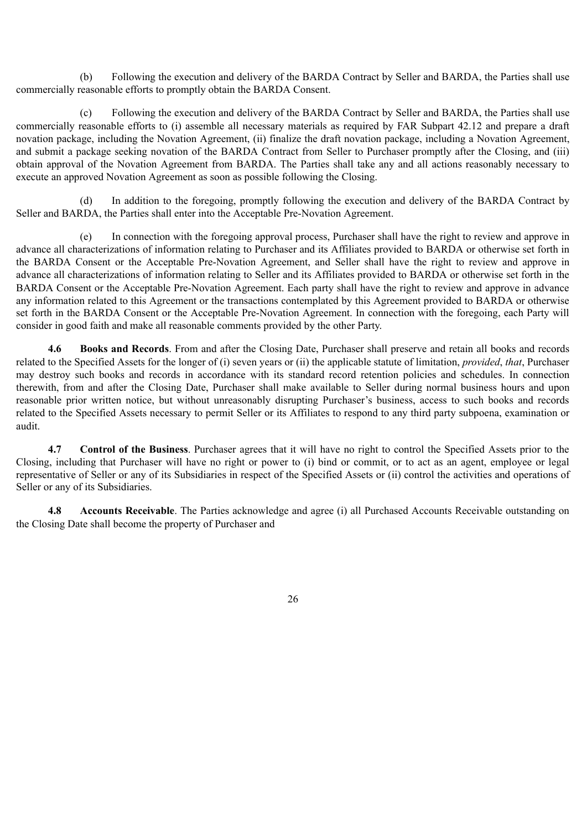(b) Following the execution and delivery of the BARDA Contract by Seller and BARDA, the Parties shall use commercially reasonable efforts to promptly obtain the BARDA Consent.

(c) Following the execution and delivery of the BARDA Contract by Seller and BARDA, the Parties shall use commercially reasonable efforts to (i) assemble all necessary materials as required by FAR Subpart 42.12 and prepare a draft novation package, including the Novation Agreement, (ii) finalize the draft novation package, including a Novation Agreement, and submit a package seeking novation of the BARDA Contract from Seller to Purchaser promptly after the Closing, and (iii) obtain approval of the Novation Agreement from BARDA. The Parties shall take any and all actions reasonably necessary to execute an approved Novation Agreement as soon as possible following the Closing.

(d) In addition to the foregoing, promptly following the execution and delivery of the BARDA Contract by Seller and BARDA, the Parties shall enter into the Acceptable Pre-Novation Agreement.

(e) In connection with the foregoing approval process, Purchaser shall have the right to review and approve in advance all characterizations of information relating to Purchaser and its Affiliates provided to BARDA or otherwise set forth in the BARDA Consent or the Acceptable Pre-Novation Agreement, and Seller shall have the right to review and approve in advance all characterizations of information relating to Seller and its Affiliates provided to BARDA or otherwise set forth in the BARDA Consent or the Acceptable Pre-Novation Agreement. Each party shall have the right to review and approve in advance any information related to this Agreement or the transactions contemplated by this Agreement provided to BARDA or otherwise set forth in the BARDA Consent or the Acceptable Pre-Novation Agreement. In connection with the foregoing, each Party will consider in good faith and make all reasonable comments provided by the other Party.

**4.6 Books and Records**. From and after the Closing Date, Purchaser shall preserve and retain all books and records related to the Specified Assets for the longer of (i) seven years or (ii) the applicable statute of limitation, *provided*, *that*, Purchaser may destroy such books and records in accordance with its standard record retention policies and schedules. In connection therewith, from and after the Closing Date, Purchaser shall make available to Seller during normal business hours and upon reasonable prior written notice, but without unreasonably disrupting Purchaser's business, access to such books and records related to the Specified Assets necessary to permit Seller or its Affiliates to respond to any third party subpoena, examination or audit.

**4.7 Control of the Business**. Purchaser agrees that it will have no right to control the Specified Assets prior to the Closing, including that Purchaser will have no right or power to (i) bind or commit, or to act as an agent, employee or legal representative of Seller or any of its Subsidiaries in respect of the Specified Assets or (ii) control the activities and operations of Seller or any of its Subsidiaries.

**4.8 Accounts Receivable**. The Parties acknowledge and agree (i) all Purchased Accounts Receivable outstanding on the Closing Date shall become the property of Purchaser and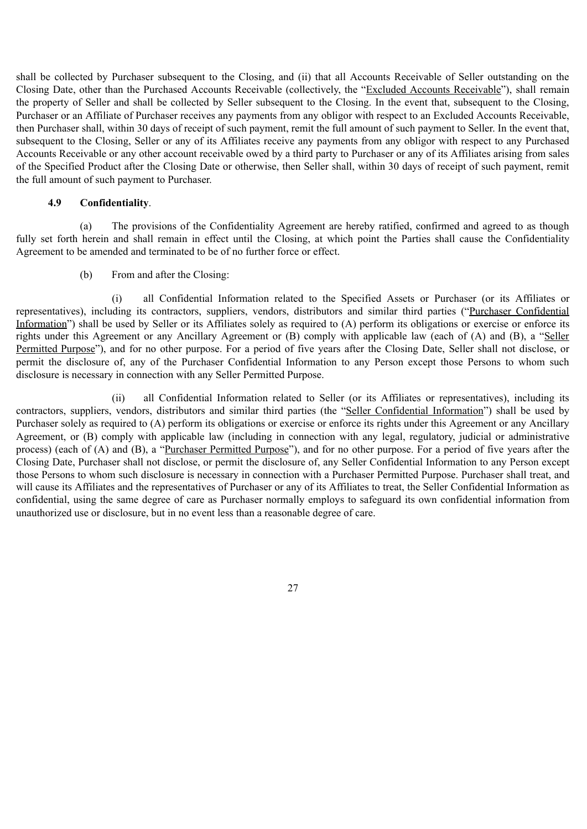shall be collected by Purchaser subsequent to the Closing, and (ii) that all Accounts Receivable of Seller outstanding on the Closing Date, other than the Purchased Accounts Receivable (collectively, the "Excluded Accounts Receivable"), shall remain the property of Seller and shall be collected by Seller subsequent to the Closing. In the event that, subsequent to the Closing, Purchaser or an Affiliate of Purchaser receives any payments from any obligor with respect to an Excluded Accounts Receivable, then Purchaser shall, within 30 days of receipt of such payment, remit the full amount of such payment to Seller. In the event that, subsequent to the Closing, Seller or any of its Affiliates receive any payments from any obligor with respect to any Purchased Accounts Receivable or any other account receivable owed by a third party to Purchaser or any of its Affiliates arising from sales of the Specified Product after the Closing Date or otherwise, then Seller shall, within 30 days of receipt of such payment, remit the full amount of such payment to Purchaser.

## **4.9 Confidentiality**.

(a) The provisions of the Confidentiality Agreement are hereby ratified, confirmed and agreed to as though fully set forth herein and shall remain in effect until the Closing, at which point the Parties shall cause the Confidentiality Agreement to be amended and terminated to be of no further force or effect.

(b) From and after the Closing:

(i) all Confidential Information related to the Specified Assets or Purchaser (or its Affiliates or representatives), including its contractors, suppliers, vendors, distributors and similar third parties ("Purchaser Confidential Information") shall be used by Seller or its Affiliates solely as required to (A) perform its obligations or exercise or enforce its rights under this Agreement or any Ancillary Agreement or (B) comply with applicable law (each of (A) and (B), a "Seller Permitted Purpose"), and for no other purpose. For a period of five years after the Closing Date, Seller shall not disclose, or permit the disclosure of, any of the Purchaser Confidential Information to any Person except those Persons to whom such disclosure is necessary in connection with any Seller Permitted Purpose.

(ii) all Confidential Information related to Seller (or its Affiliates or representatives), including its contractors, suppliers, vendors, distributors and similar third parties (the "Seller Confidential Information") shall be used by Purchaser solely as required to (A) perform its obligations or exercise or enforce its rights under this Agreement or any Ancillary Agreement, or (B) comply with applicable law (including in connection with any legal, regulatory, judicial or administrative process) (each of (A) and (B), a "Purchaser Permitted Purpose"), and for no other purpose. For a period of five years after the Closing Date, Purchaser shall not disclose, or permit the disclosure of, any Seller Confidential Information to any Person except those Persons to whom such disclosure is necessary in connection with a Purchaser Permitted Purpose. Purchaser shall treat, and will cause its Affiliates and the representatives of Purchaser or any of its Affiliates to treat, the Seller Confidential Information as confidential, using the same degree of care as Purchaser normally employs to safeguard its own confidential information from unauthorized use or disclosure, but in no event less than a reasonable degree of care.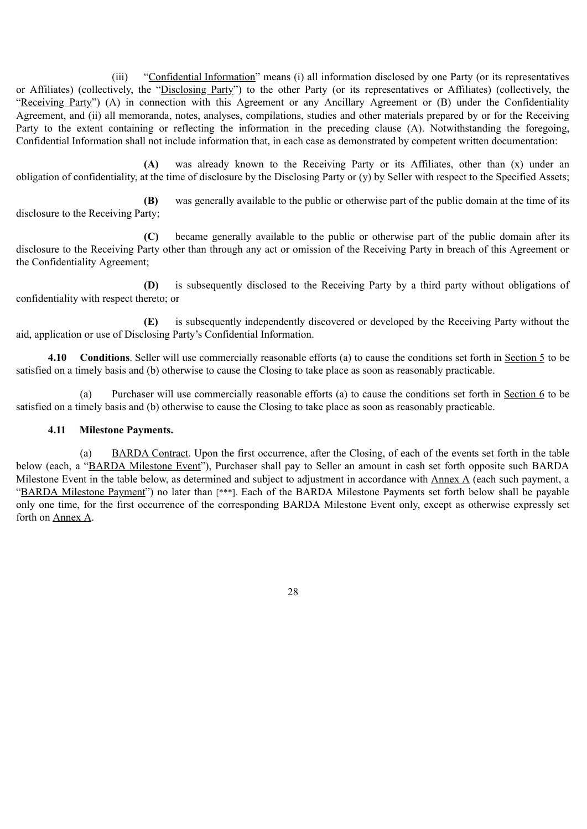(iii) "Confidential Information" means (i) all information disclosed by one Party (or its representatives or Affiliates) (collectively, the "Disclosing Party") to the other Party (or its representatives or Affiliates) (collectively, the "Receiving Party") (A) in connection with this Agreement or any Ancillary Agreement or (B) under the Confidentiality Agreement, and (ii) all memoranda, notes, analyses, compilations, studies and other materials prepared by or for the Receiving Party to the extent containing or reflecting the information in the preceding clause (A). Notwithstanding the foregoing, Confidential Information shall not include information that, in each case as demonstrated by competent written documentation:

**(A)** was already known to the Receiving Party or its Affiliates, other than (x) under an obligation of confidentiality, at the time of disclosure by the Disclosing Party or (y) by Seller with respect to the Specified Assets;

**(B)** was generally available to the public or otherwise part of the public domain at the time of its disclosure to the Receiving Party;

**(C)** became generally available to the public or otherwise part of the public domain after its disclosure to the Receiving Party other than through any act or omission of the Receiving Party in breach of this Agreement or the Confidentiality Agreement;

**(D)** is subsequently disclosed to the Receiving Party by a third party without obligations of confidentiality with respect thereto; or

**(E)** is subsequently independently discovered or developed by the Receiving Party without the aid, application or use of Disclosing Party's Confidential Information.

**4.10 Conditions**. Seller will use commercially reasonable efforts (a) to cause the conditions set forth in Section 5 to be satisfied on a timely basis and (b) otherwise to cause the Closing to take place as soon as reasonably practicable.

Purchaser will use commercially reasonable efforts (a) to cause the conditions set forth in Section 6 to be satisfied on a timely basis and (b) otherwise to cause the Closing to take place as soon as reasonably practicable.

## **4.11 Milestone Payments.**

(a) BARDA Contract. Upon the first occurrence, after the Closing, of each of the events set forth in the table below (each, a "BARDA Milestone Event"), Purchaser shall pay to Seller an amount in cash set forth opposite such BARDA Milestone Event in the table below, as determined and subject to adjustment in accordance with Annex A (each such payment, a "BARDA Milestone Payment") no later than [\*\*\*]. Each of the BARDA Milestone Payments set forth below shall be payable only one time, for the first occurrence of the corresponding BARDA Milestone Event only, except as otherwise expressly set forth on Annex A.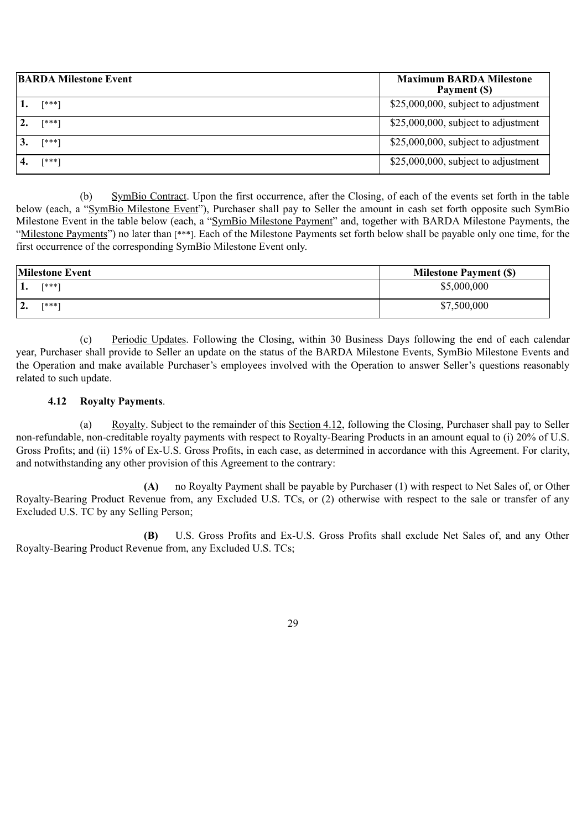| <b>BARDA Milestone Event</b> | <b>Maximum BARDA Milestone</b><br>Payment (\$) |
|------------------------------|------------------------------------------------|
| $[***]$                      | \$25,000,000, subject to adjustment            |
| [***]                        | $$25,000,000$ , subject to adjustment          |
| [***]                        | $$25,000,000$ , subject to adjustment          |
| [***]                        | $$25,000,000,$ subject to adjustment           |

(b) SymBio Contract. Upon the first occurrence, after the Closing, of each of the events set forth in the table below (each, a "SymBio Milestone Event"), Purchaser shall pay to Seller the amount in cash set forth opposite such SymBio Milestone Event in the table below (each, a "SymBio Milestone Payment" and, together with BARDA Milestone Payments, the "Milestone Payments") no later than [\*\*\*]. Each of the Milestone Payments set forth below shall be payable only one time, for the first occurrence of the corresponding SymBio Milestone Event only.

| <b>Milestone Event</b> |             | <b>Milestone Payment (\$)</b> |
|------------------------|-------------|-------------------------------|
|                        | [***]       | \$5,000,000                   |
| ∼                      | <b>F***</b> | \$7,500,000                   |

(c) Periodic Updates. Following the Closing, within 30 Business Days following the end of each calendar year, Purchaser shall provide to Seller an update on the status of the BARDA Milestone Events, SymBio Milestone Events and the Operation and make available Purchaser's employees involved with the Operation to answer Seller's questions reasonably related to such update.

## **4.12 Royalty Payments**.

(a) Royalty. Subject to the remainder of this Section 4.12, following the Closing, Purchaser shall pay to Seller non-refundable, non-creditable royalty payments with respect to Royalty-Bearing Products in an amount equal to (i) 20% of U.S. Gross Profits; and (ii) 15% of Ex-U.S. Gross Profits, in each case, as determined in accordance with this Agreement. For clarity, and notwithstanding any other provision of this Agreement to the contrary:

**(A)** no Royalty Payment shall be payable by Purchaser (1) with respect to Net Sales of, or Other Royalty-Bearing Product Revenue from, any Excluded U.S. TCs, or (2) otherwise with respect to the sale or transfer of any Excluded U.S. TC by any Selling Person;

**(B)** U.S. Gross Profits and Ex-U.S. Gross Profits shall exclude Net Sales of, and any Other Royalty-Bearing Product Revenue from, any Excluded U.S. TCs;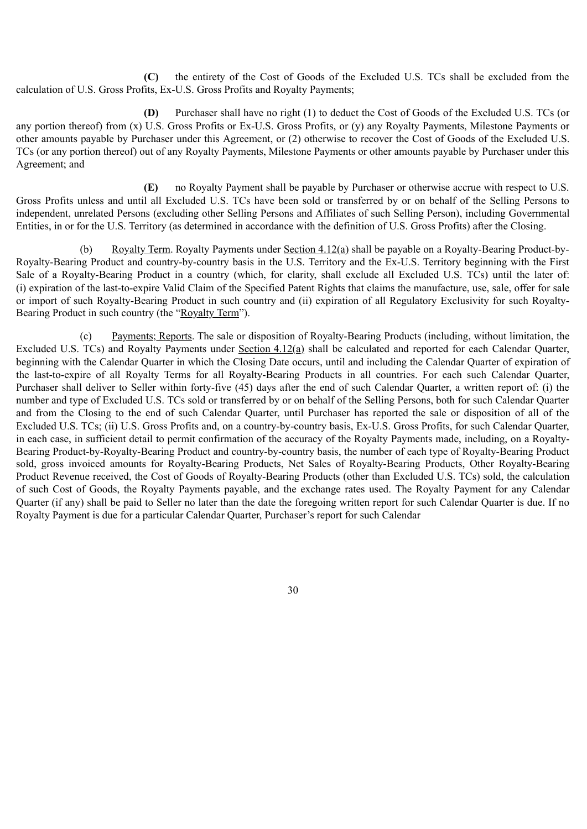**(C)** the entirety of the Cost of Goods of the Excluded U.S. TCs shall be excluded from the calculation of U.S. Gross Profits, Ex-U.S. Gross Profits and Royalty Payments;

**(D)** Purchaser shall have no right (1) to deduct the Cost of Goods of the Excluded U.S. TCs (or any portion thereof) from (x) U.S. Gross Profits or Ex-U.S. Gross Profits, or (y) any Royalty Payments, Milestone Payments or other amounts payable by Purchaser under this Agreement, or (2) otherwise to recover the Cost of Goods of the Excluded U.S. TCs (or any portion thereof) out of any Royalty Payments, Milestone Payments or other amounts payable by Purchaser under this Agreement; and

**(E)** no Royalty Payment shall be payable by Purchaser or otherwise accrue with respect to U.S. Gross Profits unless and until all Excluded U.S. TCs have been sold or transferred by or on behalf of the Selling Persons to independent, unrelated Persons (excluding other Selling Persons and Affiliates of such Selling Person), including Governmental Entities, in or for the U.S. Territory (as determined in accordance with the definition of U.S. Gross Profits) after the Closing.

(b) Royalty Term. Royalty Payments under Section 4.12(a) shall be payable on a Royalty-Bearing Product-by-Royalty-Bearing Product and country-by-country basis in the U.S. Territory and the Ex-U.S. Territory beginning with the First Sale of a Royalty-Bearing Product in a country (which, for clarity, shall exclude all Excluded U.S. TCs) until the later of: (i) expiration of the last-to-expire Valid Claim of the Specified Patent Rights that claims the manufacture, use, sale, offer for sale or import of such Royalty-Bearing Product in such country and (ii) expiration of all Regulatory Exclusivity for such Royalty-Bearing Product in such country (the "Royalty Term").

(c) Payments; Reports. The sale or disposition of Royalty-Bearing Products (including, without limitation, the Excluded U.S. TCs) and Royalty Payments under Section 4.12(a) shall be calculated and reported for each Calendar Quarter, beginning with the Calendar Quarter in which the Closing Date occurs, until and including the Calendar Quarter of expiration of the last-to-expire of all Royalty Terms for all Royalty-Bearing Products in all countries. For each such Calendar Quarter, Purchaser shall deliver to Seller within forty-five (45) days after the end of such Calendar Quarter, a written report of: (i) the number and type of Excluded U.S. TCs sold or transferred by or on behalf of the Selling Persons, both for such Calendar Quarter and from the Closing to the end of such Calendar Quarter, until Purchaser has reported the sale or disposition of all of the Excluded U.S. TCs; (ii) U.S. Gross Profits and, on a country-by-country basis, Ex-U.S. Gross Profits, for such Calendar Quarter, in each case, in sufficient detail to permit confirmation of the accuracy of the Royalty Payments made, including, on a Royalty-Bearing Product-by-Royalty-Bearing Product and country-by-country basis, the number of each type of Royalty-Bearing Product sold, gross invoiced amounts for Royalty-Bearing Products, Net Sales of Royalty-Bearing Products, Other Royalty-Bearing Product Revenue received, the Cost of Goods of Royalty-Bearing Products (other than Excluded U.S. TCs) sold, the calculation of such Cost of Goods, the Royalty Payments payable, and the exchange rates used. The Royalty Payment for any Calendar Quarter (if any) shall be paid to Seller no later than the date the foregoing written report for such Calendar Quarter is due. If no Royalty Payment is due for a particular Calendar Quarter, Purchaser's report for such Calendar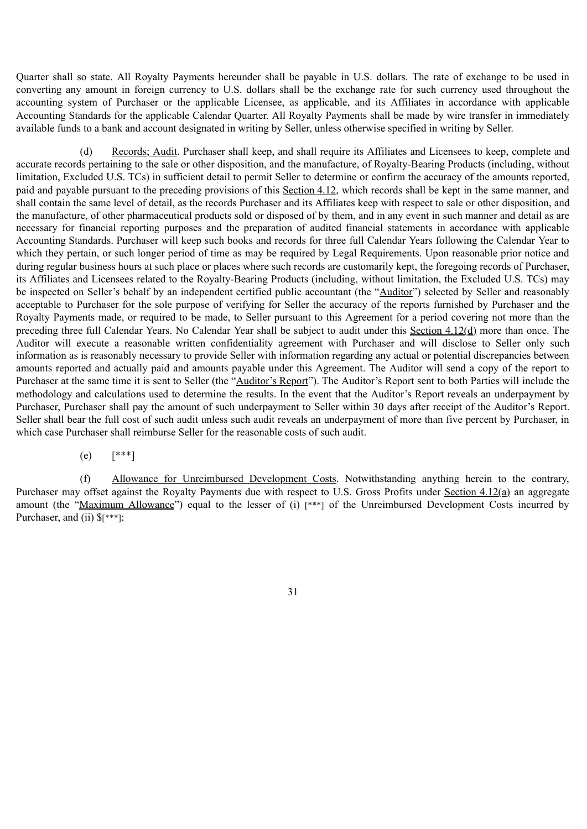Quarter shall so state. All Royalty Payments hereunder shall be payable in U.S. dollars. The rate of exchange to be used in converting any amount in foreign currency to U.S. dollars shall be the exchange rate for such currency used throughout the accounting system of Purchaser or the applicable Licensee, as applicable, and its Affiliates in accordance with applicable Accounting Standards for the applicable Calendar Quarter. All Royalty Payments shall be made by wire transfer in immediately available funds to a bank and account designated in writing by Seller, unless otherwise specified in writing by Seller.

Records; Audit. Purchaser shall keep, and shall require its Affiliates and Licensees to keep, complete and accurate records pertaining to the sale or other disposition, and the manufacture, of Royalty-Bearing Products (including, without limitation, Excluded U.S. TCs) in sufficient detail to permit Seller to determine or confirm the accuracy of the amounts reported, paid and payable pursuant to the preceding provisions of this Section 4.12, which records shall be kept in the same manner, and shall contain the same level of detail, as the records Purchaser and its Affiliates keep with respect to sale or other disposition, and the manufacture, of other pharmaceutical products sold or disposed of by them, and in any event in such manner and detail as are necessary for financial reporting purposes and the preparation of audited financial statements in accordance with applicable Accounting Standards. Purchaser will keep such books and records for three full Calendar Years following the Calendar Year to which they pertain, or such longer period of time as may be required by Legal Requirements. Upon reasonable prior notice and during regular business hours at such place or places where such records are customarily kept, the foregoing records of Purchaser, its Affiliates and Licensees related to the Royalty-Bearing Products (including, without limitation, the Excluded U.S. TCs) may be inspected on Seller's behalf by an independent certified public accountant (the "Auditor") selected by Seller and reasonably acceptable to Purchaser for the sole purpose of verifying for Seller the accuracy of the reports furnished by Purchaser and the Royalty Payments made, or required to be made, to Seller pursuant to this Agreement for a period covering not more than the preceding three full Calendar Years. No Calendar Year shall be subject to audit under this Section 4.12(d) more than once. The Auditor will execute a reasonable written confidentiality agreement with Purchaser and will disclose to Seller only such information as is reasonably necessary to provide Seller with information regarding any actual or potential discrepancies between amounts reported and actually paid and amounts payable under this Agreement. The Auditor will send a copy of the report to Purchaser at the same time it is sent to Seller (the "Auditor's Report"). The Auditor's Report sent to both Parties will include the methodology and calculations used to determine the results. In the event that the Auditor's Report reveals an underpayment by Purchaser, Purchaser shall pay the amount of such underpayment to Seller within 30 days after receipt of the Auditor's Report. Seller shall bear the full cost of such audit unless such audit reveals an underpayment of more than five percent by Purchaser, in which case Purchaser shall reimburse Seller for the reasonable costs of such audit.

## (e) [\*\*\*]

(f) Allowance for Unreimbursed Development Costs. Notwithstanding anything herein to the contrary, Purchaser may offset against the Royalty Payments due with respect to U.S. Gross Profits under Section 4.12(a) an aggregate amount (the "Maximum Allowance") equal to the lesser of (i) [\*\*\*] of the Unreimbursed Development Costs incurred by Purchaser, and (ii)  $\frac{1}{2}$  [\*\*\*];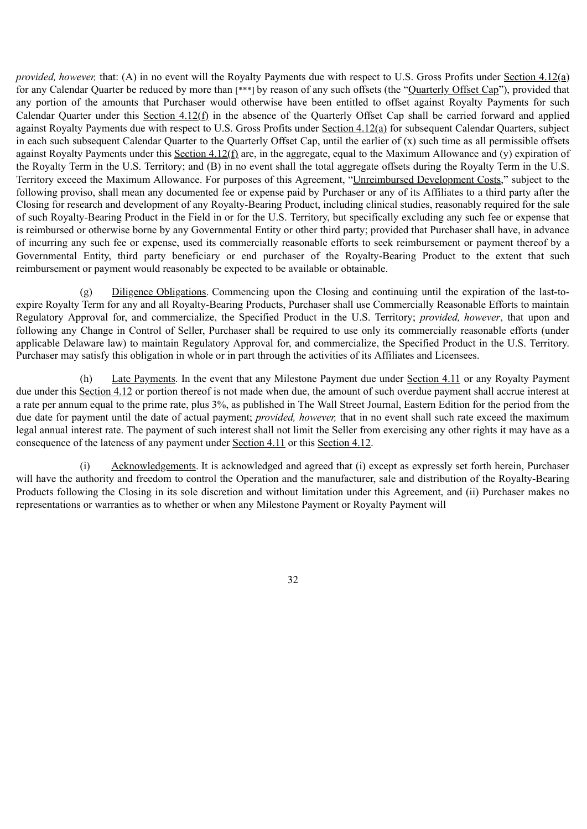*provided, however,* that: (A) in no event will the Royalty Payments due with respect to U.S. Gross Profits under Section 4.12(a) for any Calendar Quarter be reduced by more than [\*\*\*] by reason of any such offsets (the "Quarterly Offset Cap"), provided that any portion of the amounts that Purchaser would otherwise have been entitled to offset against Royalty Payments for such Calendar Quarter under this Section 4.12(f) in the absence of the Quarterly Offset Cap shall be carried forward and applied against Royalty Payments due with respect to U.S. Gross Profits under Section 4.12(a) for subsequent Calendar Quarters, subject in each such subsequent Calendar Quarter to the Quarterly Offset Cap, until the earlier of (x) such time as all permissible offsets against Royalty Payments under this Section  $4.12(f)$  are, in the aggregate, equal to the Maximum Allowance and (y) expiration of the Royalty Term in the U.S. Territory; and (B) in no event shall the total aggregate offsets during the Royalty Term in the U.S. Territory exceed the Maximum Allowance. For purposes of this Agreement, "Unreimbursed Development Costs," subject to the following proviso, shall mean any documented fee or expense paid by Purchaser or any of its Affiliates to a third party after the Closing for research and development of any Royalty-Bearing Product, including clinical studies, reasonably required for the sale of such Royalty-Bearing Product in the Field in or for the U.S. Territory, but specifically excluding any such fee or expense that is reimbursed or otherwise borne by any Governmental Entity or other third party; provided that Purchaser shall have, in advance of incurring any such fee or expense, used its commercially reasonable efforts to seek reimbursement or payment thereof by a Governmental Entity, third party beneficiary or end purchaser of the Royalty-Bearing Product to the extent that such reimbursement or payment would reasonably be expected to be available or obtainable.

(g) Diligence Obligations. Commencing upon the Closing and continuing until the expiration of the last-toexpire Royalty Term for any and all Royalty-Bearing Products, Purchaser shall use Commercially Reasonable Efforts to maintain Regulatory Approval for, and commercialize, the Specified Product in the U.S. Territory; *provided, however*, that upon and following any Change in Control of Seller, Purchaser shall be required to use only its commercially reasonable efforts (under applicable Delaware law) to maintain Regulatory Approval for, and commercialize, the Specified Product in the U.S. Territory. Purchaser may satisfy this obligation in whole or in part through the activities of its Affiliates and Licensees.

(h) Late Payments. In the event that any Milestone Payment due under Section 4.11 or any Royalty Payment due under this Section 4.12 or portion thereof is not made when due, the amount of such overdue payment shall accrue interest at a rate per annum equal to the prime rate, plus 3%, as published in The Wall Street Journal, Eastern Edition for the period from the due date for payment until the date of actual payment; *provided, however,* that in no event shall such rate exceed the maximum legal annual interest rate. The payment of such interest shall not limit the Seller from exercising any other rights it may have as a consequence of the lateness of any payment under Section 4.11 or this Section 4.12.

(i) Acknowledgements. It is acknowledged and agreed that (i) except as expressly set forth herein, Purchaser will have the authority and freedom to control the Operation and the manufacturer, sale and distribution of the Royalty-Bearing Products following the Closing in its sole discretion and without limitation under this Agreement, and (ii) Purchaser makes no representations or warranties as to whether or when any Milestone Payment or Royalty Payment will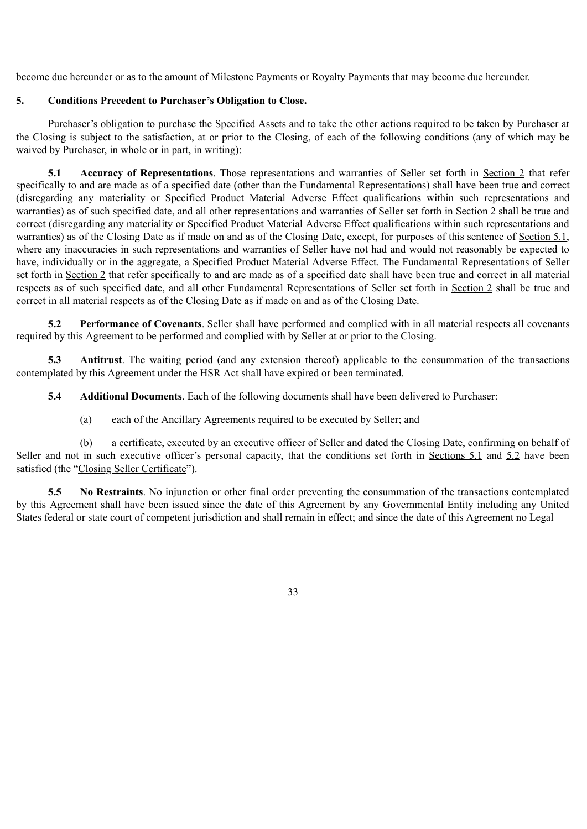become due hereunder or as to the amount of Milestone Payments or Royalty Payments that may become due hereunder.

## **5. Conditions Precedent to Purchaser's Obligation to Close.**

Purchaser's obligation to purchase the Specified Assets and to take the other actions required to be taken by Purchaser at the Closing is subject to the satisfaction, at or prior to the Closing, of each of the following conditions (any of which may be waived by Purchaser, in whole or in part, in writing):

**5.1 Accuracy of Representations**. Those representations and warranties of Seller set forth in Section 2 that refer specifically to and are made as of a specified date (other than the Fundamental Representations) shall have been true and correct (disregarding any materiality or Specified Product Material Adverse Effect qualifications within such representations and warranties) as of such specified date, and all other representations and warranties of Seller set forth in Section 2 shall be true and correct (disregarding any materiality or Specified Product Material Adverse Effect qualifications within such representations and warranties) as of the Closing Date as if made on and as of the Closing Date, except, for purposes of this sentence of Section 5.1, where any inaccuracies in such representations and warranties of Seller have not had and would not reasonably be expected to have, individually or in the aggregate, a Specified Product Material Adverse Effect. The Fundamental Representations of Seller set forth in Section 2 that refer specifically to and are made as of a specified date shall have been true and correct in all material respects as of such specified date, and all other Fundamental Representations of Seller set forth in Section 2 shall be true and correct in all material respects as of the Closing Date as if made on and as of the Closing Date.

**5.2 Performance of Covenants**. Seller shall have performed and complied with in all material respects all covenants required by this Agreement to be performed and complied with by Seller at or prior to the Closing.

**5.3 Antitrust**. The waiting period (and any extension thereof) applicable to the consummation of the transactions contemplated by this Agreement under the HSR Act shall have expired or been terminated.

**5.4 Additional Documents**. Each of the following documents shall have been delivered to Purchaser:

(a) each of the Ancillary Agreements required to be executed by Seller; and

(b) a certificate, executed by an executive officer of Seller and dated the Closing Date, confirming on behalf of Seller and not in such executive officer's personal capacity, that the conditions set forth in Sections 5.1 and 5.2 have been satisfied (the "Closing Seller Certificate").

**5.5 No Restraints**. No injunction or other final order preventing the consummation of the transactions contemplated by this Agreement shall have been issued since the date of this Agreement by any Governmental Entity including any United States federal or state court of competent jurisdiction and shall remain in effect; and since the date of this Agreement no Legal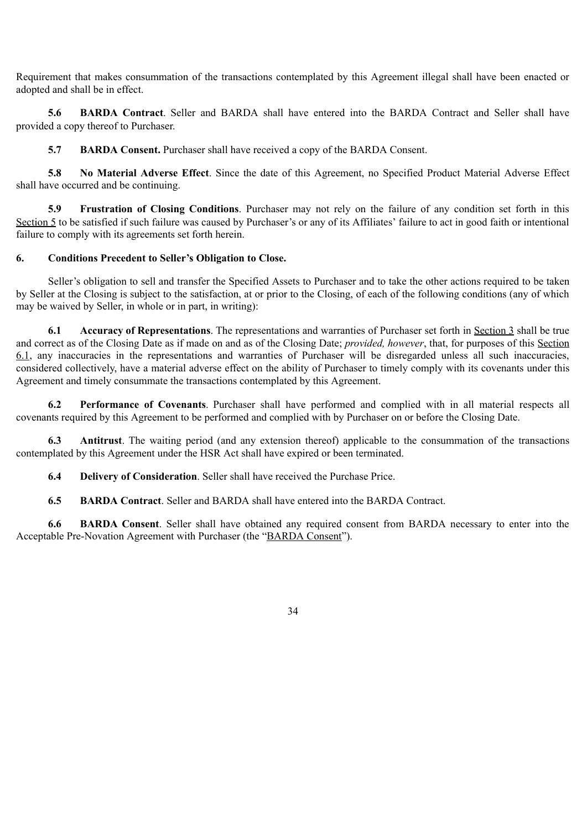Requirement that makes consummation of the transactions contemplated by this Agreement illegal shall have been enacted or adopted and shall be in effect.

**5.6 BARDA Contract**. Seller and BARDA shall have entered into the BARDA Contract and Seller shall have provided a copy thereof to Purchaser.

**5.7 BARDA Consent.** Purchaser shall have received a copy of the BARDA Consent.

**5.8 No Material Adverse Effect**. Since the date of this Agreement, no Specified Product Material Adverse Effect shall have occurred and be continuing.

**5.9 Frustration of Closing Conditions**. Purchaser may not rely on the failure of any condition set forth in this Section 5 to be satisfied if such failure was caused by Purchaser's or any of its Affiliates' failure to act in good faith or intentional failure to comply with its agreements set forth herein.

## **6. Conditions Precedent to Seller's Obligation to Close.**

Seller's obligation to sell and transfer the Specified Assets to Purchaser and to take the other actions required to be taken by Seller at the Closing is subject to the satisfaction, at or prior to the Closing, of each of the following conditions (any of which may be waived by Seller, in whole or in part, in writing):

**6.1 Accuracy of Representations**. The representations and warranties of Purchaser set forth in Section 3 shall be true and correct as of the Closing Date as if made on and as of the Closing Date; *provided, however*, that, for purposes of this Section 6.1, any inaccuracies in the representations and warranties of Purchaser will be disregarded unless all such inaccuracies, considered collectively, have a material adverse effect on the ability of Purchaser to timely comply with its covenants under this Agreement and timely consummate the transactions contemplated by this Agreement.

**6.2 Performance of Covenants**. Purchaser shall have performed and complied with in all material respects all covenants required by this Agreement to be performed and complied with by Purchaser on or before the Closing Date.

**6.3 Antitrust**. The waiting period (and any extension thereof) applicable to the consummation of the transactions contemplated by this Agreement under the HSR Act shall have expired or been terminated.

**6.4 Delivery of Consideration**. Seller shall have received the Purchase Price.

**6.5 BARDA Contract**. Seller and BARDA shall have entered into the BARDA Contract.

**6.6 BARDA Consent**. Seller shall have obtained any required consent from BARDA necessary to enter into the Acceptable Pre-Novation Agreement with Purchaser (the "BARDA Consent").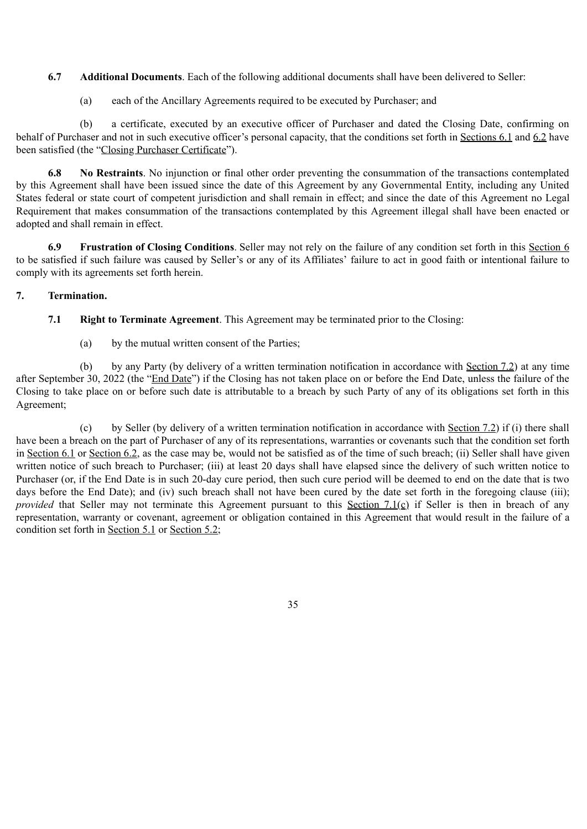**6.7 Additional Documents**. Each of the following additional documents shall have been delivered to Seller:

(a) each of the Ancillary Agreements required to be executed by Purchaser; and

(b) a certificate, executed by an executive officer of Purchaser and dated the Closing Date, confirming on behalf of Purchaser and not in such executive officer's personal capacity, that the conditions set forth in Sections 6.1 and 6.2 have been satisfied (the "Closing Purchaser Certificate").

**6.8 No Restraints**. No injunction or final other order preventing the consummation of the transactions contemplated by this Agreement shall have been issued since the date of this Agreement by any Governmental Entity, including any United States federal or state court of competent jurisdiction and shall remain in effect; and since the date of this Agreement no Legal Requirement that makes consummation of the transactions contemplated by this Agreement illegal shall have been enacted or adopted and shall remain in effect.

**6.9 Frustration of Closing Conditions**. Seller may not rely on the failure of any condition set forth in this Section 6 to be satisfied if such failure was caused by Seller's or any of its Affiliates' failure to act in good faith or intentional failure to comply with its agreements set forth herein.

## **7. Termination.**

**7.1 Right to Terminate Agreement**. This Agreement may be terminated prior to the Closing:

(a) by the mutual written consent of the Parties;

(b) by any Party (by delivery of a written termination notification in accordance with Section 7.2) at any time after September 30, 2022 (the "End Date") if the Closing has not taken place on or before the End Date, unless the failure of the Closing to take place on or before such date is attributable to a breach by such Party of any of its obligations set forth in this Agreement;

(c) by Seller (by delivery of a written termination notification in accordance with Section 7.2) if (i) there shall have been a breach on the part of Purchaser of any of its representations, warranties or covenants such that the condition set forth in Section 6.1 or Section 6.2, as the case may be, would not be satisfied as of the time of such breach; (ii) Seller shall have given written notice of such breach to Purchaser; (iii) at least 20 days shall have elapsed since the delivery of such written notice to Purchaser (or, if the End Date is in such 20-day cure period, then such cure period will be deemed to end on the date that is two days before the End Date); and (iv) such breach shall not have been cured by the date set forth in the foregoing clause (iii); *provided* that Seller may not terminate this Agreement pursuant to this Section 7.1(c) if Seller is then in breach of any representation, warranty or covenant, agreement or obligation contained in this Agreement that would result in the failure of a condition set forth in Section 5.1 or Section 5.2;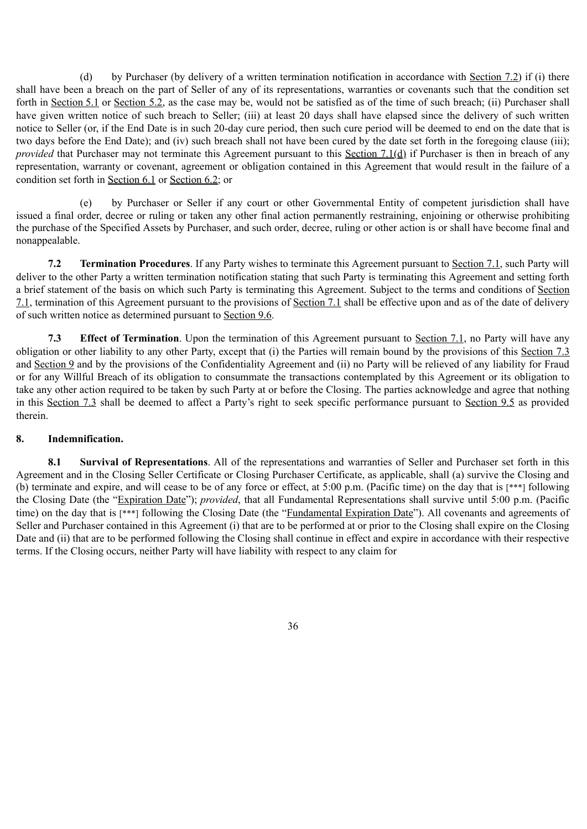(d) by Purchaser (by delivery of a written termination notification in accordance with Section 7.2) if (i) there shall have been a breach on the part of Seller of any of its representations, warranties or covenants such that the condition set forth in Section 5.1 or Section 5.2, as the case may be, would not be satisfied as of the time of such breach; (ii) Purchaser shall have given written notice of such breach to Seller; (iii) at least 20 days shall have elapsed since the delivery of such written notice to Seller (or, if the End Date is in such 20-day cure period, then such cure period will be deemed to end on the date that is two days before the End Date); and (iv) such breach shall not have been cured by the date set forth in the foregoing clause (iii); *provided* that Purchaser may not terminate this Agreement pursuant to this Section 7.1(d) if Purchaser is then in breach of any representation, warranty or covenant, agreement or obligation contained in this Agreement that would result in the failure of a condition set forth in Section 6.1 or Section 6.2; or

(e) by Purchaser or Seller if any court or other Governmental Entity of competent jurisdiction shall have issued a final order, decree or ruling or taken any other final action permanently restraining, enjoining or otherwise prohibiting the purchase of the Specified Assets by Purchaser, and such order, decree, ruling or other action is or shall have become final and nonappealable.

**7.2 Termination Procedures**. If any Party wishes to terminate this Agreement pursuant to Section 7.1, such Party will deliver to the other Party a written termination notification stating that such Party is terminating this Agreement and setting forth a brief statement of the basis on which such Party is terminating this Agreement. Subject to the terms and conditions of Section 7.1, termination of this Agreement pursuant to the provisions of Section 7.1 shall be effective upon and as of the date of delivery of such written notice as determined pursuant to Section 9.6.

**7.3 Effect of Termination**. Upon the termination of this Agreement pursuant to Section 7.1, no Party will have any obligation or other liability to any other Party, except that (i) the Parties will remain bound by the provisions of this Section 7.3 and Section 9 and by the provisions of the Confidentiality Agreement and (ii) no Party will be relieved of any liability for Fraud or for any Willful Breach of its obligation to consummate the transactions contemplated by this Agreement or its obligation to take any other action required to be taken by such Party at or before the Closing. The parties acknowledge and agree that nothing in this Section 7.3 shall be deemed to affect a Party's right to seek specific performance pursuant to Section 9.5 as provided therein.

### **8. Indemnification.**

**8.1 Survival of Representations**. All of the representations and warranties of Seller and Purchaser set forth in this Agreement and in the Closing Seller Certificate or Closing Purchaser Certificate, as applicable, shall (a) survive the Closing and (b) terminate and expire, and will cease to be of any force or effect, at 5:00 p.m. (Pacific time) on the day that is [\*\*\*] following the Closing Date (the "Expiration Date"); *provided*, that all Fundamental Representations shall survive until 5:00 p.m. (Pacific time) on the day that is [\*\*\*] following the Closing Date (the "Fundamental Expiration Date"). All covenants and agreements of Seller and Purchaser contained in this Agreement (i) that are to be performed at or prior to the Closing shall expire on the Closing Date and (ii) that are to be performed following the Closing shall continue in effect and expire in accordance with their respective terms. If the Closing occurs, neither Party will have liability with respect to any claim for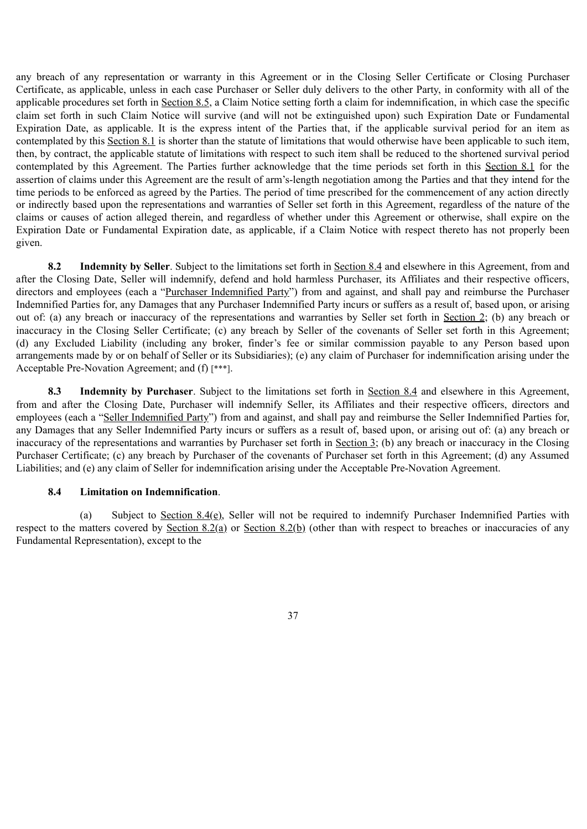any breach of any representation or warranty in this Agreement or in the Closing Seller Certificate or Closing Purchaser Certificate, as applicable, unless in each case Purchaser or Seller duly delivers to the other Party, in conformity with all of the applicable procedures set forth in Section 8.5, a Claim Notice setting forth a claim for indemnification, in which case the specific claim set forth in such Claim Notice will survive (and will not be extinguished upon) such Expiration Date or Fundamental Expiration Date, as applicable. It is the express intent of the Parties that, if the applicable survival period for an item as contemplated by this Section 8.1 is shorter than the statute of limitations that would otherwise have been applicable to such item, then, by contract, the applicable statute of limitations with respect to such item shall be reduced to the shortened survival period contemplated by this Agreement. The Parties further acknowledge that the time periods set forth in this Section 8.1 for the assertion of claims under this Agreement are the result of arm's-length negotiation among the Parties and that they intend for the time periods to be enforced as agreed by the Parties. The period of time prescribed for the commencement of any action directly or indirectly based upon the representations and warranties of Seller set forth in this Agreement, regardless of the nature of the claims or causes of action alleged therein, and regardless of whether under this Agreement or otherwise, shall expire on the Expiration Date or Fundamental Expiration date, as applicable, if a Claim Notice with respect thereto has not properly been given.

**8.2 Indemnity by Seller**. Subject to the limitations set forth in Section 8.4 and elsewhere in this Agreement, from and after the Closing Date, Seller will indemnify, defend and hold harmless Purchaser, its Affiliates and their respective officers, directors and employees (each a "Purchaser Indemnified Party") from and against, and shall pay and reimburse the Purchaser Indemnified Parties for, any Damages that any Purchaser Indemnified Party incurs or suffers as a result of, based upon, or arising out of: (a) any breach or inaccuracy of the representations and warranties by Seller set forth in Section 2; (b) any breach or inaccuracy in the Closing Seller Certificate; (c) any breach by Seller of the covenants of Seller set forth in this Agreement; (d) any Excluded Liability (including any broker, finder's fee or similar commission payable to any Person based upon arrangements made by or on behalf of Seller or its Subsidiaries); (e) any claim of Purchaser for indemnification arising under the Acceptable Pre-Novation Agreement; and (f) [\*\*\*].

**8.3 Indemnity by Purchaser**. Subject to the limitations set forth in Section 8.4 and elsewhere in this Agreement, from and after the Closing Date, Purchaser will indemnify Seller, its Affiliates and their respective officers, directors and employees (each a "Seller Indemnified Party") from and against, and shall pay and reimburse the Seller Indemnified Parties for, any Damages that any Seller Indemnified Party incurs or suffers as a result of, based upon, or arising out of: (a) any breach or inaccuracy of the representations and warranties by Purchaser set forth in Section 3; (b) any breach or inaccuracy in the Closing Purchaser Certificate; (c) any breach by Purchaser of the covenants of Purchaser set forth in this Agreement; (d) any Assumed Liabilities; and (e) any claim of Seller for indemnification arising under the Acceptable Pre-Novation Agreement.

### **8.4 Limitation on Indemnification**.

(a) Subject to Section  $8.4(e)$ , Seller will not be required to indemnify Purchaser Indemnified Parties with respect to the matters covered by Section 8.2(a) or Section 8.2(b) (other than with respect to breaches or inaccuracies of any Fundamental Representation), except to the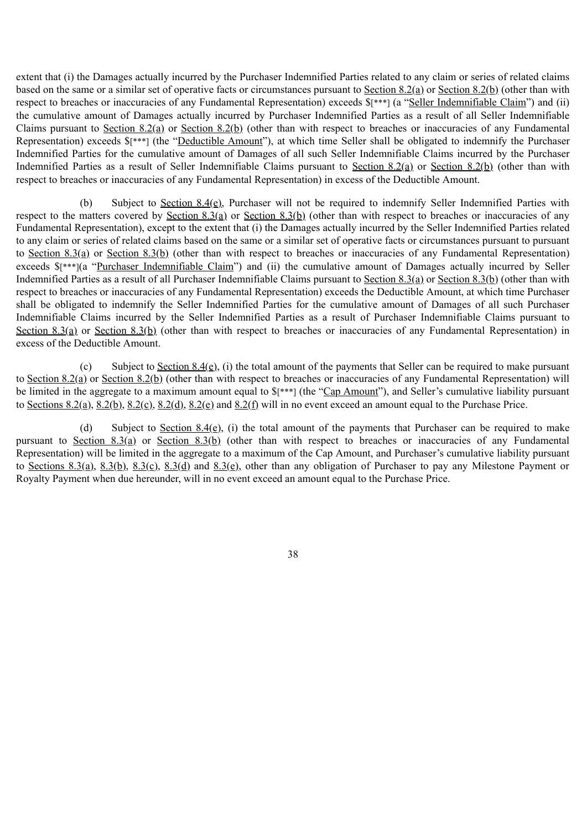extent that (i) the Damages actually incurred by the Purchaser Indemnified Parties related to any claim or series of related claims based on the same or a similar set of operative facts or circumstances pursuant to Section 8.2(a) or Section 8.2(b) (other than with respect to breaches or inaccuracies of any Fundamental Representation) exceeds \$[\*\*\*] (a "Seller Indemnifiable Claim") and (ii) the cumulative amount of Damages actually incurred by Purchaser Indemnified Parties as a result of all Seller Indemnifiable Claims pursuant to Section 8.2(a) or Section 8.2(b) (other than with respect to breaches or inaccuracies of any Fundamental Representation) exceeds \$[\*\*\*] (the "Deductible Amount"), at which time Seller shall be obligated to indemnify the Purchaser Indemnified Parties for the cumulative amount of Damages of all such Seller Indemnifiable Claims incurred by the Purchaser Indemnified Parties as a result of Seller Indemnifiable Claims pursuant to Section 8.2(a) or Section 8.2(b) (other than with respect to breaches or inaccuracies of any Fundamental Representation) in excess of the Deductible Amount.

(b) Subject to Section 8.4(e), Purchaser will not be required to indemnify Seller Indemnified Parties with respect to the matters covered by Section 8.3(a) or Section 8.3(b) (other than with respect to breaches or inaccuracies of any Fundamental Representation), except to the extent that (i) the Damages actually incurred by the Seller Indemnified Parties related to any claim or series of related claims based on the same or a similar set of operative facts or circumstances pursuant to pursuant to Section 8.3(a) or Section 8.3(b) (other than with respect to breaches or inaccuracies of any Fundamental Representation) exceeds  $\frac{\gamma^*}{\gamma}$  (a "Purchaser Indemnifiable Claim") and (ii) the cumulative amount of Damages actually incurred by Seller Indemnified Parties as a result of all Purchaser Indemnifiable Claims pursuant to Section 8.3(a) or Section 8.3(b) (other than with respect to breaches or inaccuracies of any Fundamental Representation) exceeds the Deductible Amount, at which time Purchaser shall be obligated to indemnify the Seller Indemnified Parties for the cumulative amount of Damages of all such Purchaser Indemnifiable Claims incurred by the Seller Indemnified Parties as a result of Purchaser Indemnifiable Claims pursuant to Section 8.3(a) or Section 8.3(b) (other than with respect to breaches or inaccuracies of any Fundamental Representation) in excess of the Deductible Amount.

(c) Subject to Section  $8.4(e)$ , (i) the total amount of the payments that Seller can be required to make pursuant to Section 8.2(a) or Section 8.2(b) (other than with respect to breaches or inaccuracies of any Fundamental Representation) will be limited in the aggregate to a maximum amount equal to  $\frac{1}{2}$  (the "Cap Amount"), and Seller's cumulative liability pursuant to Sections  $8.2(a)$ ,  $8.2(b)$ ,  $8.2(c)$ ,  $8.2(d)$ ,  $8.2(e)$  and  $8.2(f)$  will in no event exceed an amount equal to the Purchase Price.

(d) Subject to Section 8.4(e), (i) the total amount of the payments that Purchaser can be required to make pursuant to Section 8.3(a) or Section 8.3(b) (other than with respect to breaches or inaccuracies of any Fundamental Representation) will be limited in the aggregate to a maximum of the Cap Amount, and Purchaser's cumulative liability pursuant to Sections 8.3(a), 8.3(b), 8.3(c), 8.3(d) and 8.3(e), other than any obligation of Purchaser to pay any Milestone Payment or Royalty Payment when due hereunder, will in no event exceed an amount equal to the Purchase Price.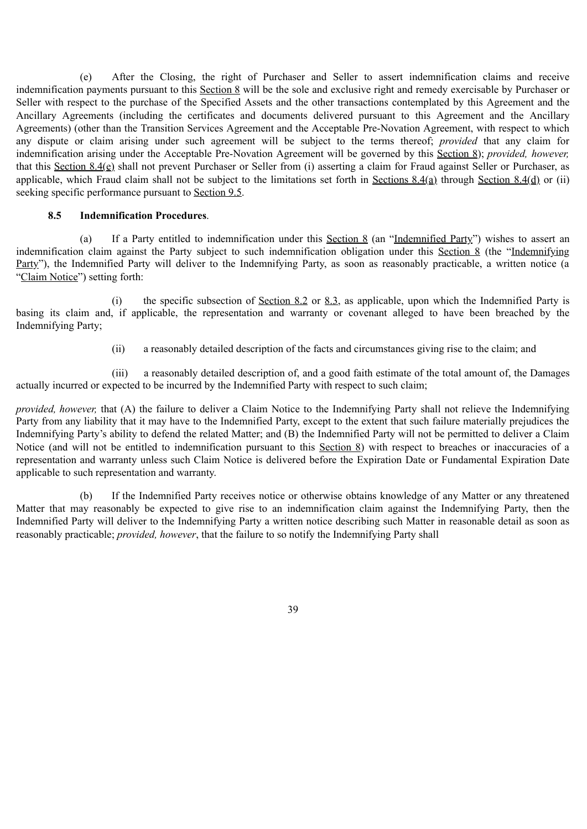(e) After the Closing, the right of Purchaser and Seller to assert indemnification claims and receive indemnification payments pursuant to this Section 8 will be the sole and exclusive right and remedy exercisable by Purchaser or Seller with respect to the purchase of the Specified Assets and the other transactions contemplated by this Agreement and the Ancillary Agreements (including the certificates and documents delivered pursuant to this Agreement and the Ancillary Agreements) (other than the Transition Services Agreement and the Acceptable Pre-Novation Agreement, with respect to which any dispute or claim arising under such agreement will be subject to the terms thereof; *provided* that any claim for indemnification arising under the Acceptable Pre-Novation Agreement will be governed by this Section 8); *provided, however,* that this Section 8.4(e) shall not prevent Purchaser or Seller from (i) asserting a claim for Fraud against Seller or Purchaser, as applicable, which Fraud claim shall not be subject to the limitations set forth in Sections 8.4(a) through Section 8.4(d) or (ii) seeking specific performance pursuant to Section 9.5.

#### **8.5 Indemnification Procedures**.

(a) If a Party entitled to indemnification under this Section 8 (an "Indemnified Party") wishes to assert an indemnification claim against the Party subject to such indemnification obligation under this Section 8 (the "Indemnifying Party"), the Indemnified Party will deliver to the Indemnifying Party, as soon as reasonably practicable, a written notice (a "Claim Notice") setting forth:

(i) the specific subsection of Section 8.2 or 8.3, as applicable, upon which the Indemnified Party is basing its claim and, if applicable, the representation and warranty or covenant alleged to have been breached by the Indemnifying Party;

(ii) a reasonably detailed description of the facts and circumstances giving rise to the claim; and

(iii) a reasonably detailed description of, and a good faith estimate of the total amount of, the Damages actually incurred or expected to be incurred by the Indemnified Party with respect to such claim;

*provided, however,* that (A) the failure to deliver a Claim Notice to the Indemnifying Party shall not relieve the Indemnifying Party from any liability that it may have to the Indemnified Party, except to the extent that such failure materially prejudices the Indemnifying Party's ability to defend the related Matter; and (B) the Indemnified Party will not be permitted to deliver a Claim Notice (and will not be entitled to indemnification pursuant to this Section 8) with respect to breaches or inaccuracies of a representation and warranty unless such Claim Notice is delivered before the Expiration Date or Fundamental Expiration Date applicable to such representation and warranty.

(b) If the Indemnified Party receives notice or otherwise obtains knowledge of any Matter or any threatened Matter that may reasonably be expected to give rise to an indemnification claim against the Indemnifying Party, then the Indemnified Party will deliver to the Indemnifying Party a written notice describing such Matter in reasonable detail as soon as reasonably practicable; *provided, however*, that the failure to so notify the Indemnifying Party shall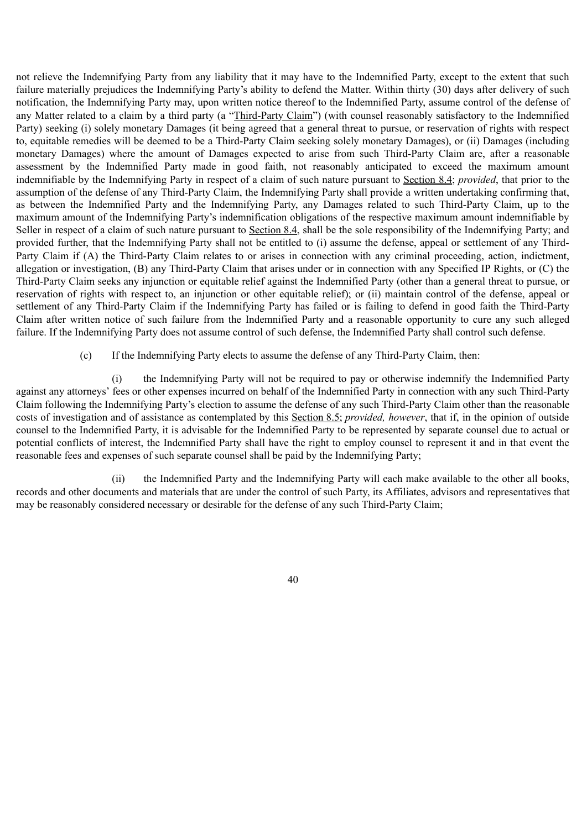not relieve the Indemnifying Party from any liability that it may have to the Indemnified Party, except to the extent that such failure materially prejudices the Indemnifying Party's ability to defend the Matter. Within thirty (30) days after delivery of such notification, the Indemnifying Party may, upon written notice thereof to the Indemnified Party, assume control of the defense of any Matter related to a claim by a third party (a "Third-Party Claim") (with counsel reasonably satisfactory to the Indemnified Party) seeking (i) solely monetary Damages (it being agreed that a general threat to pursue, or reservation of rights with respect to, equitable remedies will be deemed to be a Third-Party Claim seeking solely monetary Damages), or (ii) Damages (including monetary Damages) where the amount of Damages expected to arise from such Third-Party Claim are, after a reasonable assessment by the Indemnified Party made in good faith, not reasonably anticipated to exceed the maximum amount indemnifiable by the Indemnifying Party in respect of a claim of such nature pursuant to Section 8.4; *provided*, that prior to the assumption of the defense of any Third-Party Claim, the Indemnifying Party shall provide a written undertaking confirming that, as between the Indemnified Party and the Indemnifying Party, any Damages related to such Third-Party Claim, up to the maximum amount of the Indemnifying Party's indemnification obligations of the respective maximum amount indemnifiable by Seller in respect of a claim of such nature pursuant to Section 8.4, shall be the sole responsibility of the Indemnifying Party; and provided further, that the Indemnifying Party shall not be entitled to (i) assume the defense, appeal or settlement of any Third-Party Claim if (A) the Third-Party Claim relates to or arises in connection with any criminal proceeding, action, indictment, allegation or investigation, (B) any Third-Party Claim that arises under or in connection with any Specified IP Rights, or (C) the Third-Party Claim seeks any injunction or equitable relief against the Indemnified Party (other than a general threat to pursue, or reservation of rights with respect to, an injunction or other equitable relief); or (ii) maintain control of the defense, appeal or settlement of any Third-Party Claim if the Indemnifying Party has failed or is failing to defend in good faith the Third-Party Claim after written notice of such failure from the Indemnified Party and a reasonable opportunity to cure any such alleged failure. If the Indemnifying Party does not assume control of such defense, the Indemnified Party shall control such defense.

(c) If the Indemnifying Party elects to assume the defense of any Third-Party Claim, then:

(i) the Indemnifying Party will not be required to pay or otherwise indemnify the Indemnified Party against any attorneys' fees or other expenses incurred on behalf of the Indemnified Party in connection with any such Third-Party Claim following the Indemnifying Party's election to assume the defense of any such Third-Party Claim other than the reasonable costs of investigation and of assistance as contemplated by this Section 8.5; *provided, however*, that if, in the opinion of outside counsel to the Indemnified Party, it is advisable for the Indemnified Party to be represented by separate counsel due to actual or potential conflicts of interest, the Indemnified Party shall have the right to employ counsel to represent it and in that event the reasonable fees and expenses of such separate counsel shall be paid by the Indemnifying Party;

(ii) the Indemnified Party and the Indemnifying Party will each make available to the other all books, records and other documents and materials that are under the control of such Party, its Affiliates, advisors and representatives that may be reasonably considered necessary or desirable for the defense of any such Third-Party Claim;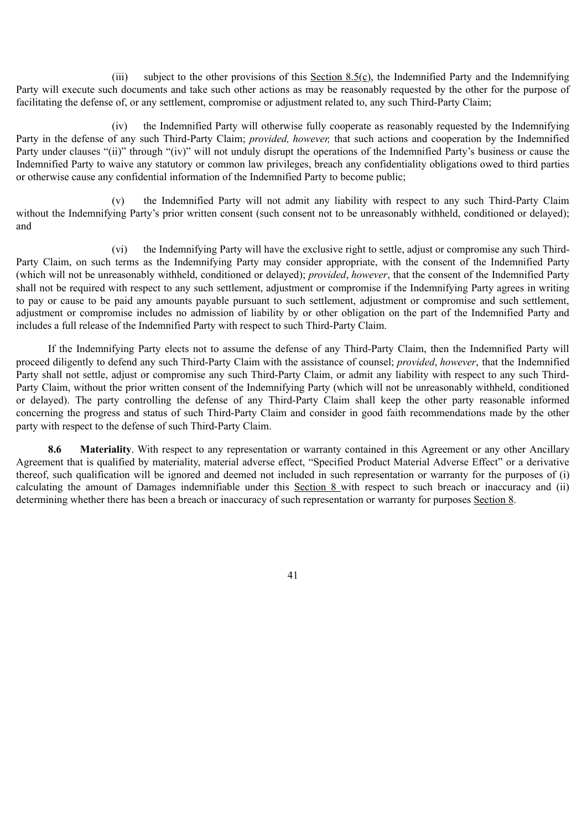(iii) subject to the other provisions of this Section 8.5(c), the Indemnified Party and the Indemnifying Party will execute such documents and take such other actions as may be reasonably requested by the other for the purpose of facilitating the defense of, or any settlement, compromise or adjustment related to, any such Third-Party Claim;

(iv) the Indemnified Party will otherwise fully cooperate as reasonably requested by the Indemnifying Party in the defense of any such Third-Party Claim; *provided, however,* that such actions and cooperation by the Indemnified Party under clauses "(ii)" through "(iv)" will not unduly disrupt the operations of the Indemnified Party's business or cause the Indemnified Party to waive any statutory or common law privileges, breach any confidentiality obligations owed to third parties or otherwise cause any confidential information of the Indemnified Party to become public;

(v) the Indemnified Party will not admit any liability with respect to any such Third-Party Claim without the Indemnifying Party's prior written consent (such consent not to be unreasonably withheld, conditioned or delayed); and

(vi) the Indemnifying Party will have the exclusive right to settle, adjust or compromise any such Third-Party Claim, on such terms as the Indemnifying Party may consider appropriate, with the consent of the Indemnified Party (which will not be unreasonably withheld, conditioned or delayed); *provided*, *however*, that the consent of the Indemnified Party shall not be required with respect to any such settlement, adjustment or compromise if the Indemnifying Party agrees in writing to pay or cause to be paid any amounts payable pursuant to such settlement, adjustment or compromise and such settlement, adjustment or compromise includes no admission of liability by or other obligation on the part of the Indemnified Party and includes a full release of the Indemnified Party with respect to such Third-Party Claim.

If the Indemnifying Party elects not to assume the defense of any Third-Party Claim, then the Indemnified Party will proceed diligently to defend any such Third-Party Claim with the assistance of counsel; *provided*, *however*, that the Indemnified Party shall not settle, adjust or compromise any such Third-Party Claim, or admit any liability with respect to any such Third-Party Claim, without the prior written consent of the Indemnifying Party (which will not be unreasonably withheld, conditioned or delayed). The party controlling the defense of any Third-Party Claim shall keep the other party reasonable informed concerning the progress and status of such Third-Party Claim and consider in good faith recommendations made by the other party with respect to the defense of such Third-Party Claim.

**8.6 Materiality**. With respect to any representation or warranty contained in this Agreement or any other Ancillary Agreement that is qualified by materiality, material adverse effect, "Specified Product Material Adverse Effect" or a derivative thereof, such qualification will be ignored and deemed not included in such representation or warranty for the purposes of (i) calculating the amount of Damages indemnifiable under this Section 8 with respect to such breach or inaccuracy and (ii) determining whether there has been a breach or inaccuracy of such representation or warranty for purposes Section 8.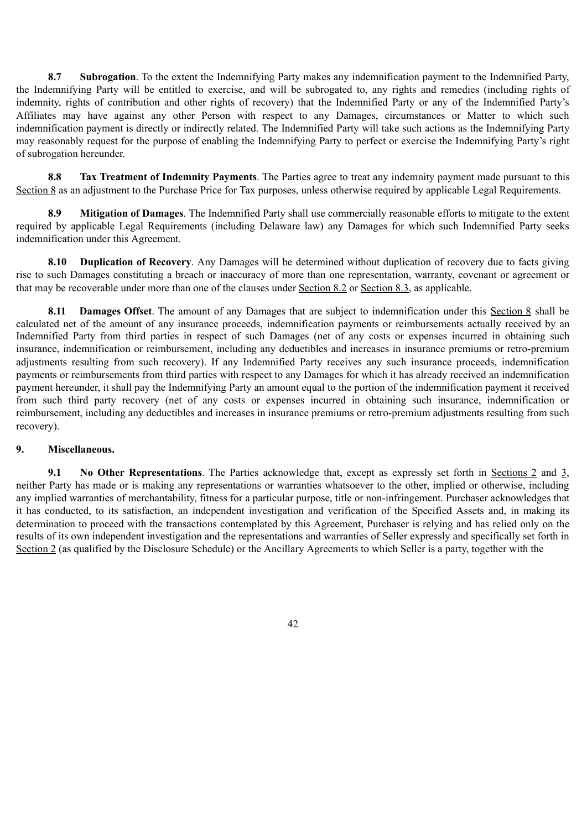**8.7 Subrogation**. To the extent the Indemnifying Party makes any indemnification payment to the Indemnified Party, the Indemnifying Party will be entitled to exercise, and will be subrogated to, any rights and remedies (including rights of indemnity, rights of contribution and other rights of recovery) that the Indemnified Party or any of the Indemnified Party's Affiliates may have against any other Person with respect to any Damages, circumstances or Matter to which such indemnification payment is directly or indirectly related. The Indemnified Party will take such actions as the Indemnifying Party may reasonably request for the purpose of enabling the Indemnifying Party to perfect or exercise the Indemnifying Party's right of subrogation hereunder.

**8.8 Tax Treatment of Indemnity Payments**. The Parties agree to treat any indemnity payment made pursuant to this Section 8 as an adjustment to the Purchase Price for Tax purposes, unless otherwise required by applicable Legal Requirements.

**8.9 Mitigation of Damages**. The Indemnified Party shall use commercially reasonable efforts to mitigate to the extent required by applicable Legal Requirements (including Delaware law) any Damages for which such Indemnified Party seeks indemnification under this Agreement.

**8.10 Duplication of Recovery**. Any Damages will be determined without duplication of recovery due to facts giving rise to such Damages constituting a breach or inaccuracy of more than one representation, warranty, covenant or agreement or that may be recoverable under more than one of the clauses under Section 8.2 or Section 8.3, as applicable.

**8.11 Damages Offset**. The amount of any Damages that are subject to indemnification under this Section 8 shall be calculated net of the amount of any insurance proceeds, indemnification payments or reimbursements actually received by an Indemnified Party from third parties in respect of such Damages (net of any costs or expenses incurred in obtaining such insurance, indemnification or reimbursement, including any deductibles and increases in insurance premiums or retro-premium adjustments resulting from such recovery). If any Indemnified Party receives any such insurance proceeds, indemnification payments or reimbursements from third parties with respect to any Damages for which it has already received an indemnification payment hereunder, it shall pay the Indemnifying Party an amount equal to the portion of the indemnification payment it received from such third party recovery (net of any costs or expenses incurred in obtaining such insurance, indemnification or reimbursement, including any deductibles and increases in insurance premiums or retro-premium adjustments resulting from such recovery).

### **9. Miscellaneous.**

**9.1 No Other Representations**. The Parties acknowledge that, except as expressly set forth in Sections 2 and 3, neither Party has made or is making any representations or warranties whatsoever to the other, implied or otherwise, including any implied warranties of merchantability, fitness for a particular purpose, title or non-infringement. Purchaser acknowledges that it has conducted, to its satisfaction, an independent investigation and verification of the Specified Assets and, in making its determination to proceed with the transactions contemplated by this Agreement. Purchaser is relying and has relied only on the results of its own independent investigation and the representations and warranties of Seller expressly and specifically set forth in Section 2 (as qualified by the Disclosure Schedule) or the Ancillary Agreements to which Seller is a party, together with the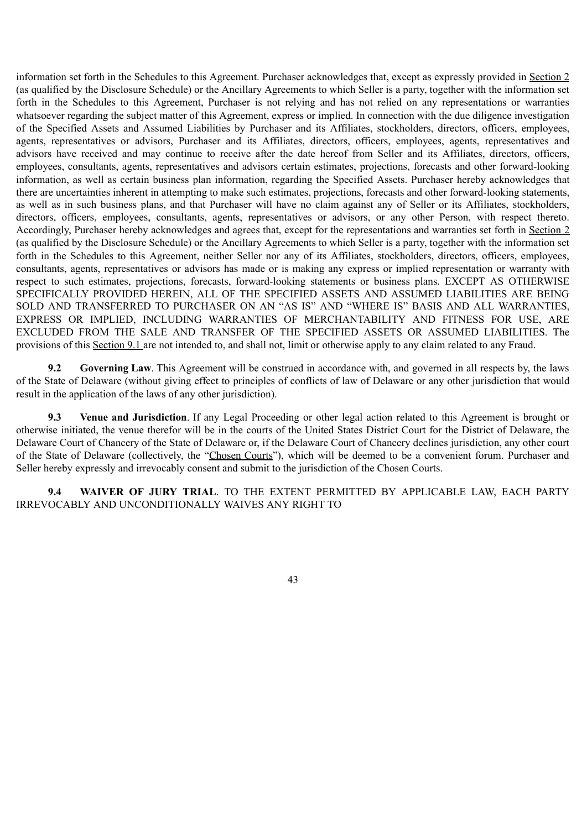information set forth in the Schedules to this Agreement. Purchaser acknowledges that, except as expressly provided in Section 2 (as qualified by the Disclosure Schedule) or the Ancillary Agreements to which Seller is a party, together with the information set forth in the Schedules to this Agreement, Purchaser is not relying and has not relied on any representations or warranties whatsoever regarding the subject matter of this Agreement, express or implied. In connection with the due diligence investigation of the Specified Assets and Assumed Liabilities by Purchaser and its Affiliates, stockholders, directors, officers, employees, agents, representatives or advisors, Purchaser and its Affiliates, directors, officers, employees, agents, representatives and advisors have received and may continue to receive after the date hereof from Seller and its Affiliates, directors, officers, employees, consultants, agents, representatives and advisors certain estimates, projections, forecasts and other forward-looking information, as well as certain business plan information, regarding the Specified Assets. Purchaser hereby acknowledges that there are uncertainties inherent in attempting to make such estimates, projections, forecasts and other forward-looking statements, as well as in such business plans, and that Purchaser will have no claim against any of Seller or its Affiliates, stockholders, directors, officers, employees, consultants, agents, representatives or advisors, or any other Person, with respect thereto. Accordingly, Purchaser hereby acknowledges and agrees that, except for the representations and warranties set forth in Section 2 (as qualified by the Disclosure Schedule) or the Ancillary Agreements to which Seller is a party, together with the information set forth in the Schedules to this Agreement, neither Seller nor any of its Affiliates, stockholders, directors, officers, employees, consultants, agents, representatives or advisors has made or is making any express or implied representation or warranty with respect to such estimates, projections, forecasts, forward-looking statements or business plans. EXCEPT AS OTHERWISE SPECIFICALLY PROVIDED HEREIN, ALL OF THE SPECIFIED ASSETS AND ASSUMED LIABILITIES ARE BEING SOLD AND TRANSFERRED TO PURCHASER ON AN "AS IS" AND "WHERE IS" BASIS AND ALL WARRANTIES, EXPRESS OR IMPLIED, INCLUDING WARRANTIES OF MERCHANTABILITY AND FITNESS FOR USE, ARE EXCLUDED FROM THE SALE AND TRANSFER OF THE SPECIFIED ASSETS OR ASSUMED LIABILITIES. The provisions of this Section 9.1 are not intended to, and shall not, limit or otherwise apply to any claim related to any Fraud.

**9.2 Governing Law**. This Agreement will be construed in accordance with, and governed in all respects by, the laws of the State of Delaware (without giving effect to principles of conflicts of law of Delaware or any other jurisdiction that would result in the application of the laws of any other jurisdiction).

**9.3 Venue and Jurisdiction**. If any Legal Proceeding or other legal action related to this Agreement is brought or otherwise initiated, the venue therefor will be in the courts of the United States District Court for the District of Delaware, the Delaware Court of Chancery of the State of Delaware or, if the Delaware Court of Chancery declines jurisdiction, any other court of the State of Delaware (collectively, the "Chosen Courts"), which will be deemed to be a convenient forum. Purchaser and Seller hereby expressly and irrevocably consent and submit to the jurisdiction of the Chosen Courts.

**9.4 WAIVER OF JURY TRIAL**. TO THE EXTENT PERMITTED BY APPLICABLE LAW, EACH PARTY IRREVOCABLY AND UNCONDITIONALLY WAIVES ANY RIGHT TO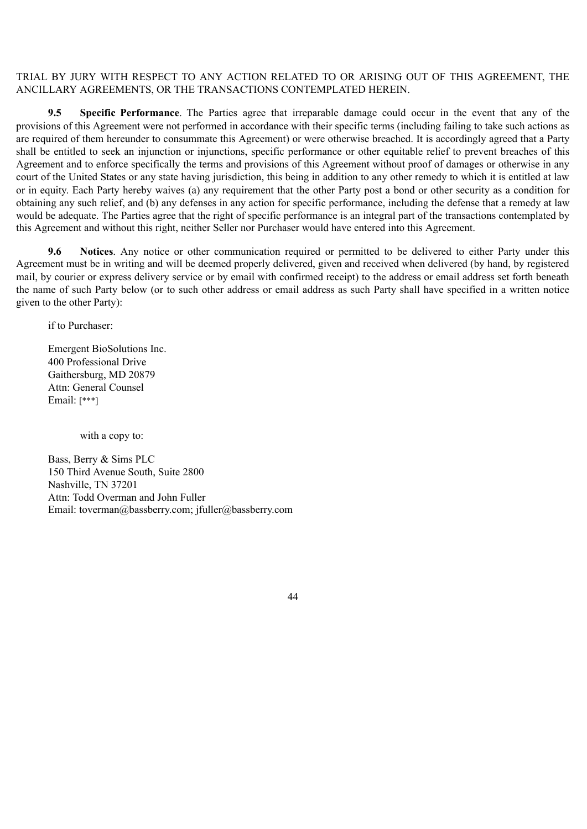### TRIAL BY JURY WITH RESPECT TO ANY ACTION RELATED TO OR ARISING OUT OF THIS AGREEMENT, THE ANCILLARY AGREEMENTS, OR THE TRANSACTIONS CONTEMPLATED HEREIN.

**9.5 Specific Performance**. The Parties agree that irreparable damage could occur in the event that any of the provisions of this Agreement were not performed in accordance with their specific terms (including failing to take such actions as are required of them hereunder to consummate this Agreement) or were otherwise breached. It is accordingly agreed that a Party shall be entitled to seek an injunction or injunctions, specific performance or other equitable relief to prevent breaches of this Agreement and to enforce specifically the terms and provisions of this Agreement without proof of damages or otherwise in any court of the United States or any state having jurisdiction, this being in addition to any other remedy to which it is entitled at law or in equity. Each Party hereby waives (a) any requirement that the other Party post a bond or other security as a condition for obtaining any such relief, and (b) any defenses in any action for specific performance, including the defense that a remedy at law would be adequate. The Parties agree that the right of specific performance is an integral part of the transactions contemplated by this Agreement and without this right, neither Seller nor Purchaser would have entered into this Agreement.

**9.6 Notices**. Any notice or other communication required or permitted to be delivered to either Party under this Agreement must be in writing and will be deemed properly delivered, given and received when delivered (by hand, by registered mail, by courier or express delivery service or by email with confirmed receipt) to the address or email address set forth beneath the name of such Party below (or to such other address or email address as such Party shall have specified in a written notice given to the other Party):

if to Purchaser:

Emergent BioSolutions Inc. 400 Professional Drive Gaithersburg, MD 20879 Attn: General Counsel Email: [\*\*\*]

with a copy to:

Bass, Berry & Sims PLC 150 Third Avenue South, Suite 2800 Nashville, TN 37201 Attn: Todd Overman and John Fuller Email: toverman@bassberry.com; jfuller@bassberry.com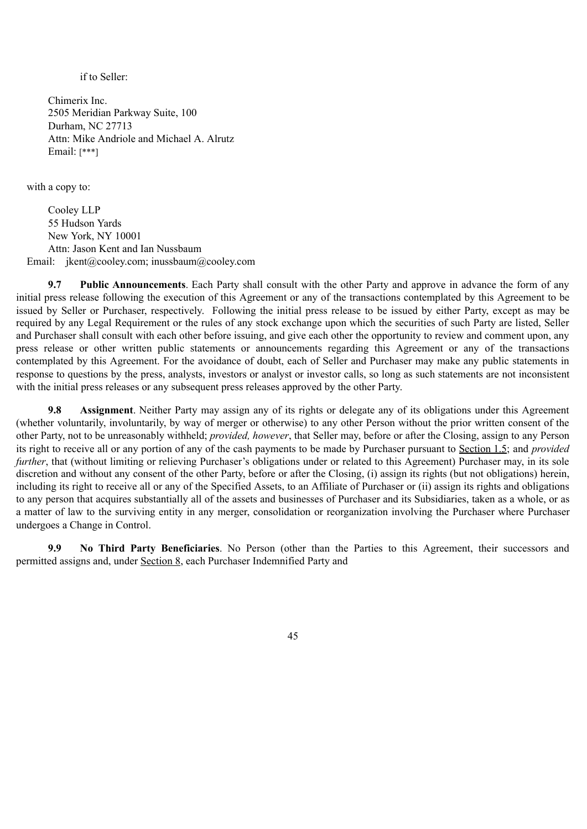if to Seller:

Chimerix Inc. 2505 Meridian Parkway Suite, 100 Durham, NC 27713 Attn: Mike Andriole and Michael A. Alrutz Email: [\*\*\*]

with a copy to:

Cooley LLP 55 Hudson Yards New York, NY 10001 Attn: Jason Kent and Ian Nussbaum Email: jkent@cooley.com; inussbaum@cooley.com

**9.7 Public Announcements**. Each Party shall consult with the other Party and approve in advance the form of any initial press release following the execution of this Agreement or any of the transactions contemplated by this Agreement to be issued by Seller or Purchaser, respectively. Following the initial press release to be issued by either Party, except as may be required by any Legal Requirement or the rules of any stock exchange upon which the securities of such Party are listed, Seller and Purchaser shall consult with each other before issuing, and give each other the opportunity to review and comment upon, any press release or other written public statements or announcements regarding this Agreement or any of the transactions contemplated by this Agreement. For the avoidance of doubt, each of Seller and Purchaser may make any public statements in response to questions by the press, analysts, investors or analyst or investor calls, so long as such statements are not inconsistent with the initial press releases or any subsequent press releases approved by the other Party.

**9.8 Assignment**. Neither Party may assign any of its rights or delegate any of its obligations under this Agreement (whether voluntarily, involuntarily, by way of merger or otherwise) to any other Person without the prior written consent of the other Party, not to be unreasonably withheld; *provided, however*, that Seller may, before or after the Closing, assign to any Person its right to receive all or any portion of any of the cash payments to be made by Purchaser pursuant to Section 1.5; and *provided further*, that (without limiting or relieving Purchaser's obligations under or related to this Agreement) Purchaser may, in its sole discretion and without any consent of the other Party, before or after the Closing, (i) assign its rights (but not obligations) herein, including its right to receive all or any of the Specified Assets, to an Affiliate of Purchaser or (ii) assign its rights and obligations to any person that acquires substantially all of the assets and businesses of Purchaser and its Subsidiaries, taken as a whole, or as a matter of law to the surviving entity in any merger, consolidation or reorganization involving the Purchaser where Purchaser undergoes a Change in Control.

**9.9 No Third Party Beneficiaries**. No Person (other than the Parties to this Agreement, their successors and permitted assigns and, under Section 8, each Purchaser Indemnified Party and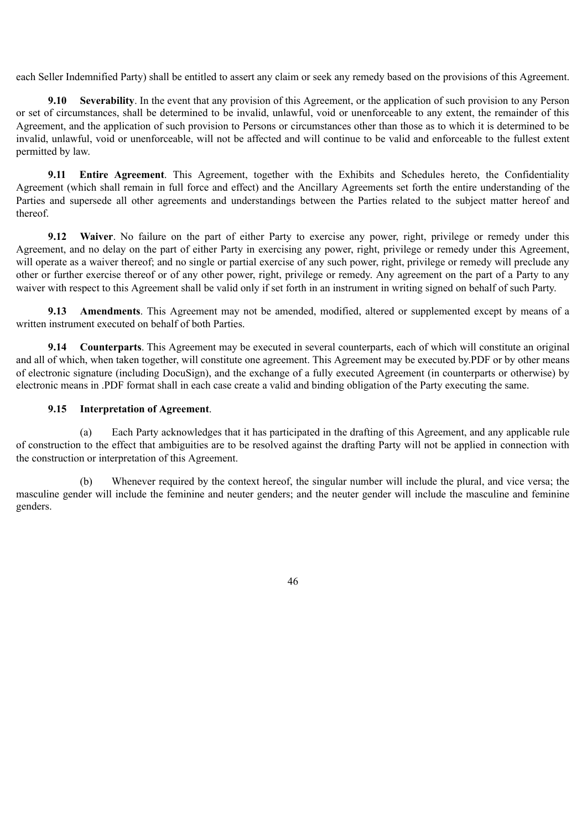each Seller Indemnified Party) shall be entitled to assert any claim or seek any remedy based on the provisions of this Agreement.

**9.10 Severability**. In the event that any provision of this Agreement, or the application of such provision to any Person or set of circumstances, shall be determined to be invalid, unlawful, void or unenforceable to any extent, the remainder of this Agreement, and the application of such provision to Persons or circumstances other than those as to which it is determined to be invalid, unlawful, void or unenforceable, will not be affected and will continue to be valid and enforceable to the fullest extent permitted by law.

**9.11 Entire Agreement**. This Agreement, together with the Exhibits and Schedules hereto, the Confidentiality Agreement (which shall remain in full force and effect) and the Ancillary Agreements set forth the entire understanding of the Parties and supersede all other agreements and understandings between the Parties related to the subject matter hereof and thereof.

**9.12 Waiver**. No failure on the part of either Party to exercise any power, right, privilege or remedy under this Agreement, and no delay on the part of either Party in exercising any power, right, privilege or remedy under this Agreement, will operate as a waiver thereof; and no single or partial exercise of any such power, right, privilege or remedy will preclude any other or further exercise thereof or of any other power, right, privilege or remedy. Any agreement on the part of a Party to any waiver with respect to this Agreement shall be valid only if set forth in an instrument in writing signed on behalf of such Party.

**9.13 Amendments**. This Agreement may not be amended, modified, altered or supplemented except by means of a written instrument executed on behalf of both Parties.

**9.14 Counterparts**. This Agreement may be executed in several counterparts, each of which will constitute an original and all of which, when taken together, will constitute one agreement. This Agreement may be executed by.PDF or by other means of electronic signature (including DocuSign), and the exchange of a fully executed Agreement (in counterparts or otherwise) by electronic means in .PDF format shall in each case create a valid and binding obligation of the Party executing the same.

#### **9.15 Interpretation of Agreement**.

(a) Each Party acknowledges that it has participated in the drafting of this Agreement, and any applicable rule of construction to the effect that ambiguities are to be resolved against the drafting Party will not be applied in connection with the construction or interpretation of this Agreement.

(b) Whenever required by the context hereof, the singular number will include the plural, and vice versa; the masculine gender will include the feminine and neuter genders; and the neuter gender will include the masculine and feminine genders.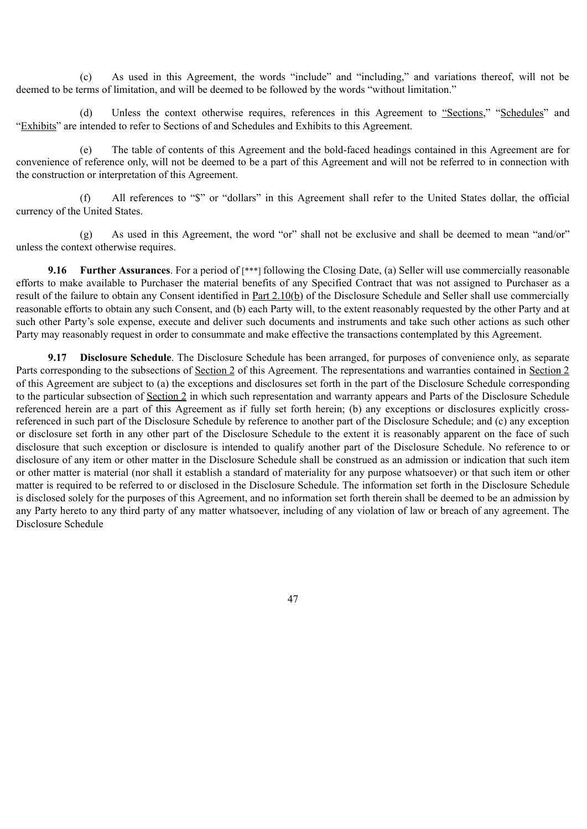(c) As used in this Agreement, the words "include" and "including," and variations thereof, will not be deemed to be terms of limitation, and will be deemed to be followed by the words "without limitation."

(d) Unless the context otherwise requires, references in this Agreement to "Sections," "Schedules" and "Exhibits" are intended to refer to Sections of and Schedules and Exhibits to this Agreement.

(e) The table of contents of this Agreement and the bold-faced headings contained in this Agreement are for convenience of reference only, will not be deemed to be a part of this Agreement and will not be referred to in connection with the construction or interpretation of this Agreement.

(f) All references to "\$" or "dollars" in this Agreement shall refer to the United States dollar, the official currency of the United States.

(g) As used in this Agreement, the word "or" shall not be exclusive and shall be deemed to mean "and/or" unless the context otherwise requires.

**9.16 Further Assurances**. For a period of [\*\*\*] following the Closing Date, (a) Seller will use commercially reasonable efforts to make available to Purchaser the material benefits of any Specified Contract that was not assigned to Purchaser as a result of the failure to obtain any Consent identified in Part 2.10(b) of the Disclosure Schedule and Seller shall use commercially reasonable efforts to obtain any such Consent, and (b) each Party will, to the extent reasonably requested by the other Party and at such other Party's sole expense, execute and deliver such documents and instruments and take such other actions as such other Party may reasonably request in order to consummate and make effective the transactions contemplated by this Agreement.

**9.17 Disclosure Schedule**. The Disclosure Schedule has been arranged, for purposes of convenience only, as separate Parts corresponding to the subsections of Section 2 of this Agreement. The representations and warranties contained in Section 2 of this Agreement are subject to (a) the exceptions and disclosures set forth in the part of the Disclosure Schedule corresponding to the particular subsection of Section 2 in which such representation and warranty appears and Parts of the Disclosure Schedule referenced herein are a part of this Agreement as if fully set forth herein; (b) any exceptions or disclosures explicitly crossreferenced in such part of the Disclosure Schedule by reference to another part of the Disclosure Schedule; and (c) any exception or disclosure set forth in any other part of the Disclosure Schedule to the extent it is reasonably apparent on the face of such disclosure that such exception or disclosure is intended to qualify another part of the Disclosure Schedule. No reference to or disclosure of any item or other matter in the Disclosure Schedule shall be construed as an admission or indication that such item or other matter is material (nor shall it establish a standard of materiality for any purpose whatsoever) or that such item or other matter is required to be referred to or disclosed in the Disclosure Schedule. The information set forth in the Disclosure Schedule is disclosed solely for the purposes of this Agreement, and no information set forth therein shall be deemed to be an admission by any Party hereto to any third party of any matter whatsoever, including of any violation of law or breach of any agreement. The Disclosure Schedule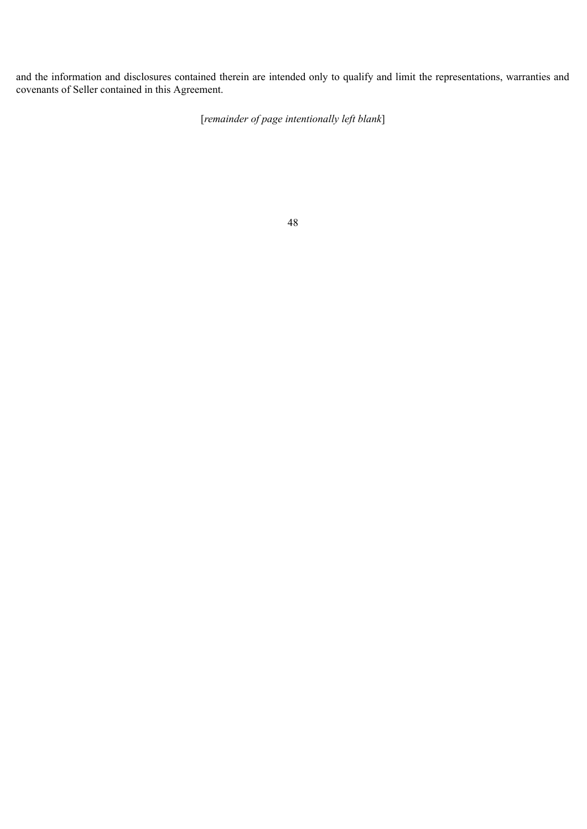and the information and disclosures contained therein are intended only to qualify and limit the representations, warranties and covenants of Seller contained in this Agreement.

[*remainder of page intentionally left blank*]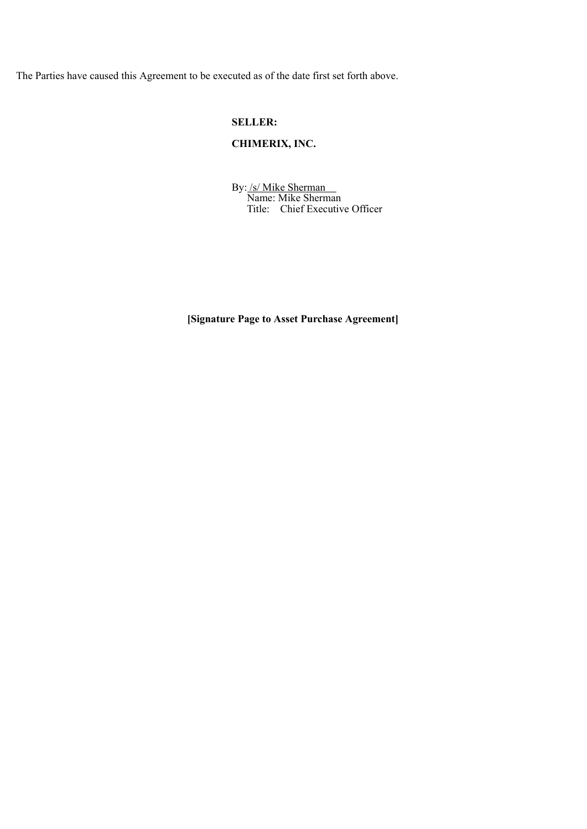The Parties have caused this Agreement to be executed as of the date first set forth above.

### **SELLER:**

## **CHIMERIX, INC.**

By: /s/ Mike Sherman Name: Mike Sherman Title: Chief Executive Officer

**[Signature Page to Asset Purchase Agreement]**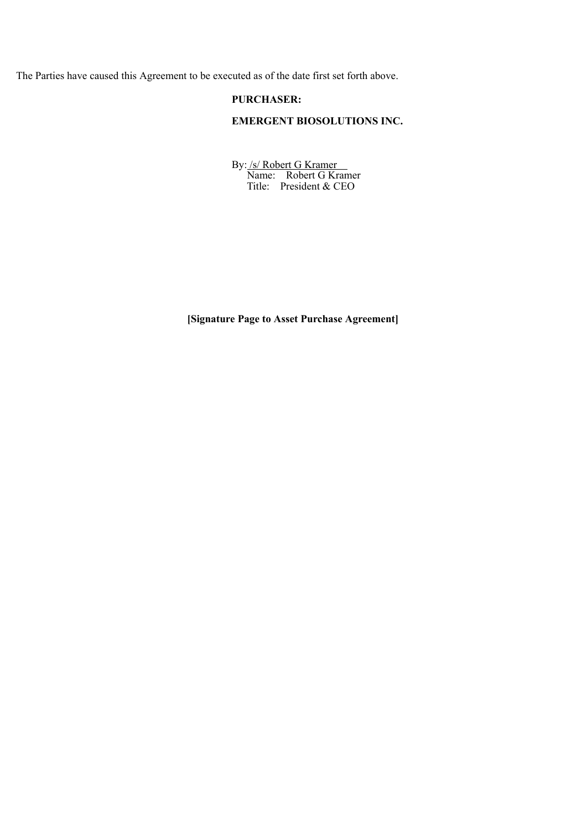The Parties have caused this Agreement to be executed as of the date first set forth above.

### **PURCHASER:**

# **EMERGENT BIOSOLUTIONS INC.**

By: /s/ Robert G Kramer Name: Robert G Kramer Title: President & CEO

**[Signature Page to Asset Purchase Agreement]**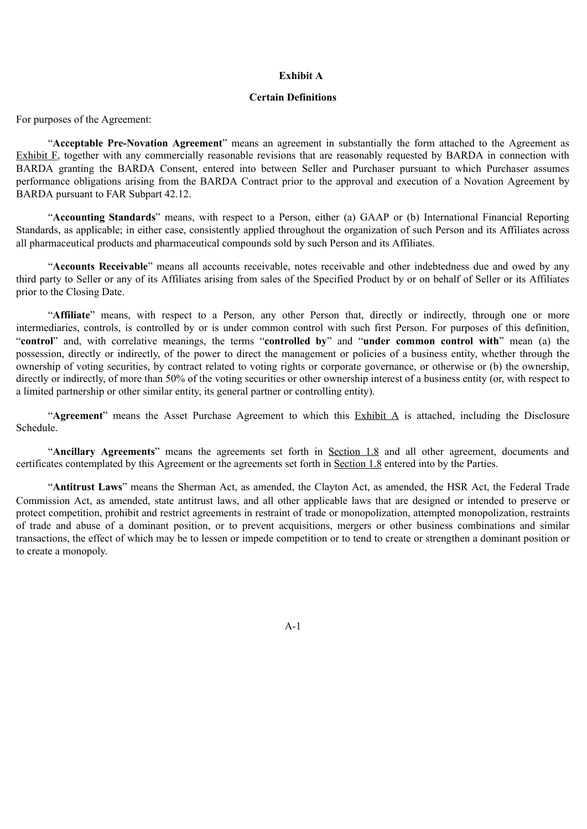#### **Exhibit A**

#### **Certain Definitions**

For purposes of the Agreement:

"**Acceptable Pre-Novation Agreement**" means an agreement in substantially the form attached to the Agreement as Exhibit F, together with any commercially reasonable revisions that are reasonably requested by BARDA in connection with BARDA granting the BARDA Consent, entered into between Seller and Purchaser pursuant to which Purchaser assumes performance obligations arising from the BARDA Contract prior to the approval and execution of a Novation Agreement by BARDA pursuant to FAR Subpart 42.12.

"**Accounting Standards**" means, with respect to a Person, either (a) GAAP or (b) International Financial Reporting Standards, as applicable; in either case, consistently applied throughout the organization of such Person and its Affiliates across all pharmaceutical products and pharmaceutical compounds sold by such Person and its Affiliates.

"**Accounts Receivable**" means all accounts receivable, notes receivable and other indebtedness due and owed by any third party to Seller or any of its Affiliates arising from sales of the Specified Product by or on behalf of Seller or its Affiliates prior to the Closing Date.

"**Affiliate**" means, with respect to a Person, any other Person that, directly or indirectly, through one or more intermediaries, controls, is controlled by or is under common control with such first Person. For purposes of this definition, "**control**" and, with correlative meanings, the terms "**controlled by**" and "**under common control with**" mean (a) the possession, directly or indirectly, of the power to direct the management or policies of a business entity, whether through the ownership of voting securities, by contract related to voting rights or corporate governance, or otherwise or (b) the ownership, directly or indirectly, of more than 50% of the voting securities or other ownership interest of a business entity (or, with respect to a limited partnership or other similar entity, its general partner or controlling entity).

"**Agreement**" means the Asset Purchase Agreement to which this Exhibit A is attached, including the Disclosure Schedule.

"**Ancillary Agreements**" means the agreements set forth in Section 1.8 and all other agreement, documents and certificates contemplated by this Agreement or the agreements set forth in Section 1.8 entered into by the Parties.

"**Antitrust Laws**" means the Sherman Act, as amended, the Clayton Act, as amended, the HSR Act, the Federal Trade Commission Act, as amended, state antitrust laws, and all other applicable laws that are designed or intended to preserve or protect competition, prohibit and restrict agreements in restraint of trade or monopolization, attempted monopolization, restraints of trade and abuse of a dominant position, or to prevent acquisitions, mergers or other business combinations and similar transactions, the effect of which may be to lessen or impede competition or to tend to create or strengthen a dominant position or to create a monopoly.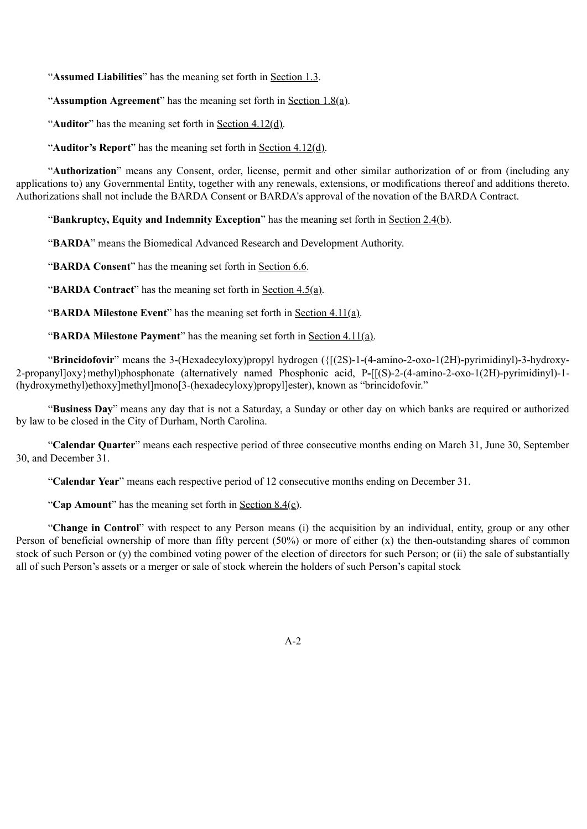"**Assumed Liabilities**" has the meaning set forth in Section 1.3.

"**Assumption Agreement**" has the meaning set forth in <u>Section 1.8(a)</u>.

"**Auditor**" has the meaning set forth in Section 4.12(d).

"**Auditor's Report**" has the meaning set forth in Section 4.12(d).

"**Authorization**" means any Consent, order, license, permit and other similar authorization of or from (including any applications to) any Governmental Entity, together with any renewals, extensions, or modifications thereof and additions thereto. Authorizations shall not include the BARDA Consent or BARDA's approval of the novation of the BARDA Contract.

"**Bankruptcy, Equity and Indemnity Exception**" has the meaning set forth in <u>Section 2.4(b)</u>.

"**BARDA**" means the Biomedical Advanced Research and Development Authority.

"**BARDA Consent**" has the meaning set forth in Section 6.6.

"**BARDA Contract**" has the meaning set forth in Section 4.5(a).

"**BARDA Milestone Event**" has the meaning set forth in Section 4.11(a).

"**BARDA Milestone Payment**" has the meaning set forth in Section 4.11(a).

"**Brincidofovir**" means the 3-(Hexadecyloxy)propyl hydrogen ({[(2S)-1-(4-amino-2-oxo-1(2H)-pyrimidinyl)-3-hydroxy-2-propanyl]oxy}methyl)phosphonate (alternatively named Phosphonic acid, P**-**[[(S)-2-(4-amino-2-oxo-1(2H)-pyrimidinyl)-1- (hydroxymethyl)ethoxy]methyl]mono[3-(hexadecyloxy)propyl]ester), known as "brincidofovir."

"**Business Day**" means any day that is not a Saturday, a Sunday or other day on which banks are required or authorized by law to be closed in the City of Durham, North Carolina.

"**Calendar Quarter**" means each respective period of three consecutive months ending on March 31, June 30, September 30, and December 31.

"**Calendar Year**" means each respective period of 12 consecutive months ending on December 31.

"Cap Amount" has the meaning set forth in <u>Section 8.4(c)</u>.

"**Change in Control**" with respect to any Person means (i) the acquisition by an individual, entity, group or any other Person of beneficial ownership of more than fifty percent (50%) or more of either (x) the then-outstanding shares of common stock of such Person or (y) the combined voting power of the election of directors for such Person; or (ii) the sale of substantially all of such Person's assets or a merger or sale of stock wherein the holders of such Person's capital stock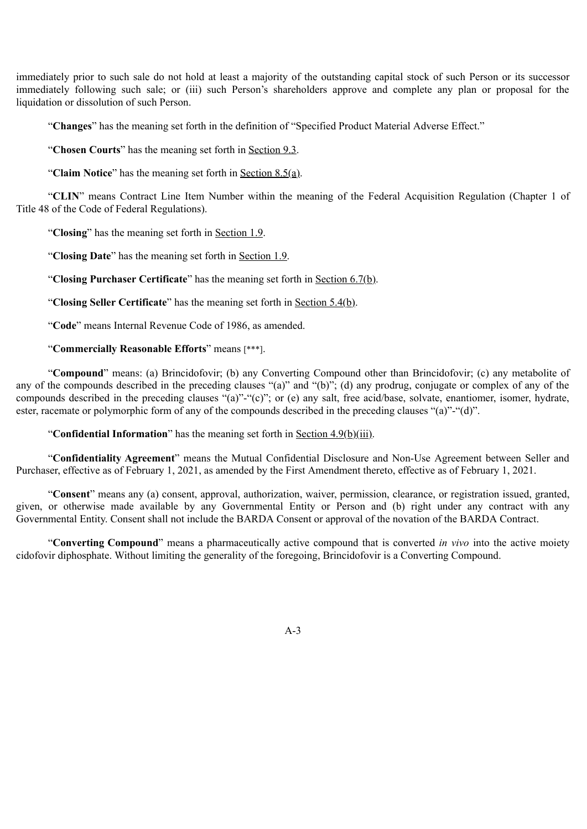immediately prior to such sale do not hold at least a majority of the outstanding capital stock of such Person or its successor immediately following such sale; or (iii) such Person's shareholders approve and complete any plan or proposal for the liquidation or dissolution of such Person.

"**Changes**" has the meaning set forth in the definition of "Specified Product Material Adverse Effect."

"**Chosen Courts**" has the meaning set forth in Section 9.3.

"**Claim Notice**" has the meaning set forth in Section 8.5(a).

"**CLIN**" means Contract Line Item Number within the meaning of the Federal Acquisition Regulation (Chapter 1 of Title 48 of the Code of Federal Regulations).

"**Closing**" has the meaning set forth in Section 1.9.

"**Closing Date**" has the meaning set forth in Section 1.9.

"**Closing Purchaser Certificate**" has the meaning set forth in Section 6.7(b).

"**Closing Seller Certificate**" has the meaning set forth in Section 5.4(b).

"**Code**" means Internal Revenue Code of 1986, as amended.

### "**Commercially Reasonable Efforts**" means [\*\*\*].

"**Compound**" means: (a) Brincidofovir; (b) any Converting Compound other than Brincidofovir; (c) any metabolite of any of the compounds described in the preceding clauses "(a)" and "(b)"; (d) any prodrug, conjugate or complex of any of the compounds described in the preceding clauses "(a)"-"(c)"; or (e) any salt, free acid/base, solvate, enantiomer, isomer, hydrate, ester, racemate or polymorphic form of any of the compounds described in the preceding clauses "(a)"-"(d)".

"**Confidential Information**" has the meaning set forth in Section 4.9(b)(iii).

"**Confidentiality Agreement**" means the Mutual Confidential Disclosure and Non-Use Agreement between Seller and Purchaser, effective as of February 1, 2021, as amended by the First Amendment thereto, effective as of February 1, 2021.

"**Consent**" means any (a) consent, approval, authorization, waiver, permission, clearance, or registration issued, granted, given, or otherwise made available by any Governmental Entity or Person and (b) right under any contract with any Governmental Entity. Consent shall not include the BARDA Consent or approval of the novation of the BARDA Contract.

"**Converting Compound**" means a pharmaceutically active compound that is converted *in vivo* into the active moiety cidofovir diphosphate. Without limiting the generality of the foregoing, Brincidofovir is a Converting Compound.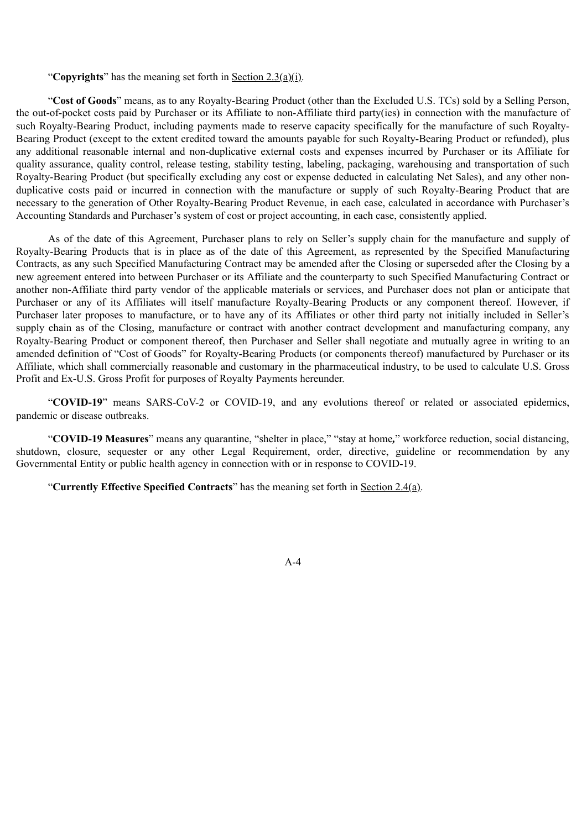"**Copyrights**" has the meaning set forth in Section 2.3(a)(i).

"**Cost of Goods**" means, as to any Royalty-Bearing Product (other than the Excluded U.S. TCs) sold by a Selling Person, the out-of-pocket costs paid by Purchaser or its Affiliate to non-Affiliate third party(ies) in connection with the manufacture of such Royalty-Bearing Product, including payments made to reserve capacity specifically for the manufacture of such Royalty-Bearing Product (except to the extent credited toward the amounts payable for such Royalty-Bearing Product or refunded), plus any additional reasonable internal and non-duplicative external costs and expenses incurred by Purchaser or its Affiliate for quality assurance, quality control, release testing, stability testing, labeling, packaging, warehousing and transportation of such Royalty-Bearing Product (but specifically excluding any cost or expense deducted in calculating Net Sales), and any other nonduplicative costs paid or incurred in connection with the manufacture or supply of such Royalty-Bearing Product that are necessary to the generation of Other Royalty-Bearing Product Revenue, in each case, calculated in accordance with Purchaser's Accounting Standards and Purchaser's system of cost or project accounting, in each case, consistently applied.

As of the date of this Agreement, Purchaser plans to rely on Seller's supply chain for the manufacture and supply of Royalty-Bearing Products that is in place as of the date of this Agreement, as represented by the Specified Manufacturing Contracts, as any such Specified Manufacturing Contract may be amended after the Closing or superseded after the Closing by a new agreement entered into between Purchaser or its Affiliate and the counterparty to such Specified Manufacturing Contract or another non-Affiliate third party vendor of the applicable materials or services, and Purchaser does not plan or anticipate that Purchaser or any of its Affiliates will itself manufacture Royalty-Bearing Products or any component thereof. However, if Purchaser later proposes to manufacture, or to have any of its Affiliates or other third party not initially included in Seller's supply chain as of the Closing, manufacture or contract with another contract development and manufacturing company, any Royalty-Bearing Product or component thereof, then Purchaser and Seller shall negotiate and mutually agree in writing to an amended definition of "Cost of Goods" for Royalty-Bearing Products (or components thereof) manufactured by Purchaser or its Affiliate, which shall commercially reasonable and customary in the pharmaceutical industry, to be used to calculate U.S. Gross Profit and Ex-U.S. Gross Profit for purposes of Royalty Payments hereunder.

"**COVID-19**" means SARS-CoV-2 or COVID-19, and any evolutions thereof or related or associated epidemics, pandemic or disease outbreaks.

"**COVID-19 Measures**" means any quarantine, "shelter in place," "stay at home*,*" workforce reduction, social distancing, shutdown, closure, sequester or any other Legal Requirement, order, directive, guideline or recommendation by any Governmental Entity or public health agency in connection with or in response to COVID-19.

"**Currently Effective Specified Contracts**" has the meaning set forth in Section 2.4(a).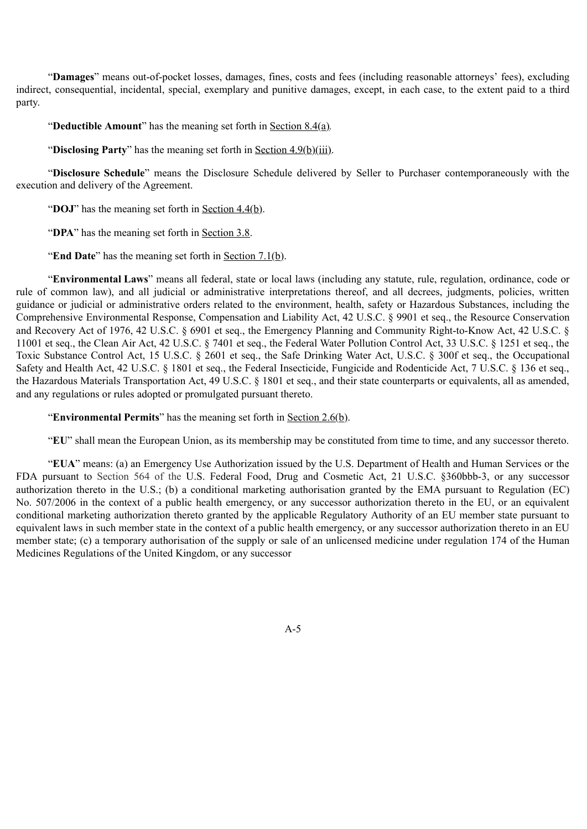"**Damages**" means out-of-pocket losses, damages, fines, costs and fees (including reasonable attorneys' fees), excluding indirect, consequential, incidental, special, exemplary and punitive damages, except, in each case, to the extent paid to a third party.

"**Deductible Amount**" has the meaning set forth in Section 8.4(a)*.*

"**Disclosing Party**" has the meaning set forth in Section 4.9(b)(iii).

"**Disclosure Schedule**" means the Disclosure Schedule delivered by Seller to Purchaser contemporaneously with the execution and delivery of the Agreement.

"**DOJ**" has the meaning set forth in <u>Section 4.4(b)</u>.

"**DPA**" has the meaning set forth in Section 3.8.

"**End Date**" has the meaning set forth in Section 7.1(b).

"**Environmental Laws**" means all federal, state or local laws (including any statute, rule, regulation, ordinance, code or rule of common law), and all judicial or administrative interpretations thereof, and all decrees, judgments, policies, written guidance or judicial or administrative orders related to the environment, health, safety or Hazardous Substances, including the Comprehensive Environmental Response, Compensation and Liability Act, 42 U.S.C. § 9901 et seq., the Resource Conservation and Recovery Act of 1976, 42 U.S.C. § 6901 et seq., the Emergency Planning and Community Right-to-Know Act, 42 U.S.C. § 11001 et seq., the Clean Air Act, 42 U.S.C. § 7401 et seq., the Federal Water Pollution Control Act, 33 U.S.C. § 1251 et seq., the Toxic Substance Control Act, 15 U.S.C. § 2601 et seq., the Safe Drinking Water Act, U.S.C. § 300f et seq., the Occupational Safety and Health Act, 42 U.S.C. § 1801 et seq., the Federal Insecticide, Fungicide and Rodenticide Act, 7 U.S.C. § 136 et seq., the Hazardous Materials Transportation Act, 49 U.S.C. § 1801 et seq., and their state counterparts or equivalents, all as amended, and any regulations or rules adopted or promulgated pursuant thereto.

"**Environmental Permits**" has the meaning set forth in Section 2.6(b).

"**EU**" shall mean the European Union, as its membership may be constituted from time to time, and any successor thereto.

"**EUA**" means: (a) an Emergency Use Authorization issued by the U.S. Department of Health and Human Services or the FDA pursuant to Section 564 of the U.S. Federal Food, Drug and Cosmetic Act, 21 U.S.C. §360bbb-3, or any successor authorization thereto in the U.S.; (b) a conditional marketing authorisation granted by the EMA pursuant to Regulation (EC) No. 507/2006 in the context of a public health emergency, or any successor authorization thereto in the EU, or an equivalent conditional marketing authorization thereto granted by the applicable Regulatory Authority of an EU member state pursuant to equivalent laws in such member state in the context of a public health emergency, or any successor authorization thereto in an EU member state; (c) a temporary authorisation of the supply or sale of an unlicensed medicine under regulation 174 of the Human Medicines Regulations of the United Kingdom, or any successor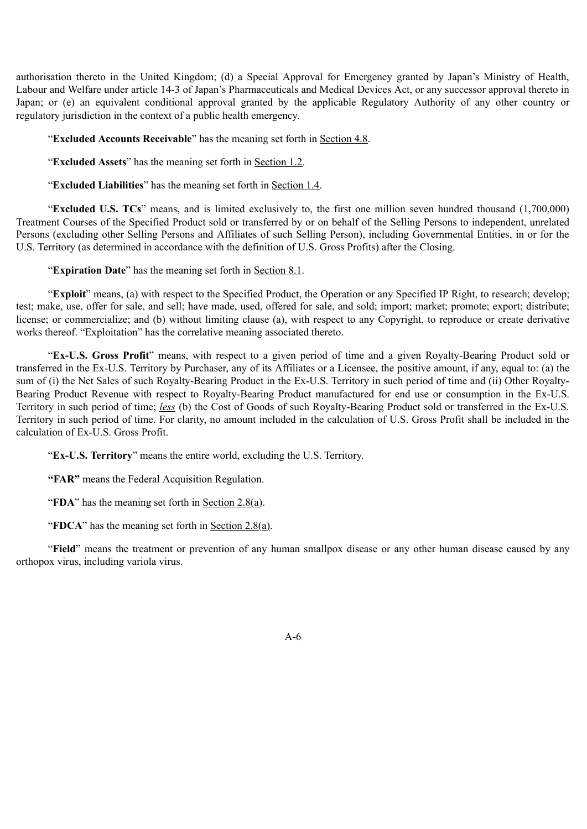authorisation thereto in the United Kingdom; (d) a Special Approval for Emergency granted by Japan's Ministry of Health, Labour and Welfare under article 14-3 of Japan's Pharmaceuticals and Medical Devices Act, or any successor approval thereto in Japan; or (e) an equivalent conditional approval granted by the applicable Regulatory Authority of any other country or regulatory jurisdiction in the context of a public health emergency.

"**Excluded Accounts Receivable**" has the meaning set forth in Section 4.8.

"**Excluded Assets**" has the meaning set forth in Section 1.2.

"**Excluded Liabilities**" has the meaning set forth in Section 1.4.

"**Excluded U.S. TCs**" means, and is limited exclusively to, the first one million seven hundred thousand (1,700,000) Treatment Courses of the Specified Product sold or transferred by or on behalf of the Selling Persons to independent, unrelated Persons (excluding other Selling Persons and Affiliates of such Selling Person), including Governmental Entities, in or for the U.S. Territory (as determined in accordance with the definition of U.S. Gross Profits) after the Closing.

"**Expiration Date**" has the meaning set forth in Section 8.1.

"**Exploit**" means, (a) with respect to the Specified Product, the Operation or any Specified IP Right, to research; develop; test; make, use, offer for sale, and sell; have made, used, offered for sale, and sold; import; market; promote; export; distribute; license; or commercialize; and (b) without limiting clause (a), with respect to any Copyright, to reproduce or create derivative works thereof. "Exploitation" has the correlative meaning associated thereto.

"**Ex-U.S. Gross Profit**" means, with respect to a given period of time and a given Royalty-Bearing Product sold or transferred in the Ex-U.S. Territory by Purchaser, any of its Affiliates or a Licensee, the positive amount, if any, equal to: (a) the sum of (i) the Net Sales of such Royalty-Bearing Product in the Ex-U.S. Territory in such period of time and (ii) Other Royalty-Bearing Product Revenue with respect to Royalty-Bearing Product manufactured for end use or consumption in the Ex-U.S. Territory in such period of time; *less* (b) the Cost of Goods of such Royalty-Bearing Product sold or transferred in the Ex-U.S. Territory in such period of time. For clarity, no amount included in the calculation of U.S. Gross Profit shall be included in the calculation of Ex-U.S. Gross Profit.

"**Ex-U.S. Territory**" means the entire world, excluding the U.S. Territory.

**"FAR"** means the Federal Acquisition Regulation.

"**FDA**" has the meaning set forth in Section 2.8(a).

"**FDCA**" has the meaning set forth in Section 2.8(a).

"**Field**" means the treatment or prevention of any human smallpox disease or any other human disease caused by any orthopox virus, including variola virus.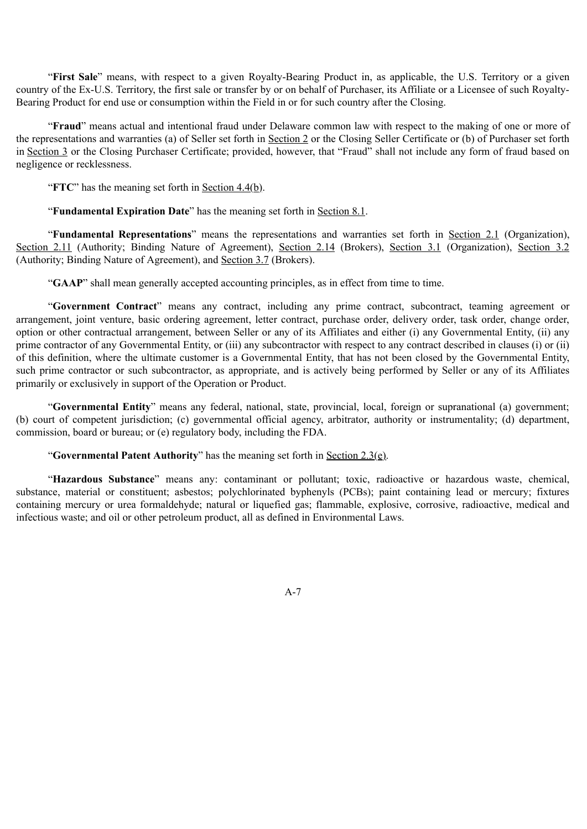"**First Sale**" means, with respect to a given Royalty-Bearing Product in, as applicable, the U.S. Territory or a given country of the Ex-U.S. Territory, the first sale or transfer by or on behalf of Purchaser, its Affiliate or a Licensee of such Royalty-Bearing Product for end use or consumption within the Field in or for such country after the Closing.

"**Fraud**" means actual and intentional fraud under Delaware common law with respect to the making of one or more of the representations and warranties (a) of Seller set forth in Section 2 or the Closing Seller Certificate or (b) of Purchaser set forth in Section 3 or the Closing Purchaser Certificate; provided, however, that "Fraud" shall not include any form of fraud based on negligence or recklessness.

"**FTC**" has the meaning set forth in <u>Section 4.4(b)</u>.

"**Fundamental Expiration Date**" has the meaning set forth in Section 8.1.

"**Fundamental Representations**" means the representations and warranties set forth in Section 2.1 (Organization), Section 2.11 (Authority; Binding Nature of Agreement), Section 2.14 (Brokers), Section 3.1 (Organization), Section 3.2 (Authority; Binding Nature of Agreement), and Section 3.7 (Brokers).

"**GAAP**" shall mean generally accepted accounting principles, as in effect from time to time.

"**Government Contract**" means any contract, including any prime contract, subcontract, teaming agreement or arrangement, joint venture, basic ordering agreement, letter contract, purchase order, delivery order, task order, change order, option or other contractual arrangement, between Seller or any of its Affiliates and either (i) any Governmental Entity, (ii) any prime contractor of any Governmental Entity, or (iii) any subcontractor with respect to any contract described in clauses (i) or (ii) of this definition, where the ultimate customer is a Governmental Entity, that has not been closed by the Governmental Entity, such prime contractor or such subcontractor, as appropriate, and is actively being performed by Seller or any of its Affiliates primarily or exclusively in support of the Operation or Product.

"**Governmental Entity**" means any federal, national, state, provincial, local, foreign or supranational (a) government; (b) court of competent jurisdiction; (c) governmental official agency, arbitrator, authority or instrumentality; (d) department, commission, board or bureau; or (e) regulatory body, including the FDA.

"**Governmental Patent Authority**" has the meaning set forth in Section 2.3(e).

"**Hazardous Substance**" means any: contaminant or pollutant; toxic, radioactive or hazardous waste, chemical, substance, material or constituent; asbestos; polychlorinated byphenyls (PCBs); paint containing lead or mercury; fixtures containing mercury or urea formaldehyde; natural or liquefied gas; flammable, explosive, corrosive, radioactive, medical and infectious waste; and oil or other petroleum product, all as defined in Environmental Laws.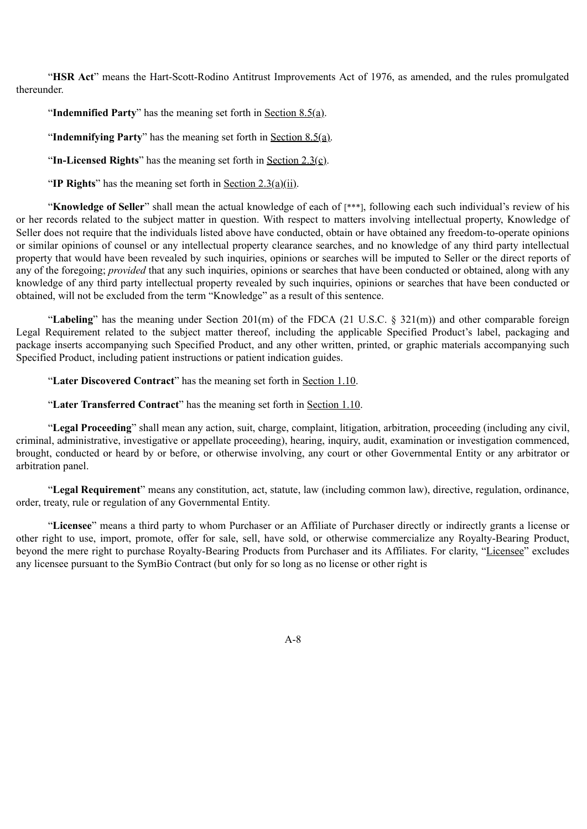"**HSR Act**" means the Hart-Scott-Rodino Antitrust Improvements Act of 1976, as amended, and the rules promulgated thereunder.

"**Indemnified Party**" has the meaning set forth in Section 8.5(a).

"**Indemnifying Party**" has the meaning set forth in Section 8.5(a).

"**In-Licensed Rights**" has the meaning set forth in Section 2.3(c).

"**IP Rights**" has the meaning set forth in Section 2.3(a)(ii).

"**Knowledge of Seller**" shall mean the actual knowledge of each of [\*\*\*], following each such individual's review of his or her records related to the subject matter in question. With respect to matters involving intellectual property, Knowledge of Seller does not require that the individuals listed above have conducted, obtain or have obtained any freedom-to-operate opinions or similar opinions of counsel or any intellectual property clearance searches, and no knowledge of any third party intellectual property that would have been revealed by such inquiries, opinions or searches will be imputed to Seller or the direct reports of any of the foregoing; *provided* that any such inquiries, opinions or searches that have been conducted or obtained, along with any knowledge of any third party intellectual property revealed by such inquiries, opinions or searches that have been conducted or obtained, will not be excluded from the term "Knowledge" as a result of this sentence.

"**Labeling**" has the meaning under Section 201(m) of the FDCA (21 U.S.C. § 321(m)) and other comparable foreign Legal Requirement related to the subject matter thereof, including the applicable Specified Product's label, packaging and package inserts accompanying such Specified Product, and any other written, printed, or graphic materials accompanying such Specified Product, including patient instructions or patient indication guides.

"**Later Discovered Contract**" has the meaning set forth in Section 1.10.

"**Later Transferred Contract**" has the meaning set forth in Section 1.10.

"**Legal Proceeding**" shall mean any action, suit, charge, complaint, litigation, arbitration, proceeding (including any civil, criminal, administrative, investigative or appellate proceeding), hearing, inquiry, audit, examination or investigation commenced, brought, conducted or heard by or before, or otherwise involving, any court or other Governmental Entity or any arbitrator or arbitration panel.

"**Legal Requirement**" means any constitution, act, statute, law (including common law), directive, regulation, ordinance, order, treaty, rule or regulation of any Governmental Entity.

"**Licensee**" means a third party to whom Purchaser or an Affiliate of Purchaser directly or indirectly grants a license or other right to use, import, promote, offer for sale, sell, have sold, or otherwise commercialize any Royalty-Bearing Product, beyond the mere right to purchase Royalty-Bearing Products from Purchaser and its Affiliates. For clarity, "Licensee" excludes any licensee pursuant to the SymBio Contract (but only for so long as no license or other right is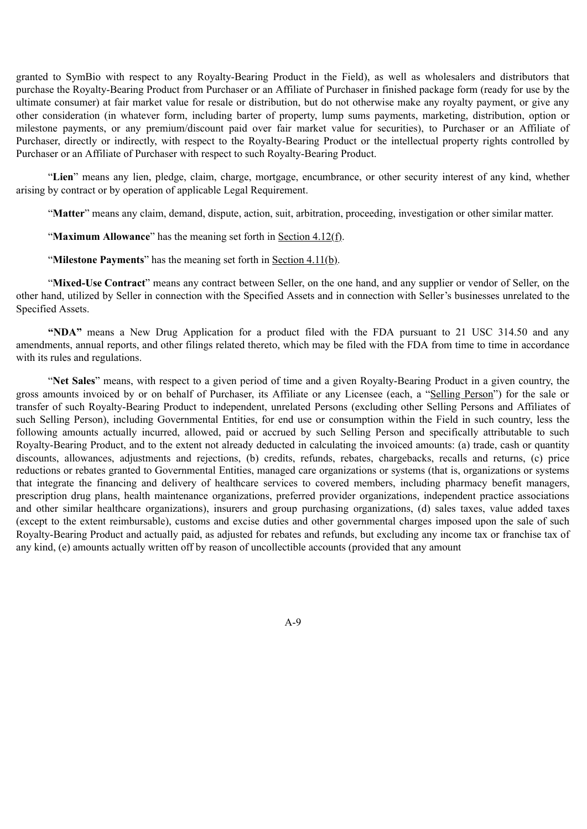granted to SymBio with respect to any Royalty-Bearing Product in the Field), as well as wholesalers and distributors that purchase the Royalty-Bearing Product from Purchaser or an Affiliate of Purchaser in finished package form (ready for use by the ultimate consumer) at fair market value for resale or distribution, but do not otherwise make any royalty payment, or give any other consideration (in whatever form, including barter of property, lump sums payments, marketing, distribution, option or milestone payments, or any premium/discount paid over fair market value for securities), to Purchaser or an Affiliate of Purchaser, directly or indirectly, with respect to the Royalty-Bearing Product or the intellectual property rights controlled by Purchaser or an Affiliate of Purchaser with respect to such Royalty-Bearing Product.

"**Lien**" means any lien, pledge, claim, charge, mortgage, encumbrance, or other security interest of any kind, whether arising by contract or by operation of applicable Legal Requirement.

"**Matter**" means any claim, demand, dispute, action, suit, arbitration, proceeding, investigation or other similar matter.

"**Maximum Allowance**" has the meaning set forth in Section 4.12(f).

"**Milestone Payments**" has the meaning set forth in <u>Section 4.11(b)</u>.

"**Mixed-Use Contract**" means any contract between Seller, on the one hand, and any supplier or vendor of Seller, on the other hand, utilized by Seller in connection with the Specified Assets and in connection with Seller's businesses unrelated to the Specified Assets.

**"NDA"** means a New Drug Application for a product filed with the FDA pursuant to 21 USC 314.50 and any amendments, annual reports, and other filings related thereto, which may be filed with the FDA from time to time in accordance with its rules and regulations.

"**Net Sales**" means, with respect to a given period of time and a given Royalty-Bearing Product in a given country, the gross amounts invoiced by or on behalf of Purchaser, its Affiliate or any Licensee (each, a "Selling Person") for the sale or transfer of such Royalty-Bearing Product to independent, unrelated Persons (excluding other Selling Persons and Affiliates of such Selling Person), including Governmental Entities, for end use or consumption within the Field in such country, less the following amounts actually incurred, allowed, paid or accrued by such Selling Person and specifically attributable to such Royalty-Bearing Product, and to the extent not already deducted in calculating the invoiced amounts: (a) trade, cash or quantity discounts, allowances, adjustments and rejections, (b) credits, refunds, rebates, chargebacks, recalls and returns, (c) price reductions or rebates granted to Governmental Entities, managed care organizations or systems (that is, organizations or systems that integrate the financing and delivery of healthcare services to covered members, including pharmacy benefit managers, prescription drug plans, health maintenance organizations, preferred provider organizations, independent practice associations and other similar healthcare organizations), insurers and group purchasing organizations, (d) sales taxes, value added taxes (except to the extent reimbursable), customs and excise duties and other governmental charges imposed upon the sale of such Royalty-Bearing Product and actually paid, as adjusted for rebates and refunds, but excluding any income tax or franchise tax of any kind, (e) amounts actually written off by reason of uncollectible accounts (provided that any amount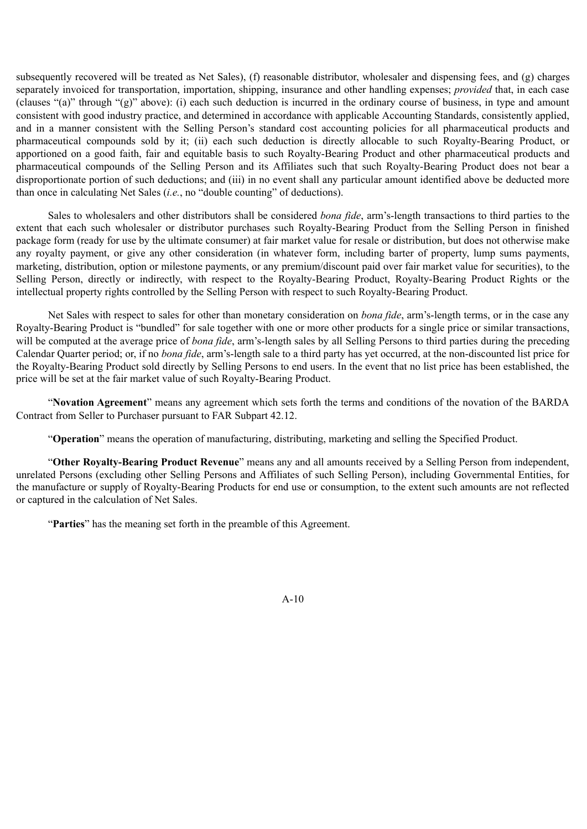subsequently recovered will be treated as Net Sales), (f) reasonable distributor, wholesaler and dispensing fees, and (g) charges separately invoiced for transportation, importation, shipping, insurance and other handling expenses; *provided* that, in each case (clauses "(a)" through "(g)" above): (i) each such deduction is incurred in the ordinary course of business, in type and amount consistent with good industry practice, and determined in accordance with applicable Accounting Standards, consistently applied, and in a manner consistent with the Selling Person's standard cost accounting policies for all pharmaceutical products and pharmaceutical compounds sold by it; (ii) each such deduction is directly allocable to such Royalty-Bearing Product, or apportioned on a good faith, fair and equitable basis to such Royalty-Bearing Product and other pharmaceutical products and pharmaceutical compounds of the Selling Person and its Affiliates such that such Royalty-Bearing Product does not bear a disproportionate portion of such deductions; and (iii) in no event shall any particular amount identified above be deducted more than once in calculating Net Sales (*i.e.*, no "double counting" of deductions).

Sales to wholesalers and other distributors shall be considered *bona fide*, arm's-length transactions to third parties to the extent that each such wholesaler or distributor purchases such Royalty-Bearing Product from the Selling Person in finished package form (ready for use by the ultimate consumer) at fair market value for resale or distribution, but does not otherwise make any royalty payment, or give any other consideration (in whatever form, including barter of property, lump sums payments, marketing, distribution, option or milestone payments, or any premium/discount paid over fair market value for securities), to the Selling Person, directly or indirectly, with respect to the Royalty-Bearing Product, Royalty-Bearing Product Rights or the intellectual property rights controlled by the Selling Person with respect to such Royalty-Bearing Product.

Net Sales with respect to sales for other than monetary consideration on *bona fide*, arm's-length terms, or in the case any Royalty-Bearing Product is "bundled" for sale together with one or more other products for a single price or similar transactions, will be computed at the average price of *bona fide*, arm's-length sales by all Selling Persons to third parties during the preceding Calendar Quarter period; or, if no *bona fide*, arm's-length sale to a third party has yet occurred, at the non-discounted list price for the Royalty-Bearing Product sold directly by Selling Persons to end users. In the event that no list price has been established, the price will be set at the fair market value of such Royalty-Bearing Product.

"**Novation Agreement**" means any agreement which sets forth the terms and conditions of the novation of the BARDA Contract from Seller to Purchaser pursuant to FAR Subpart 42.12.

"**Operation**" means the operation of manufacturing, distributing, marketing and selling the Specified Product.

"**Other Royalty-Bearing Product Revenue**" means any and all amounts received by a Selling Person from independent, unrelated Persons (excluding other Selling Persons and Affiliates of such Selling Person), including Governmental Entities, for the manufacture or supply of Royalty-Bearing Products for end use or consumption, to the extent such amounts are not reflected or captured in the calculation of Net Sales.

"**Parties**" has the meaning set forth in the preamble of this Agreement.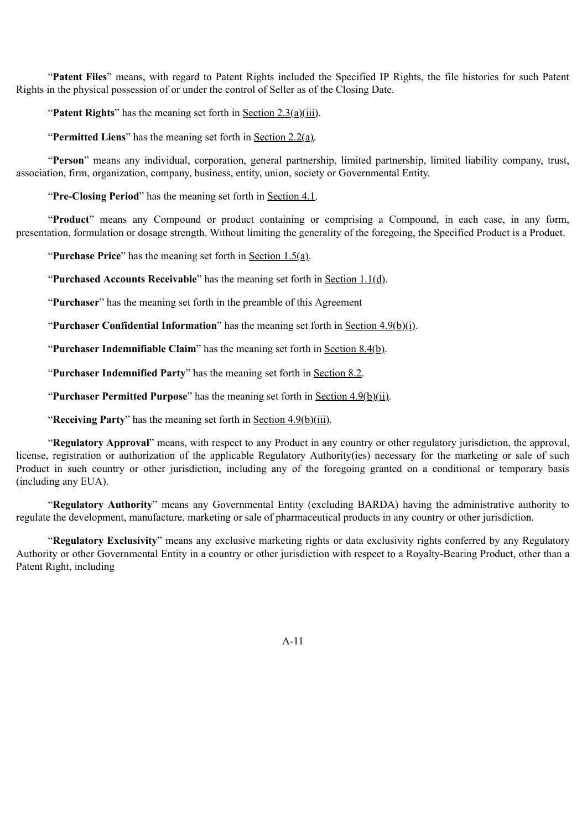"**Patent Files**" means, with regard to Patent Rights included the Specified IP Rights, the file histories for such Patent Rights in the physical possession of or under the control of Seller as of the Closing Date.

"**Patent Rights**" has the meaning set forth in <u>Section 2.3(a)(iii)</u>.

"**Permitted Liens**" has the meaning set forth in Section 2.2(a).

"**Person**" means any individual, corporation, general partnership, limited partnership, limited liability company, trust, association, firm, organization, company, business, entity, union, society or Governmental Entity.

"**Pre-Closing Period**" has the meaning set forth in Section 4.1.

"**Product**" means any Compound or product containing or comprising a Compound, in each case, in any form, presentation, formulation or dosage strength. Without limiting the generality of the foregoing, the Specified Product is a Product.

"**Purchase Price**" has the meaning set forth in Section 1.5(a).

"**Purchased Accounts Receivable**" has the meaning set forth in Section 1.1(d).

"**Purchaser**" has the meaning set forth in the preamble of this Agreement

"**Purchaser Confidential Information**" has the meaning set forth in Section  $4.9(b)(i)$ .

"**Purchaser Indemnifiable Claim**" has the meaning set forth in <u>Section 8.4(b)</u>.

"**Purchaser Indemnified Party**" has the meaning set forth in Section 8.2.

"**Purchaser Permitted Purpose**" has the meaning set forth in Section 4.9(b)(ii).

"**Receiving Party**" has the meaning set forth in Section 4.9(b)(iii).

"**Regulatory Approval**" means, with respect to any Product in any country or other regulatory jurisdiction, the approval, license, registration or authorization of the applicable Regulatory Authority(ies) necessary for the marketing or sale of such Product in such country or other jurisdiction, including any of the foregoing granted on a conditional or temporary basis (including any EUA).

"**Regulatory Authority**" means any Governmental Entity (excluding BARDA) having the administrative authority to regulate the development, manufacture, marketing or sale of pharmaceutical products in any country or other jurisdiction.

"**Regulatory Exclusivity**" means any exclusive marketing rights or data exclusivity rights conferred by any Regulatory Authority or other Governmental Entity in a country or other jurisdiction with respect to a Royalty-Bearing Product, other than a Patent Right, including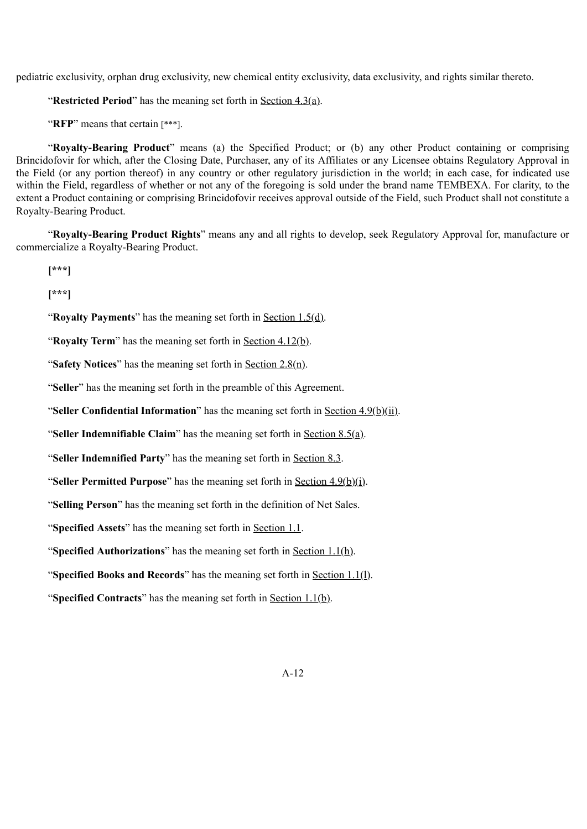pediatric exclusivity, orphan drug exclusivity, new chemical entity exclusivity, data exclusivity, and rights similar thereto.

"**Restricted Period**" has the meaning set forth in Section 4.3(a).

"**RFP**" means that certain [\*\*\*].

"**Royalty-Bearing Product**" means (a) the Specified Product; or (b) any other Product containing or comprising Brincidofovir for which, after the Closing Date, Purchaser, any of its Affiliates or any Licensee obtains Regulatory Approval in the Field (or any portion thereof) in any country or other regulatory jurisdiction in the world; in each case, for indicated use within the Field, regardless of whether or not any of the foregoing is sold under the brand name TEMBEXA. For clarity, to the extent a Product containing or comprising Brincidofovir receives approval outside of the Field, such Product shall not constitute a Royalty-Bearing Product.

"**Royalty-Bearing Product Rights**" means any and all rights to develop, seek Regulatory Approval for, manufacture or commercialize a Royalty-Bearing Product.

**[\*\*\*]**

**[\*\*\*]**

"**Royalty Payments**" has the meaning set forth in Section 1.5(d).

"**Royalty Term**" has the meaning set forth in Section 4.12(b).

"**Safety Notices**" has the meaning set forth in Section 2.8(n).

"**Seller**" has the meaning set forth in the preamble of this Agreement.

"**Seller Confidential Information**" has the meaning set forth in Section 4.9(b)(ii).

"**Seller Indemnifiable Claim**" has the meaning set forth in Section 8.5(a).

"**Seller Indemnified Party**" has the meaning set forth in Section 8.3.

"**Seller Permitted Purpose**" has the meaning set forth in Section 4.9(b)(i).

"**Selling Person**" has the meaning set forth in the definition of Net Sales.

"**Specified Assets**" has the meaning set forth in Section 1.1.

"**Specified Authorizations**" has the meaning set forth in Section 1.1(h).

"**Specified Books and Records**" has the meaning set forth in Section 1.1(l).

"**Specified Contracts**" has the meaning set forth in Section 1.1(b).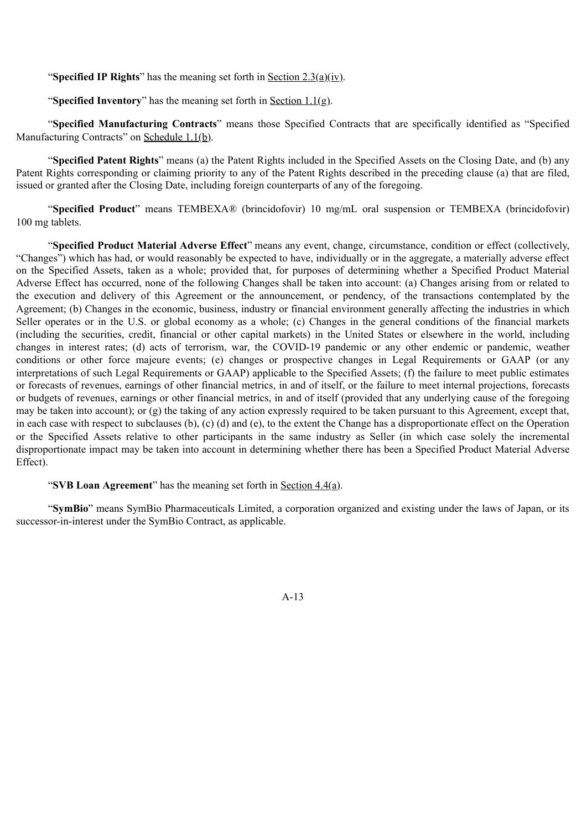"**Specified IP Rights**" has the meaning set forth in Section 2.3(a)(iv).

"**Specified Inventory**" has the meaning set forth in Section 1.1(g).

"**Specified Manufacturing Contracts**" means those Specified Contracts that are specifically identified as "Specified Manufacturing Contracts" on Schedule 1.1(b).

"**Specified Patent Rights**" means (a) the Patent Rights included in the Specified Assets on the Closing Date, and (b) any Patent Rights corresponding or claiming priority to any of the Patent Rights described in the preceding clause (a) that are filed, issued or granted after the Closing Date, including foreign counterparts of any of the foregoing.

"**Specified Product**" means TEMBEXA® (brincidofovir) 10 mg/mL oral suspension or TEMBEXA (brincidofovir) 100 mg tablets.

"**Specified Product Material Adverse Effect**" means any event, change, circumstance, condition or effect (collectively, "Changes") which has had, or would reasonably be expected to have, individually or in the aggregate, a materially adverse effect on the Specified Assets, taken as a whole; provided that, for purposes of determining whether a Specified Product Material Adverse Effect has occurred, none of the following Changes shall be taken into account: (a) Changes arising from or related to the execution and delivery of this Agreement or the announcement, or pendency, of the transactions contemplated by the Agreement; (b) Changes in the economic, business, industry or financial environment generally affecting the industries in which Seller operates or in the U.S. or global economy as a whole; (c) Changes in the general conditions of the financial markets (including the securities, credit, financial or other capital markets) in the United States or elsewhere in the world, including changes in interest rates; (d) acts of terrorism, war, the COVID-19 pandemic or any other endemic or pandemic, weather conditions or other force majeure events; (e) changes or prospective changes in Legal Requirements or GAAP (or any interpretations of such Legal Requirements or GAAP) applicable to the Specified Assets; (f) the failure to meet public estimates or forecasts of revenues, earnings of other financial metrics, in and of itself, or the failure to meet internal projections, forecasts or budgets of revenues, earnings or other financial metrics, in and of itself (provided that any underlying cause of the foregoing may be taken into account); or (g) the taking of any action expressly required to be taken pursuant to this Agreement, except that, in each case with respect to subclauses (b), (c) (d) and (e), to the extent the Change has a disproportionate effect on the Operation or the Specified Assets relative to other participants in the same industry as Seller (in which case solely the incremental disproportionate impact may be taken into account in determining whether there has been a Specified Product Material Adverse Effect).

#### "**SVB Loan Agreement**" has the meaning set forth in Section 4.4(a).

"**SymBio**" means SymBio Pharmaceuticals Limited, a corporation organized and existing under the laws of Japan, or its successor-in-interest under the SymBio Contract, as applicable.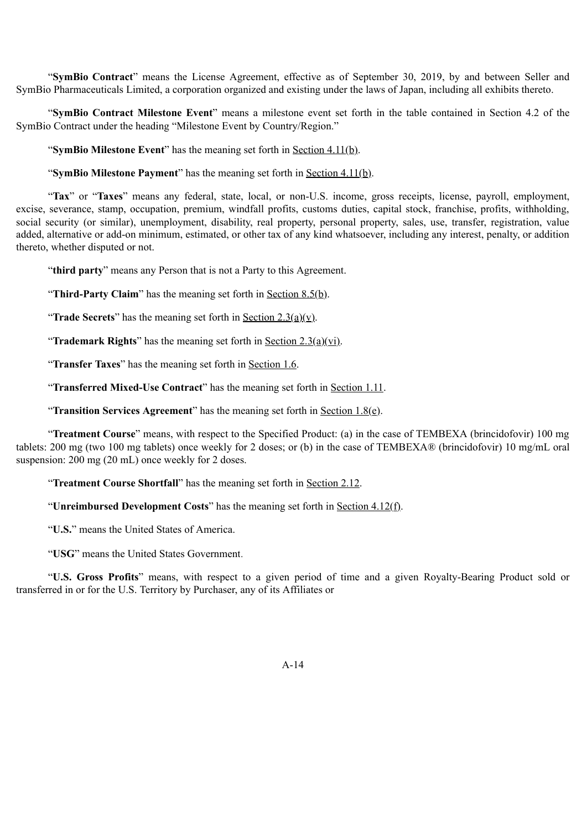"**SymBio Contract**" means the License Agreement, effective as of September 30, 2019, by and between Seller and SymBio Pharmaceuticals Limited, a corporation organized and existing under the laws of Japan, including all exhibits thereto.

"**SymBio Contract Milestone Event**" means a milestone event set forth in the table contained in Section 4.2 of the SymBio Contract under the heading "Milestone Event by Country/Region."

"**SymBio Milestone Event**" has the meaning set forth in Section 4.11(b).

"**SymBio Milestone Payment**" has the meaning set forth in <u>Section 4.11(b)</u>.

"**Tax**" or "**Taxes**" means any federal, state, local, or non-U.S. income, gross receipts, license, payroll, employment, excise, severance, stamp, occupation, premium, windfall profits, customs duties, capital stock, franchise, profits, withholding, social security (or similar), unemployment, disability, real property, personal property, sales, use, transfer, registration, value added, alternative or add-on minimum, estimated, or other tax of any kind whatsoever, including any interest, penalty, or addition thereto, whether disputed or not.

"**third party**" means any Person that is not a Party to this Agreement.

"**Third-Party Claim**" has the meaning set forth in <u>Section 8.5(b)</u>.

"**Trade Secrets**" has the meaning set forth in <u>Section 2.3(a)(v)</u>.

"**Trademark Rights**" has the meaning set forth in Section 2.3(a)(vi).

"**Transfer Taxes**" has the meaning set forth in Section 1.6.

"**Transferred Mixed-Use Contract**" has the meaning set forth in Section 1.11.

"**Transition Services Agreement**" has the meaning set forth in Section 1.8(e).

"**Treatment Course**" means, with respect to the Specified Product: (a) in the case of TEMBEXA (brincidofovir) 100 mg tablets: 200 mg (two 100 mg tablets) once weekly for 2 doses; or (b) in the case of TEMBEXA® (brincidofovir) 10 mg/mL oral suspension: 200 mg (20 mL) once weekly for 2 doses.

"**Treatment Course Shortfall**" has the meaning set forth in Section 2.12.

"**Unreimbursed Development Costs**" has the meaning set forth in Section 4.12(f).

"**U.S.**" means the United States of America.

"**USG**" means the United States Government.

"**U.S. Gross Profits**" means, with respect to a given period of time and a given Royalty-Bearing Product sold or transferred in or for the U.S. Territory by Purchaser, any of its Affiliates or